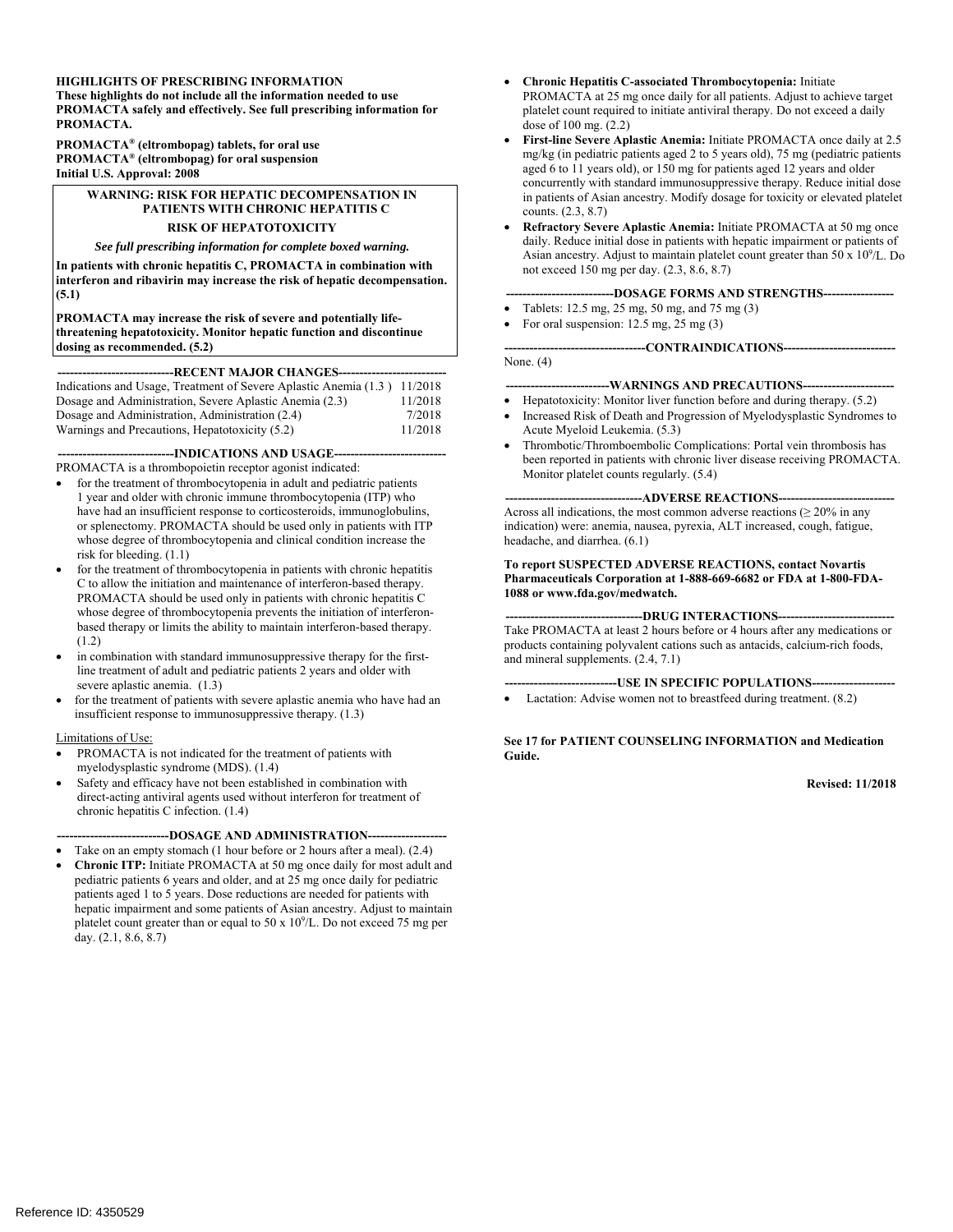#### **HIGHLIGHTS OF PRESCRIBING INFORMATION**

**These highlights do not include all the information needed to use PROMACTA safely and effectively. See full prescribing information for PROMACTA.** 

**PROMACTA® (eltrombopag) tablets, for oral use PROMACTA® (eltrombopag) for oral suspension Initial U.S. Approval: 2008** 

#### **WARNING: RISK FOR HEPATIC DECOMPENSATION IN PATIENTS WITH CHRONIC HEPATITIS C RISK OF HEPATOTOXICITY**

#### *See full prescribing information for complete boxed warning.*

**In patients with chronic hepatitis C, PROMACTA in combination with interferon and ribavirin may increase the risk of hepatic decompensation. (5.1)** 

**PROMACTA may increase the risk of severe and potentially lifethreatening hepatotoxicity. Monitor hepatic function and discontinue dosing as recommended. (5.2)** 

#### **----------------------------RECENT MAJOR CHANGES-------------------------**

| Indications and Usage, Treatment of Severe Aplastic Anemia (1.3) 11/2018 |         |
|--------------------------------------------------------------------------|---------|
| Dosage and Administration, Severe Aplastic Anemia (2.3)                  | 11/2018 |
| Dosage and Administration, Administration (2.4)                          | 7/2018  |
| Warnings and Precautions, Hepatotoxicity (5.2)                           | 11/2018 |

---INDICATIONS AND USAGE---

PROMACTA is a thrombopoietin receptor agonist indicated:

- for the treatment of thrombocytopenia in adult and pediatric patients 1 year and older with chronic immune thrombocytopenia (ITP) who have had an insufficient response to corticosteroids, immunoglobulins, or splenectomy. PROMACTA should be used only in patients with ITP whose degree of thrombocytopenia and clinical condition increase the risk for bleeding. (1.1)
- for the treatment of thrombocytopenia in patients with chronic hepatitis C to allow the initiation and maintenance of interferon-based therapy. PROMACTA should be used only in patients with chronic hepatitis C whose degree of thrombocytopenia prevents the initiation of interferonbased therapy or limits the ability to maintain interferon-based therapy. (1.2)
- in combination with standard immunosuppressive therapy for the firstline treatment of adult and pediatric patients 2 years and older with severe aplastic anemia. (1.3)
- insufficient response to immunosuppressive therapy. (1.3)<br>Limitations of Use: for the treatment of patients with severe aplastic anemia who have had an

- PROMACTA is not indicated for the treatment of patients with myelodysplastic syndrome (MDS). (1.4)
- Safety and efficacy have not been established in combination with direct-acting antiviral agents used without interferon for treatment of chronic hepatitis C infection. (1.4)

#### **---------------------------DOSAGE AND ADMINISTRATION------------------**

- Take on an empty stomach (1 hour before or 2 hours after a meal). (2.4)
- **Chronic ITP:** Initiate PROMACTA at 50 mg once daily for most adult and pediatric patients 6 years and older, and at 25 mg once daily for pediatric patients aged 1 to 5 years. Dose reductions are needed for patients with hepatic impairment and some patients of Asian ancestry. Adjust to maintain platelet count greater than or equal to  $50 \times 10^9$ /L. Do not exceed 75 mg per day. (2.1, 8.6, 8.7)
- dose of 100 mg. (2.2) **Chronic Hepatitis C-associated Thrombocytopenia:** Initiate PROMACTA at 25 mg once daily for all patients. Adjust to achieve target platelet count required to initiate antiviral therapy. Do not exceed a daily
- aged 6 to 11 years old), or 150 mg for patients aged 12 years and older **First-line Severe Aplastic Anemia:** Initiate PROMACTA once daily at 2.5 mg/kg (in pediatric patients aged 2 to 5 years old), 75 mg (pediatric patients concurrently with standard immunosuppressive therapy. Reduce initial dose in patients of Asian ancestry. Modify dosage for toxicity or elevated platelet counts. (2.3, 8.7)
- **Refractory Severe Aplastic Anemia:** Initiate PROMACTA at 50 mg once daily. Reduce initial dose in patients with hepatic impairment or patients of Asian ancestry. Adjust to maintain platelet count greater than  $50 \times 10^9$ /L. Do not exceed 150 mg per day. (2.3, 8.6, 8.7)

#### **--------------------------DOSAGE FORMS AND STRENGTHS----------------**

- Tablets: 12.5 mg, 25 mg, 50 mg, and 75 mg (3)
- For oral suspension:  $12.5 \text{ mg}, 25 \text{ mg}$  (3)

### **----------------------------------CONTRAINDICATIONS--------------------------**

None. (4)

#### **-------------------------WARNINGS AND PRECAUTIONS---------------------**

- Hepatotoxicity: Monitor liver function before and during therapy. (5.2)
- Increased Risk of Death and Progression of Myelodysplastic Syndromes to Acute Myeloid Leukemia. (5.3)
- Monitor platelet counts regularly. (5.4) Thrombotic/Thromboembolic Complications: Portal vein thrombosis has been reported in patients with chronic liver disease receiving PROMACTA.

#### --ADVERSE REACTIONS--Across all indications, the most common adverse reactions ( $\geq 20\%$  in any

indication) were: anemia, nausea, pyrexia, ALT increased, cough, fatigue, headache, and diarrhea. (6.1)

#### **To report SUSPECTED ADVERSE REACTIONS, contact Novartis Pharmaceuticals Corporation at 1-888-669-6682 or FDA at 1-800-FDA-1088 or www.fda.gov/medwatch.**

#### --DRUG INTERACTIONS--

Take PROMACTA at least 2 hours before or 4 hours after any medications or products containing polyvalent cations such as antacids, calcium-rich foods, and mineral supplements. (2.4, 7.1)

#### **----USE IN SPECIFIC POPULATIONS----**

 Lactation: Advise women not to breastfeed during treatment. (8.2)

#### **See 17 for PATIENT COUNSELING INFORMATION and Medication Guide.**

#### **Revised: 11/2018**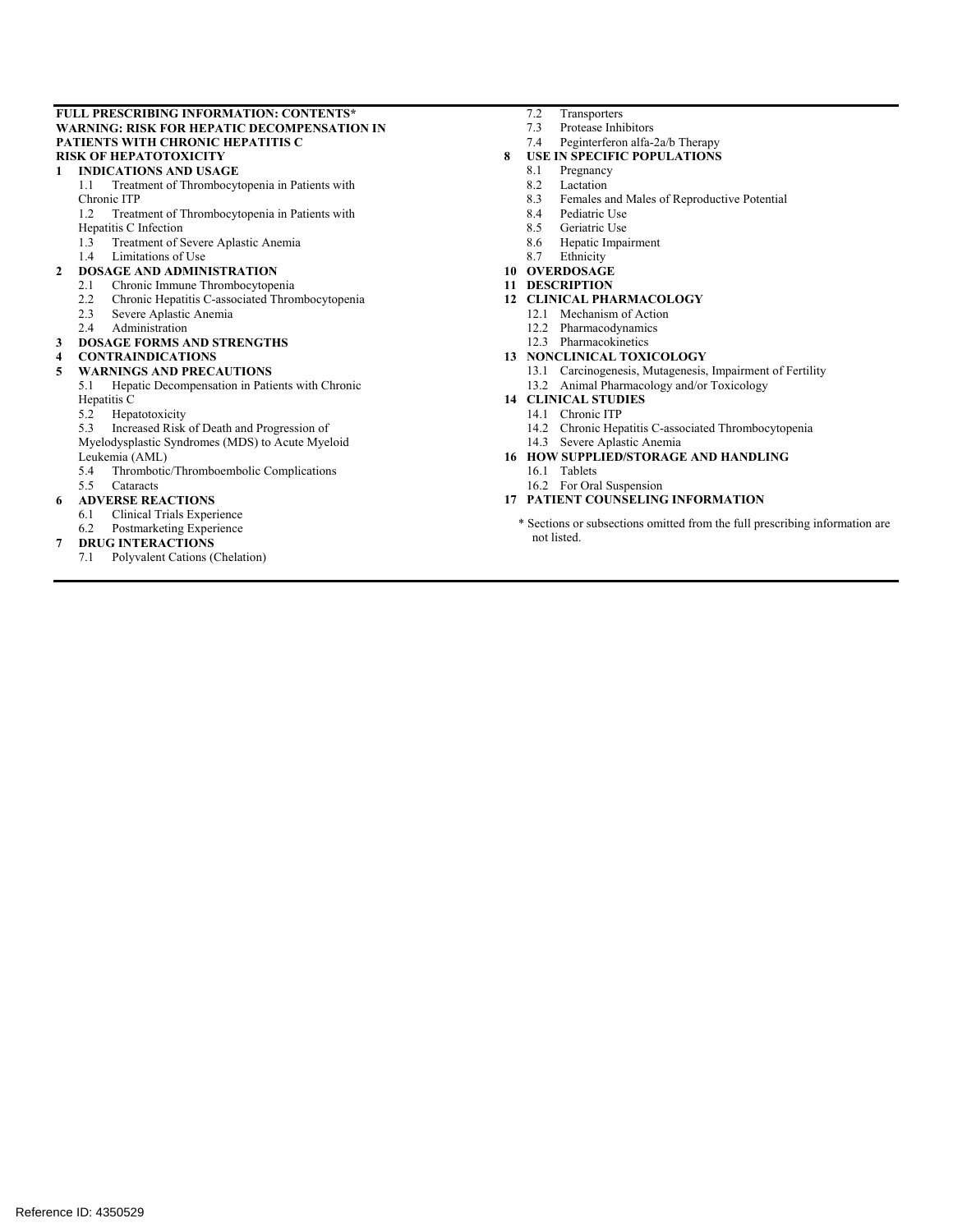#### **FULL PRESCRIBING INFORMATION: CONTENTS\* WARNING: RISK FOR HEPATIC DECOMPENSATION IN PATIENTS WITH CHRONIC HEPATITIS C RISK OF HEPATOTOXICITY**

#### **1 INDICATIONS AND USAGE**

- 1.1 Treatment of Thrombocytopenia in Patients with Chronic ITP
- 1.2 Treatment of Thrombocytopenia in Patients with
- Hepatitis C Infection
- 1.3 Treatment of Severe Aplastic Anemia
- 1.4 Limitations of Use

#### **2 DOSAGE AND ADMINISTRATION**

- 
- 2.1 Chronic Immune Thrombocytopenia<br>2.2 Chronic Hepatitis C-associated Throm 2.2 Chronic Hepatitis C-associated Thrombocytopenia
- 2.3 Severe Aplastic Anemia
- 2.4 Administration

#### **3 DOSAGE FORMS AND STRENGTHS**

#### **4 CONTRAINDICATIONS**

#### **5 WARNINGS AND PRECAUTIONS**

5.1 Hepatic Decompensation in Patients with Chronic Hepatitis C

5.2 Hepatotoxicity

5.3 Increased Risk of Death and Progression of

Myelodysplastic Syndromes (MDS) to Acute Myeloid Leukemia (AML)

5.4 Thrombotic/Thromboembolic Complications<br>5.5 Cataracts

5.5 Cataracts

- **6 ADVERSE REACTIONS** 
	- 6.1 Clinical Trials Experience
	- 6.2 Postmarketing Experience

#### **7 DRUG INTERACTIONS**

7.1 Polyvalent Cations (Chelation)

- 7.2 Transporters
	- 7.3 Protease Inhibitors
	- 7.4 Peginterferon alfa-2a/b Therapy

#### **8 USE IN SPECIFIC POPULATIONS**

- 8.1 Pregnancy
- 8.2 Lactation
- 8.3 Females and Males of Reproductive Potential
- 8.4 Pediatric Use
- 8.5 Geriatric Use
- 8.6 Hepatic Impairment<br>8.7 Ethnicity
- 8.7 Ethnicity
- **10 OVERDOSAGE**
- **11 DESCRIPTION**
- **12 CLINICAL PHARMACOLOGY** 
	- 12.1 Mechanism of Action
	- 12.2 Pharmacodynamics
	- 12.3 Pharmacokinetics
- **13 NONCLINICAL TOXICOLOGY**
- 13.1 Carcinogenesis, Mutagenesis, Impairment of Fertility 13.2 Animal Pharmacology and/or Toxicology
- **14 CLINICAL STUDIES** 
	- 14.1 Chronic ITP
	- 14.2 Chronic Hepatitis C-associated Thrombocytopenia 14.3 Severe Aplastic Anemia
- **16 HOW SUPPLIED/STORAGE AND HANDLING** 
	- 16.1 Tablets
	- 16.2 For Oral Suspension
- **17 PATIENT COUNSELING INFORMATION** 
	- \* Sections or subsections omitted from the full prescribing information are not listed.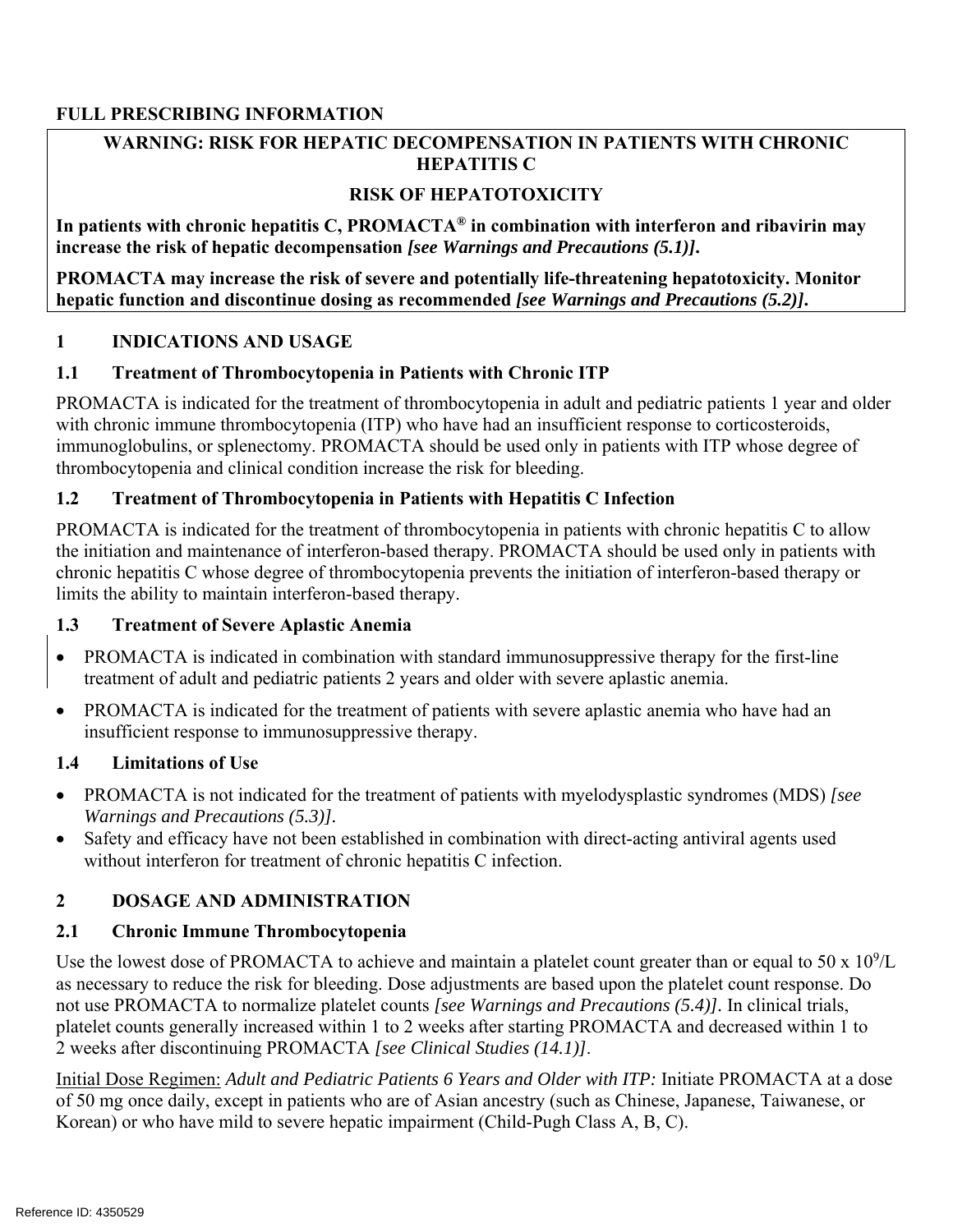### **FULL PRESCRIBING INFORMATION**

### **WARNING: RISK FOR HEPATIC DECOMPENSATION IN PATIENTS WITH CHRONIC HEPATITIS C**

### **RISK OF HEPATOTOXICITY**

**In patients with chronic hepatitis C, PROMACTA® in combination with interferon and ribavirin may increase the risk of hepatic decompensation** *[see Warnings and Precautions (5.1)]***.** 

**PROMACTA may increase the risk of severe and potentially life-threatening hepatotoxicity. Monitor hepatic function and discontinue dosing as recommended** *[see Warnings and Precautions (5.2)]***.** 

### **1 INDICATIONS AND USAGE**

### **1.1 Treatment of Thrombocytopenia in Patients with Chronic ITP**

PROMACTA is indicated for the treatment of thrombocytopenia in adult and pediatric patients 1 year and older with chronic immune thrombocytopenia (ITP) who have had an insufficient response to corticosteroids, immunoglobulins, or splenectomy. PROMACTA should be used only in patients with ITP whose degree of thrombocytopenia and clinical condition increase the risk for bleeding.

### **1.2 Treatment of Thrombocytopenia in Patients with Hepatitis C Infection**

PROMACTA is indicated for the treatment of thrombocytopenia in patients with chronic hepatitis C to allow the initiation and maintenance of interferon-based therapy. PROMACTA should be used only in patients with chronic hepatitis C whose degree of thrombocytopenia prevents the initiation of interferon-based therapy or limits the ability to maintain interferon-based therapy.

### **1.3 Treatment of Severe Aplastic Anemia**

- PROMACTA is indicated in combination with standard immunosuppressive therapy for the first-line treatment of adult and pediatric patients 2 years and older with severe aplastic anemia.
- PROMACTA is indicated for the treatment of patients with severe aplastic anemia who have had an insufficient response to immunosuppressive therapy.

### **1.4 Limitations of Use**

- PROMACTA is not indicated for the treatment of patients with myelodysplastic syndromes (MDS) *[see Warnings and Precautions (5.3)].*
- Safety and efficacy have not been established in combination with direct-acting antiviral agents used without interferon for treatment of chronic hepatitis C infection.

### **2 DOSAGE AND ADMINISTRATION**

### **2.1 Chronic Immune Thrombocytopenia**

Use the lowest dose of PROMACTA to achieve and maintain a platelet count greater than or equal to 50 x  $10^9$ /L as necessary to reduce the risk for bleeding. Dose adjustments are based upon the platelet count response. Do not use PROMACTA to normalize platelet counts *[see Warnings and Precautions (5.4)].* In clinical trials, platelet counts generally increased within 1 to 2 weeks after starting PROMACTA and decreased within 1 to 2 weeks after discontinuing PROMACTA *[see Clinical Studies (14.1)]*.

Initial Dose Regimen: *Adult and Pediatric Patients 6 Years and Older with ITP:* Initiate PROMACTA at a dose of 50 mg once daily, except in patients who are of Asian ancestry (such as Chinese, Japanese, Taiwanese, or Korean) or who have mild to severe hepatic impairment (Child-Pugh Class A, B, C).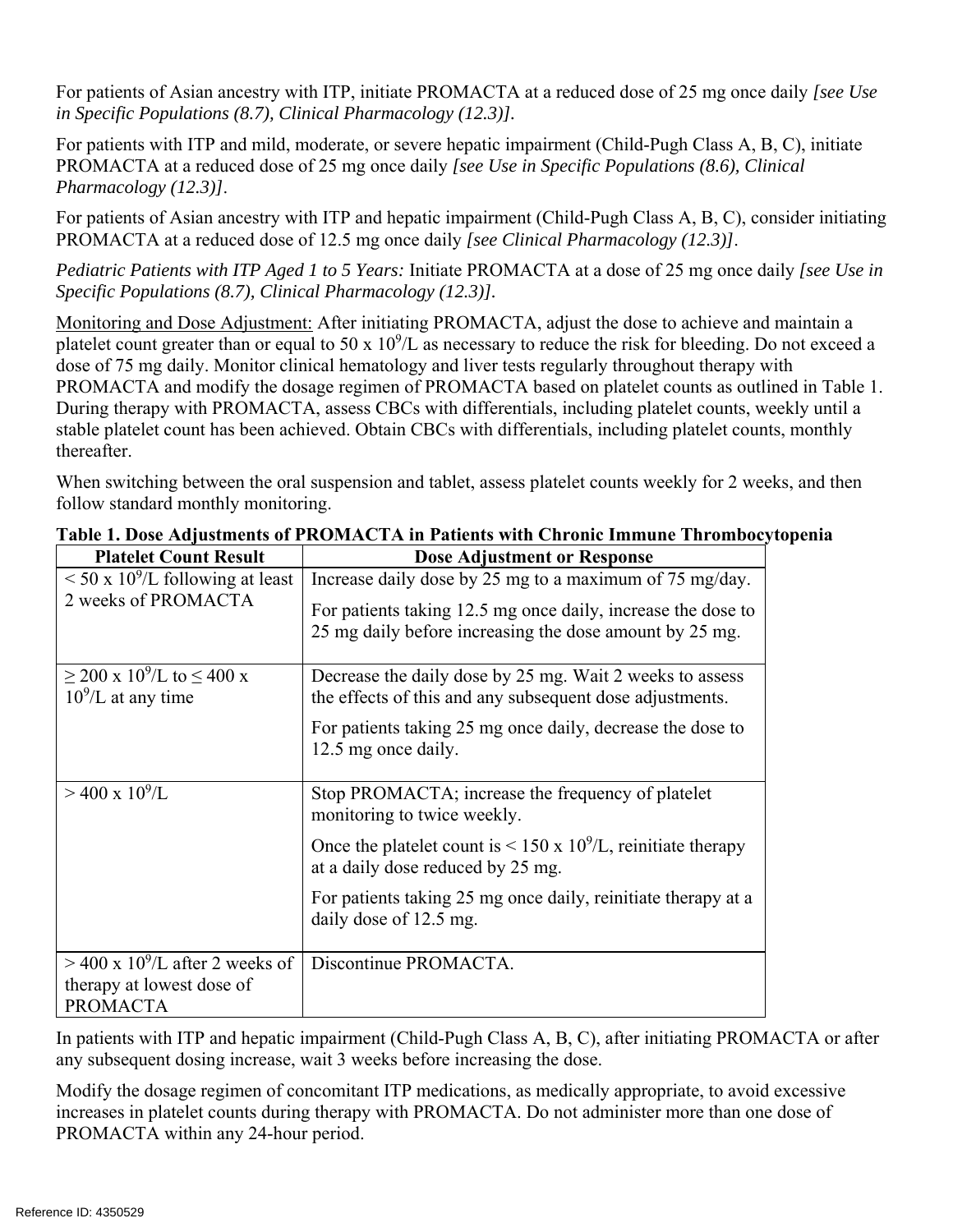For patients of Asian ancestry with ITP, initiate PROMACTA at a reduced dose of 25 mg once daily *[see Use in Specific Populations (8.7), Clinical Pharmacology (12.3)].* 

For patients with ITP and mild, moderate, or severe hepatic impairment (Child-Pugh Class A, B, C), initiate PROMACTA at a reduced dose of 25 mg once daily *[see Use in Specific Populations (8.6), Clinical Pharmacology (12.3)]*.

For patients of Asian ancestry with ITP and hepatic impairment (Child-Pugh Class A, B, C), consider initiating PROMACTA at a reduced dose of 12.5 mg once daily *[see Clinical Pharmacology (12.3)]*.

*Pediatric Patients with ITP Aged 1 to 5 Years:* Initiate PROMACTA at a dose of 25 mg once daily *[see Use in Specific Populations (8.7), Clinical Pharmacology (12.3)].* 

Monitoring and Dose Adjustment: After initiating PROMACTA, adjust the dose to achieve and maintain a platelet count greater than or equal to 50 x  $10^9$ /L as necessary to reduce the risk for bleeding. Do not exceed a dose of 75 mg daily. Monitor clinical hematology and liver tests regularly throughout therapy with PROMACTA and modify the dosage regimen of PROMACTA based on platelet counts as outlined in Table 1. During therapy with PROMACTA, assess CBCs with differentials, including platelet counts, weekly until a stable platelet count has been achieved. Obtain CBCs with differentials, including platelet counts, monthly thereafter.

When switching between the oral suspension and tablet, assess platelet counts weekly for 2 weeks, and then follow standard monthly monitoring.

| <b>Platelet Count Result</b>                                             | <b>Dose Adjustment or Response</b>                                                                                      |
|--------------------------------------------------------------------------|-------------------------------------------------------------------------------------------------------------------------|
| $\rm < 50$ x 10 <sup>9</sup> /L following at least                       | Increase daily dose by 25 mg to a maximum of 75 mg/day.                                                                 |
| 2 weeks of PROMACTA                                                      | For patients taking 12.5 mg once daily, increase the dose to<br>25 mg daily before increasing the dose amount by 25 mg. |
| $\geq$ 200 x 10 <sup>9</sup> /L to $\leq$ 400 x<br>$10^9$ /L at any time | Decrease the daily dose by 25 mg. Wait 2 weeks to assess<br>the effects of this and any subsequent dose adjustments.    |
|                                                                          | For patients taking 25 mg once daily, decrease the dose to<br>12.5 mg once daily.                                       |
| $>$ 400 x 10 <sup>9</sup> /L                                             | Stop PROMACTA; increase the frequency of platelet<br>monitoring to twice weekly.                                        |
|                                                                          | Once the platelet count is < 150 x $10^9$ /L, reinitiate therapy<br>at a daily dose reduced by 25 mg.                   |
|                                                                          | For patients taking 25 mg once daily, reinitiate therapy at a<br>daily dose of 12.5 mg.                                 |
| $>$ 400 x 10 <sup>9</sup> /L after 2 weeks of                            | Discontinue PROMACTA.                                                                                                   |
| therapy at lowest dose of                                                |                                                                                                                         |
| <b>PROMACTA</b>                                                          |                                                                                                                         |

**Table 1. Dose Adjustments of PROMACTA in Patients with Chronic Immune Thrombocytopenia** 

In patients with ITP and hepatic impairment (Child-Pugh Class A, B, C), after initiating PROMACTA or after any subsequent dosing increase, wait 3 weeks before increasing the dose.

Modify the dosage regimen of concomitant ITP medications, as medically appropriate, to avoid excessive increases in platelet counts during therapy with PROMACTA. Do not administer more than one dose of PROMACTA within any 24-hour period.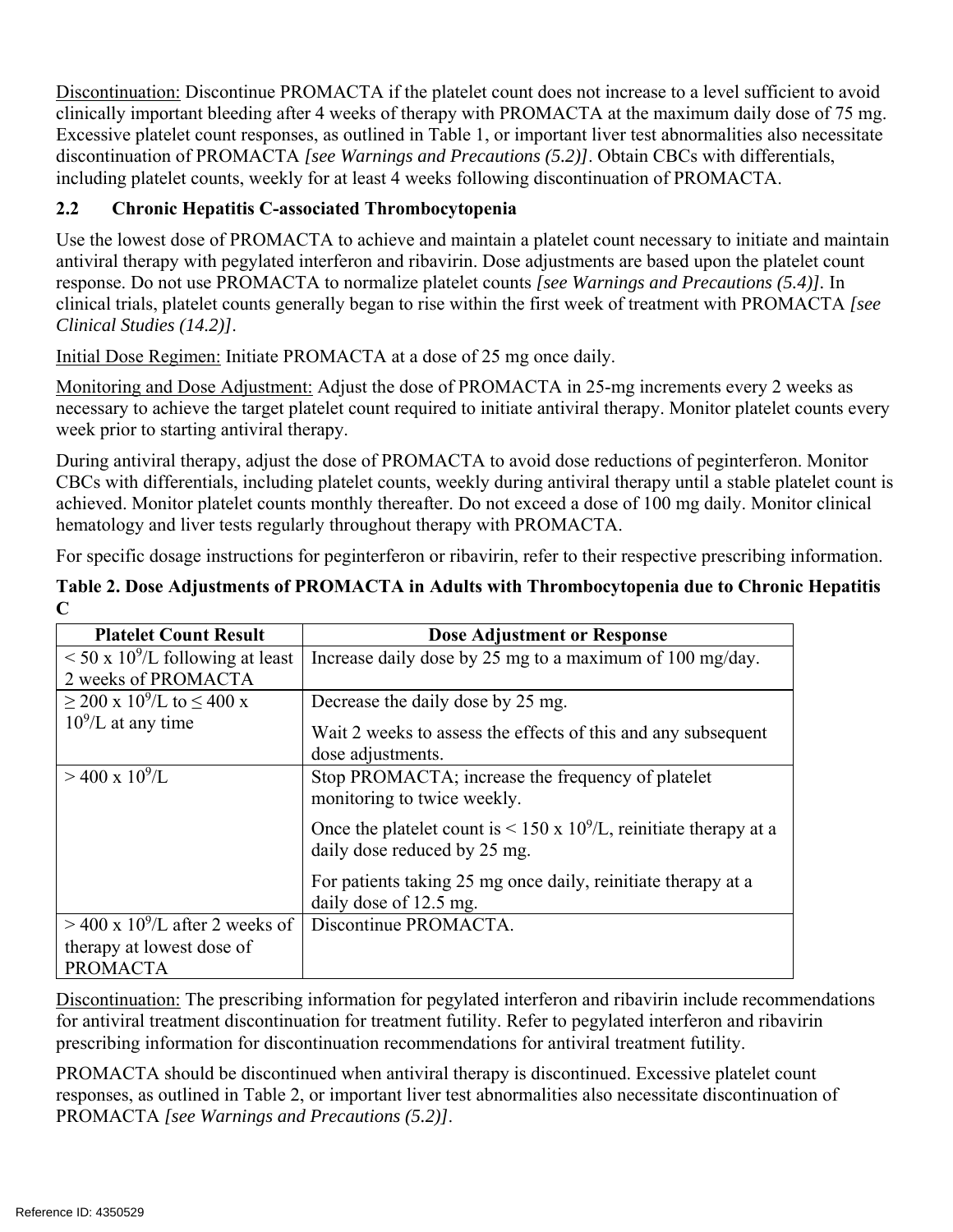Discontinuation: Discontinue PROMACTA if the platelet count does not increase to a level sufficient to avoid clinically important bleeding after 4 weeks of therapy with PROMACTA at the maximum daily dose of 75 mg. Excessive platelet count responses, as outlined in Table 1, or important liver test abnormalities also necessitate discontinuation of PROMACTA *[see Warnings and Precautions (5.2)]*. Obtain CBCs with differentials, including platelet counts, weekly for at least 4 weeks following discontinuation of PROMACTA.

## **2.2 Chronic Hepatitis C-associated Thrombocytopenia**

Use the lowest dose of PROMACTA to achieve and maintain a platelet count necessary to initiate and maintain antiviral therapy with pegylated interferon and ribavirin. Dose adjustments are based upon the platelet count response. Do not use PROMACTA to normalize platelet counts *[see Warnings and Precautions (5.4)].* In clinical trials, platelet counts generally began to rise within the first week of treatment with PROMACTA *[see Clinical Studies (14.2)]*.

Initial Dose Regimen: Initiate PROMACTA at a dose of 25 mg once daily.

Monitoring and Dose Adjustment: Adjust the dose of PROMACTA in 25-mg increments every 2 weeks as necessary to achieve the target platelet count required to initiate antiviral therapy. Monitor platelet counts every week prior to starting antiviral therapy.

During antiviral therapy, adjust the dose of PROMACTA to avoid dose reductions of peginterferon. Monitor CBCs with differentials, including platelet counts, weekly during antiviral therapy until a stable platelet count is achieved. Monitor platelet counts monthly thereafter. Do not exceed a dose of 100 mg daily. Monitor clinical hematology and liver tests regularly throughout therapy with PROMACTA.

For specific dosage instructions for peginterferon or ribavirin, refer to their respective prescribing information.

| <b>Platelet Count Result</b>                    | <b>Dose Adjustment or Response</b>                                                                    |
|-------------------------------------------------|-------------------------------------------------------------------------------------------------------|
| $\leq 50 \times 10^9$ /L following at least     | Increase daily dose by 25 mg to a maximum of 100 mg/day.                                              |
| 2 weeks of PROMACTA                             |                                                                                                       |
| $\geq$ 200 x 10 <sup>9</sup> /L to $\leq$ 400 x | Decrease the daily dose by 25 mg.                                                                     |
| $10^9$ /L at any time                           | Wait 2 weeks to assess the effects of this and any subsequent<br>dose adjustments.                    |
| $>$ 400 x 10 <sup>9</sup> /L                    | Stop PROMACTA; increase the frequency of platelet<br>monitoring to twice weekly.                      |
|                                                 | Once the platelet count is < 150 x $10^9$ /L, reinitiate therapy at a<br>daily dose reduced by 25 mg. |
|                                                 | For patients taking 25 mg once daily, reinitiate therapy at a<br>daily dose of 12.5 mg.               |
| $>$ 400 x 10 <sup>9</sup> /L after 2 weeks of   | Discontinue PROMACTA.                                                                                 |
| therapy at lowest dose of                       |                                                                                                       |
| <b>PROMACTA</b>                                 |                                                                                                       |

**Table 2. Dose Adjustments of PROMACTA in Adults with Thrombocytopenia due to Chronic Hepatitis C** 

Discontinuation: The prescribing information for pegylated interferon and ribavirin include recommendations for antiviral treatment discontinuation for treatment futility. Refer to pegylated interferon and ribavirin prescribing information for discontinuation recommendations for antiviral treatment futility.

PROMACTA should be discontinued when antiviral therapy is discontinued. Excessive platelet count responses, as outlined in Table 2, or important liver test abnormalities also necessitate discontinuation of PROMACTA *[see Warnings and Precautions (5.2)]*.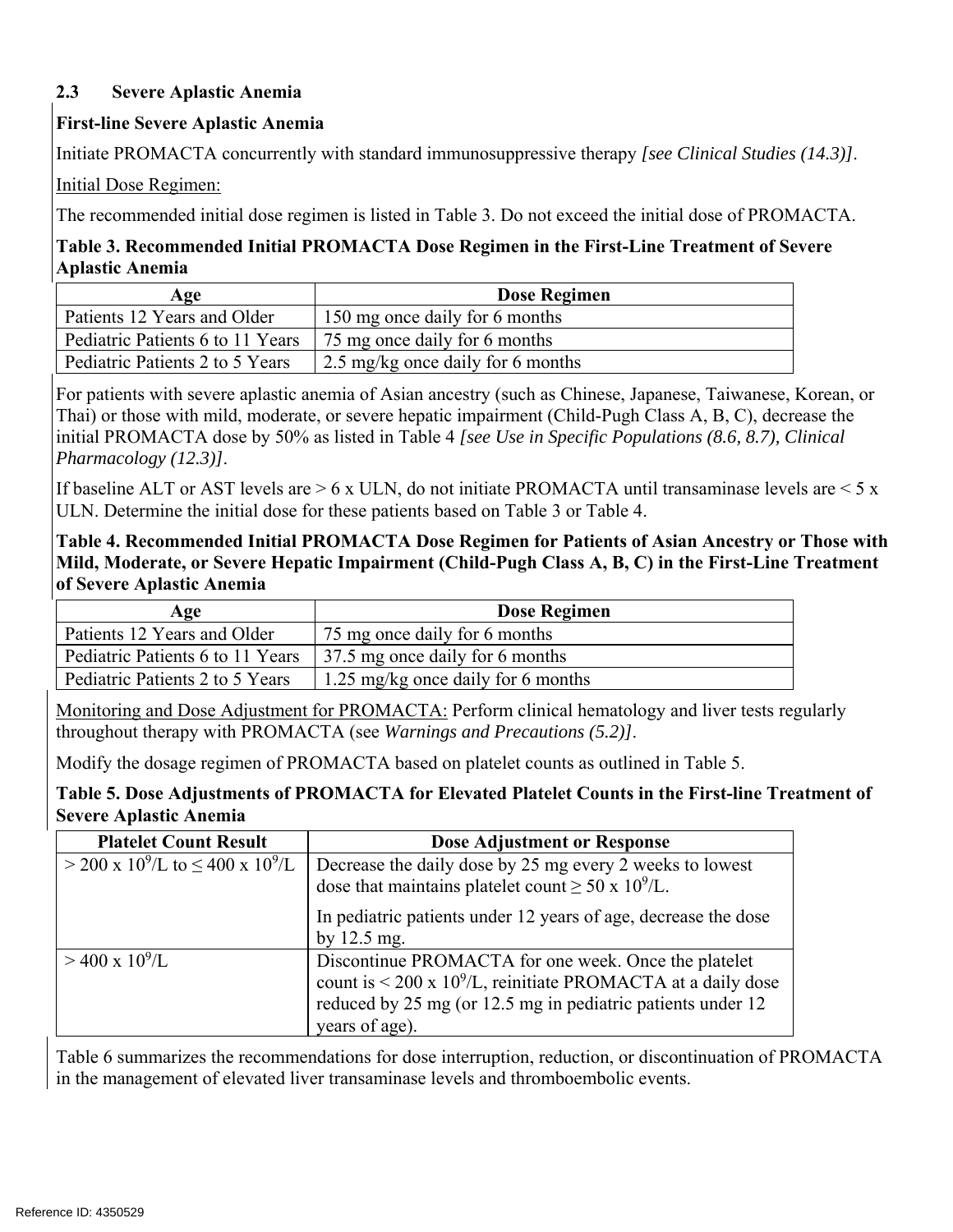### **2.3 Severe Aplastic Anemia**

### **First-line Severe Aplastic Anemia**

Initiate PROMACTA concurrently with standard immunosuppressive therapy *[see Clinical Studies (14.3)]*.

Initial Dose Regimen:

The recommended initial dose regimen is listed in Table 3. Do not exceed the initial dose of PROMACTA.

## **Table 3. Recommended Initial PROMACTA Dose Regimen in the First-Line Treatment of Severe Aplastic Anemia**

| Age                              | Dose Regimen                      |  |
|----------------------------------|-----------------------------------|--|
| Patients 12 Years and Older      | 150 mg once daily for 6 months    |  |
| Pediatric Patients 6 to 11 Years | 75 mg once daily for 6 months     |  |
| Pediatric Patients 2 to 5 Years  | 2.5 mg/kg once daily for 6 months |  |

For patients with severe aplastic anemia of Asian ancestry (such as Chinese, Japanese, Taiwanese, Korean, or Thai) or those with mild, moderate, or severe hepatic impairment (Child-Pugh Class A, B, C), decrease the initial PROMACTA dose by 50% as listed in Table 4 *[see Use in Specific Populations (8.6, 8.7), Clinical Pharmacology (12.3)]*.

If baseline ALT or AST levels are  $> 6 \times$  ULN, do not initiate PROMACTA until transaminase levels are  $< 5 \times$ ULN. Determine the initial dose for these patients based on Table 3 or Table 4.

### **Table 4. Recommended Initial PROMACTA Dose Regimen for Patients of Asian Ancestry or Those with Mild, Moderate, or Severe Hepatic Impairment (Child-Pugh Class A, B, C) in the First-Line Treatment of Severe Aplastic Anemia**

| Age                              | <b>Dose Regimen</b>                |
|----------------------------------|------------------------------------|
| Patients 12 Years and Older      | 75 mg once daily for 6 months      |
| Pediatric Patients 6 to 11 Years | 37.5 mg once daily for 6 months    |
| Pediatric Patients 2 to 5 Years  | 1.25 mg/kg once daily for 6 months |

Monitoring and Dose Adjustment for PROMACTA: Perform clinical hematology and liver tests regularly throughout therapy with PROMACTA (see *Warnings and Precautions (5.2)]*.

Modify the dosage regimen of PROMACTA based on platelet counts as outlined in Table 5.

**Table 5. Dose Adjustments of PROMACTA for Elevated Platelet Counts in the First-line Treatment of Severe Aplastic Anemia** 

| <b>Platelet Count Result</b>                                    | <b>Dose Adjustment or Response</b>                                                                                                                                                                                     |
|-----------------------------------------------------------------|------------------------------------------------------------------------------------------------------------------------------------------------------------------------------------------------------------------------|
| $>$ 200 x 10 <sup>9</sup> /L to $\leq$ 400 x 10 <sup>9</sup> /L | Decrease the daily dose by 25 mg every 2 weeks to lowest<br>dose that maintains platelet count $\geq 50 \times 10^9$ /L.                                                                                               |
|                                                                 | In pediatric patients under 12 years of age, decrease the dose<br>by $12.5$ mg.                                                                                                                                        |
| $>$ 400 x 10 <sup>9</sup> /L                                    | Discontinue PROMACTA for one week. Once the platelet<br>count is $\leq$ 200 x 10 <sup>9</sup> /L, reinitiate PROMACTA at a daily dose<br>reduced by 25 mg (or 12.5 mg in pediatric patients under 12<br>years of age). |

Table 6 summarizes the recommendations for dose interruption, reduction, or discontinuation of PROMACTA in the management of elevated liver transaminase levels and thromboembolic events.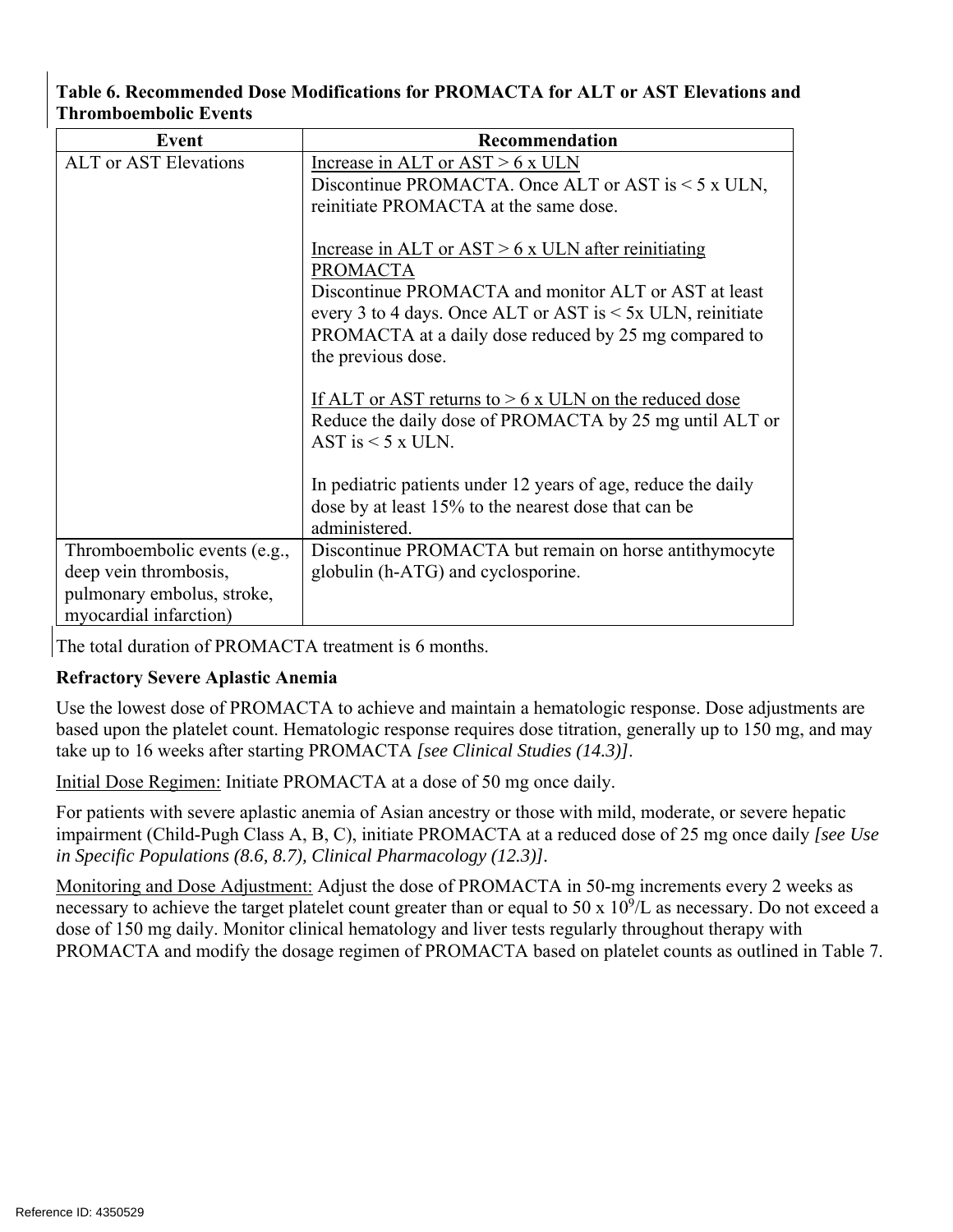### **Table 6. Recommended Dose Modifications for PROMACTA for ALT or AST Elevations and Thromboembolic Events**

| Event                        | Recommendation                                                                                                                                                                                                                                                                     |  |  |
|------------------------------|------------------------------------------------------------------------------------------------------------------------------------------------------------------------------------------------------------------------------------------------------------------------------------|--|--|
| <b>ALT</b> or AST Elevations | Increase in ALT or $AST > 6$ x ULN                                                                                                                                                                                                                                                 |  |  |
|                              | Discontinue PROMACTA. Once ALT or AST is $\leq$ 5 x ULN,                                                                                                                                                                                                                           |  |  |
|                              | reinitiate PROMACTA at the same dose.                                                                                                                                                                                                                                              |  |  |
|                              | Increase in ALT or $AST > 6$ x ULN after reinitiating<br><b>PROMACTA</b><br>Discontinue PROMACTA and monitor ALT or AST at least<br>every 3 to 4 days. Once ALT or AST is $\leq$ 5x ULN, reinitiate<br>PROMACTA at a daily dose reduced by 25 mg compared to<br>the previous dose. |  |  |
|                              | If ALT or AST returns to $> 6x$ ULN on the reduced dose<br>Reduce the daily dose of PROMACTA by 25 mg until ALT or<br>AST is $\leq$ 5 x ULN.                                                                                                                                       |  |  |
|                              | In pediatric patients under 12 years of age, reduce the daily<br>dose by at least 15% to the nearest dose that can be<br>administered.                                                                                                                                             |  |  |
| Thromboembolic events (e.g., | Discontinue PROMACTA but remain on horse antithymocyte                                                                                                                                                                                                                             |  |  |
| deep vein thrombosis,        | globulin (h-ATG) and cyclosporine.                                                                                                                                                                                                                                                 |  |  |
| pulmonary embolus, stroke,   |                                                                                                                                                                                                                                                                                    |  |  |
| myocardial infarction)       |                                                                                                                                                                                                                                                                                    |  |  |

The total duration of PROMACTA treatment is 6 months.

### **Refractory Severe Aplastic Anemia**

Use the lowest dose of PROMACTA to achieve and maintain a hematologic response. Dose adjustments are based upon the platelet count. Hematologic response requires dose titration, generally up to 150 mg, and may take up to 16 weeks after starting PROMACTA *[see Clinical Studies (14.3)]*.

Initial Dose Regimen: Initiate PROMACTA at a dose of 50 mg once daily.

For patients with severe aplastic anemia of Asian ancestry or those with mild, moderate, or severe hepatic impairment (Child-Pugh Class A, B, C), initiate PROMACTA at a reduced dose of 25 mg once daily *[see Use in Specific Populations (8.6, 8.7), Clinical Pharmacology (12.3)].* 

Monitoring and Dose Adjustment: Adjust the dose of PROMACTA in 50-mg increments every 2 weeks as necessary to achieve the target platelet count greater than or equal to 50 x  $10^9$ /L as necessary. Do not exceed a dose of 150 mg daily. Monitor clinical hematology and liver tests regularly throughout therapy with PROMACTA and modify the dosage regimen of PROMACTA based on platelet counts as outlined in Table 7.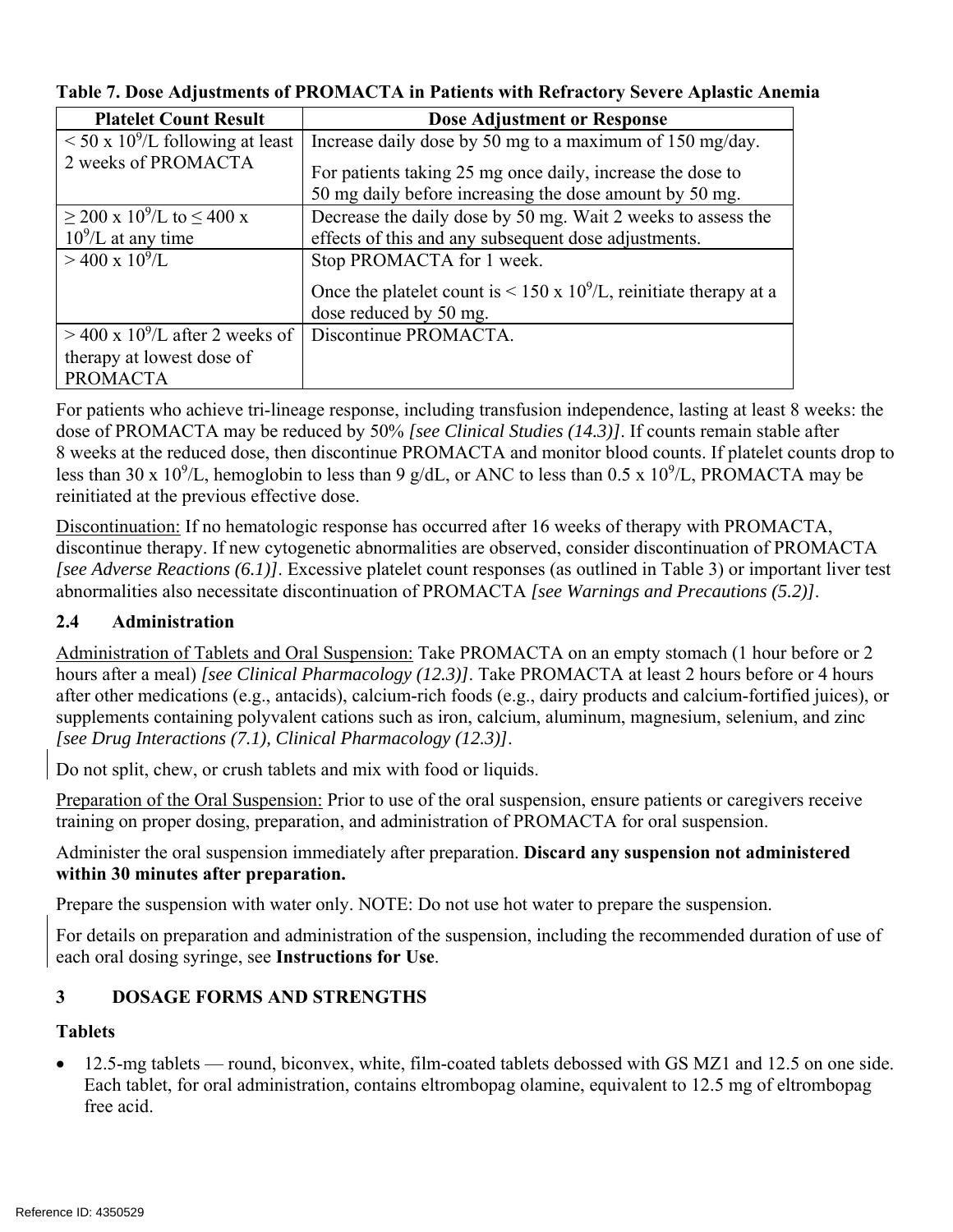| <b>Platelet Count Result</b>                       | <b>Dose Adjustment or Response</b>                                                                                    |
|----------------------------------------------------|-----------------------------------------------------------------------------------------------------------------------|
| $\rm < 50$ x 10 <sup>9</sup> /L following at least | Increase daily dose by 50 mg to a maximum of 150 mg/day.                                                              |
| 2 weeks of PROMACTA                                | For patients taking 25 mg once daily, increase the dose to<br>50 mg daily before increasing the dose amount by 50 mg. |
| $\geq$ 200 x 10 <sup>9</sup> /L to ≤ 400 x         | Decrease the daily dose by 50 mg. Wait 2 weeks to assess the                                                          |
| $10^9$ /L at any time                              | effects of this and any subsequent dose adjustments.                                                                  |
| $>$ 400 x 10 <sup>9</sup> /L                       | Stop PROMACTA for 1 week.                                                                                             |
|                                                    | Once the platelet count is < 150 x $10^9$ /L, reinitiate therapy at a                                                 |
|                                                    | dose reduced by 50 mg.                                                                                                |
| $>$ 400 x 10 <sup>9</sup> /L after 2 weeks of      | Discontinue PROMACTA.                                                                                                 |
| therapy at lowest dose of                          |                                                                                                                       |
| <b>PROMACTA</b>                                    |                                                                                                                       |

### **Table 7. Dose Adjustments of PROMACTA in Patients with Refractory Severe Aplastic Anemia**

For patients who achieve tri-lineage response, including transfusion independence, lasting at least 8 weeks: the dose of PROMACTA may be reduced by 50% *[see Clinical Studies (14.3)]*. If counts remain stable after 8 weeks at the reduced dose, then discontinue PROMACTA and monitor blood counts. If platelet counts drop to less than 30 x 10<sup>9</sup>/L, hemoglobin to less than 9 g/dL, or ANC to less than 0.5 x 10<sup>9</sup>/L, PROMACTA may be reinitiated at the previous effective dose.

Discontinuation: If no hematologic response has occurred after 16 weeks of therapy with PROMACTA, discontinue therapy. If new cytogenetic abnormalities are observed, consider discontinuation of PROMACTA *[see Adverse Reactions (6.1)]*. Excessive platelet count responses (as outlined in Table 3) or important liver test abnormalities also necessitate discontinuation of PROMACTA *[see Warnings and Precautions (5.2)]*.

### **2.4 Administration**

Administration of Tablets and Oral Suspension: Take PROMACTA on an empty stomach (1 hour before or 2 hours after a meal) *[see Clinical Pharmacology (12.3)]*. Take PROMACTA at least 2 hours before or 4 hours after other medications (e.g., antacids), calcium-rich foods (e.g., dairy products and calcium-fortified juices), or supplements containing polyvalent cations such as iron, calcium, aluminum, magnesium, selenium, and zinc *[see Drug Interactions (7.1), Clinical Pharmacology (12.3)]*.

Do not split, chew, or crush tablets and mix with food or liquids.

Preparation of the Oral Suspension: Prior to use of the oral suspension, ensure patients or caregivers receive training on proper dosing, preparation, and administration of PROMACTA for oral suspension.

Administer the oral suspension immediately after preparation. **Discard any suspension not administered within 30 minutes after preparation.** 

Prepare the suspension with water only. NOTE: Do not use hot water to prepare the suspension.

For details on preparation and administration of the suspension, including the recommended duration of use of each oral dosing syringe, see **Instructions for Use**.

#### **DOSAGE FORMS AND STRENGTHS 3**

### **Tablets**

 12.5-mg tablets — round, biconvex, white, film-coated tablets debossed with GS MZ1 and 12.5 on one side. Each tablet, for oral administration, contains eltrombopag olamine, equivalent to 12.5 mg of eltrombopag free acid.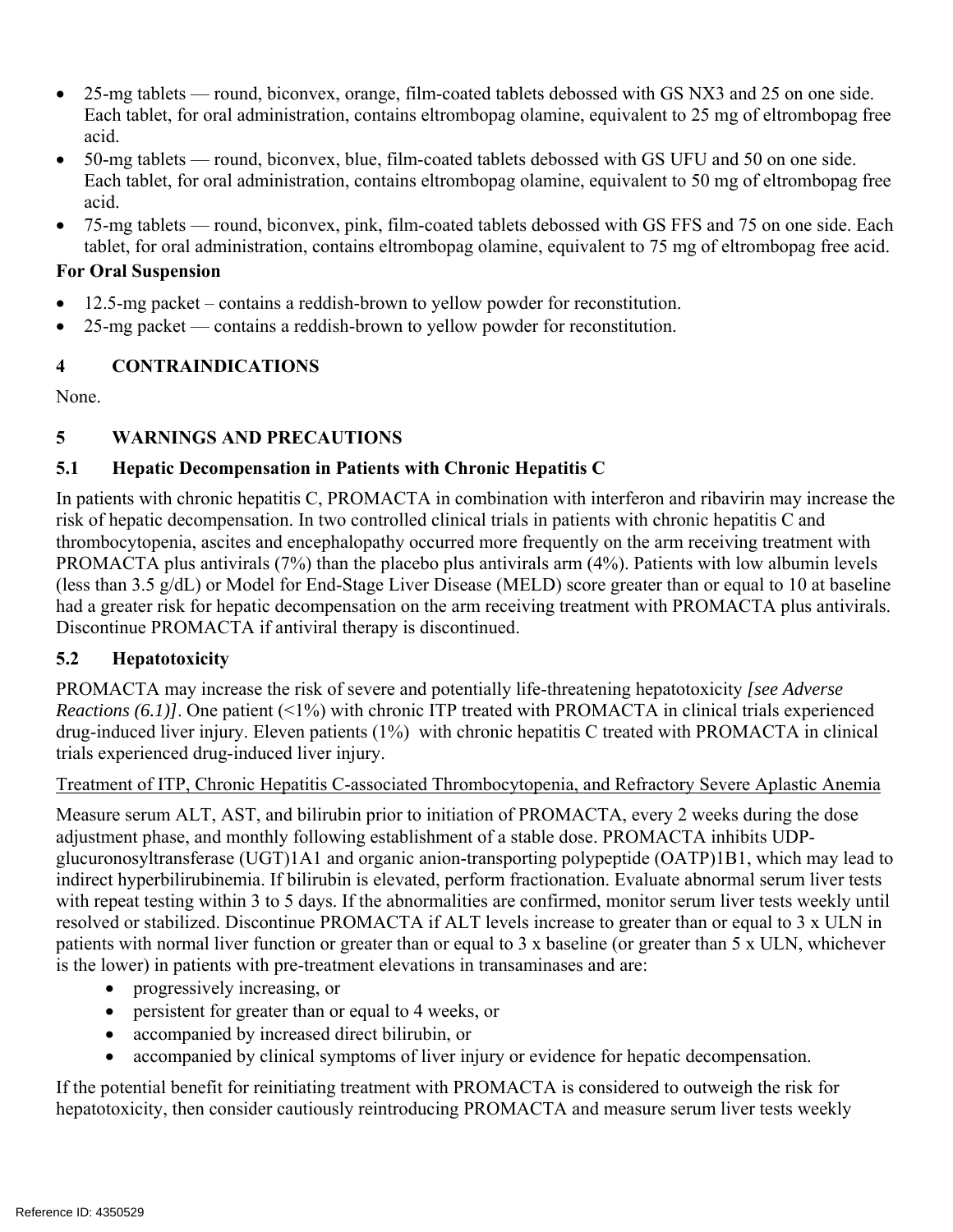- 25-mg tablets round, biconvex, orange, film-coated tablets debossed with GS NX3 and 25 on one side. Each tablet, for oral administration, contains eltrombopag olamine, equivalent to 25 mg of eltrombopag free acid.
- 50-mg tablets round, biconvex, blue, film-coated tablets debossed with GS UFU and 50 on one side. Each tablet, for oral administration, contains eltrombopag olamine, equivalent to 50 mg of eltrombopag free acid.
- 75-mg tablets round, biconvex, pink, film-coated tablets debossed with GS FFS and 75 on one side. Each tablet, for oral administration, contains eltrombopag olamine, equivalent to 75 mg of eltrombopag free acid.

### **For Oral Suspension**

- 12.5-mg packet contains a reddish-brown to yellow powder for reconstitution.
- 25-mg packet contains a reddish-brown to yellow powder for reconstitution.

## **4 CONTRAINDICATIONS**

None.

## **5 WARNINGS AND PRECAUTIONS**

## **5.1 Hepatic Decompensation in Patients with Chronic Hepatitis C**

In patients with chronic hepatitis C, PROMACTA in combination with interferon and ribavirin may increase the risk of hepatic decompensation. In two controlled clinical trials in patients with chronic hepatitis C and thrombocytopenia, ascites and encephalopathy occurred more frequently on the arm receiving treatment with PROMACTA plus antivirals (7%) than the placebo plus antivirals arm (4%). Patients with low albumin levels (less than 3.5 g/dL) or Model for End-Stage Liver Disease (MELD) score greater than or equal to 10 at baseline had a greater risk for hepatic decompensation on the arm receiving treatment with PROMACTA plus antivirals. Discontinue PROMACTA if antiviral therapy is discontinued.

## **5.2 Hepatotoxicity**

PROMACTA may increase the risk of severe and potentially life-threatening hepatotoxicity *[see Adverse Reactions (6.1)]*. One patient (<1%) with chronic ITP treated with PROMACTA in clinical trials experienced drug-induced liver injury. Eleven patients (1%) with chronic hepatitis C treated with PROMACTA in clinical trials experienced drug-induced liver injury.

### Treatment of ITP, Chronic Hepatitis C-associated Thrombocytopenia, and Refractory Severe Aplastic Anemia

Measure serum ALT, AST, and bilirubin prior to initiation of PROMACTA, every 2 weeks during the dose adjustment phase, and monthly following establishment of a stable dose. PROMACTA inhibits UDPglucuronosyltransferase (UGT)1A1 and organic anion-transporting polypeptide (OATP)1B1, which may lead to indirect hyperbilirubinemia. If bilirubin is elevated, perform fractionation. Evaluate abnormal serum liver tests with repeat testing within 3 to 5 days. If the abnormalities are confirmed, monitor serum liver tests weekly until resolved or stabilized. Discontinue PROMACTA if ALT levels increase to greater than or equal to 3 x ULN in patients with normal liver function or greater than or equal to 3 x baseline (or greater than 5 x ULN, whichever is the lower) in patients with pre-treatment elevations in transaminases and are:

- progressively increasing, or
- persistent for greater than or equal to 4 weeks, or
- accompanied by increased direct bilirubin, or
- accompanied by clinical symptoms of liver injury or evidence for hepatic decompensation.

If the potential benefit for reinitiating treatment with PROMACTA is considered to outweigh the risk for hepatotoxicity, then consider cautiously reintroducing PROMACTA and measure serum liver tests weekly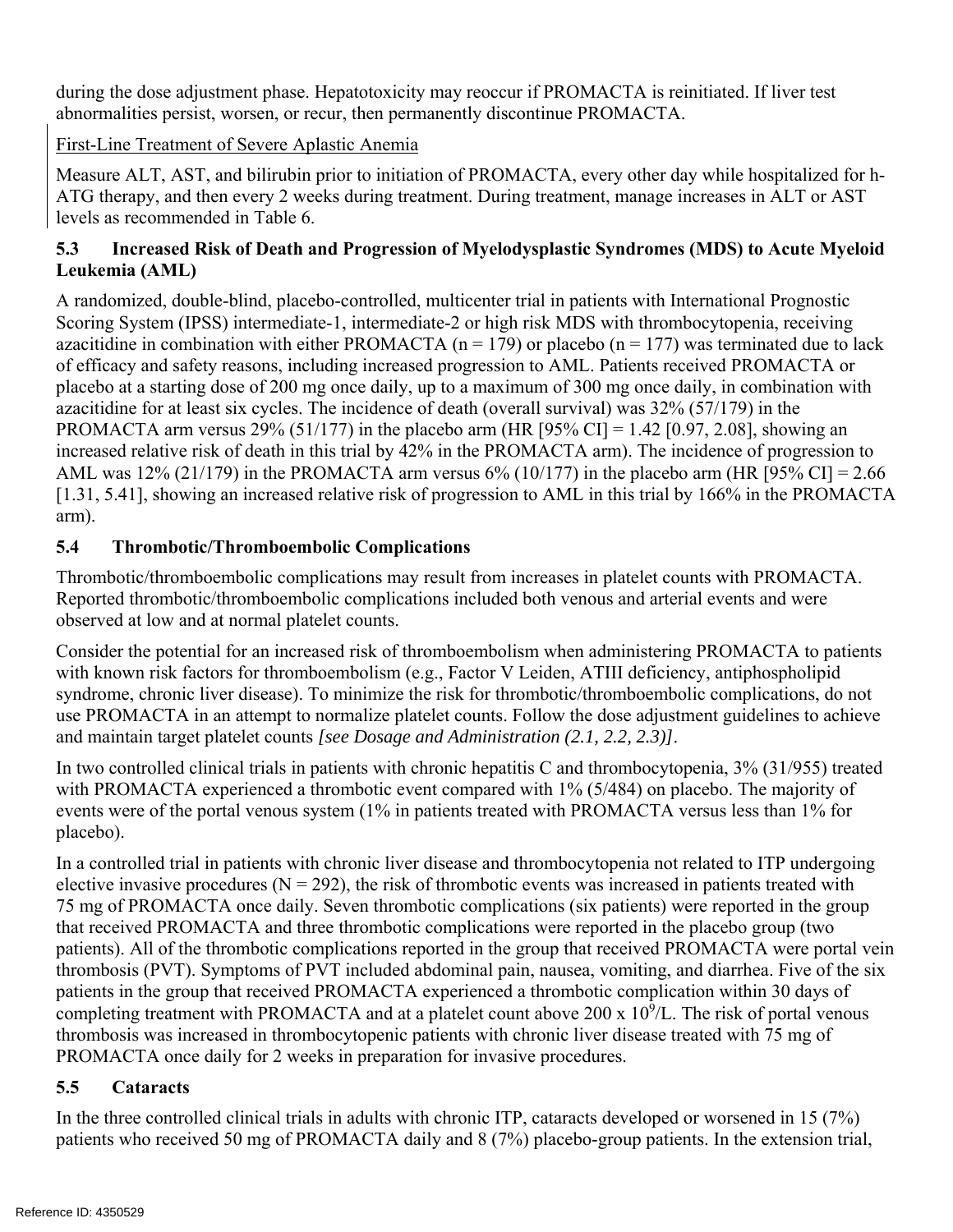during the dose adjustment phase. Hepatotoxicity may reoccur if PROMACTA is reinitiated. If liver test abnormalities persist, worsen, or recur, then permanently discontinue PROMACTA.

### First-Line Treatment of Severe Aplastic Anemia

Measure ALT, AST, and bilirubin prior to initiation of PROMACTA, every other day while hospitalized for h-ATG therapy, and then every 2 weeks during treatment. During treatment, manage increases in ALT or AST levels as recommended in Table 6.

### **5.3 Increased Risk of Death and Progression of Myelodysplastic Syndromes (MDS) to Acute Myeloid Leukemia (AML)**

A randomized, double-blind, placebo-controlled, multicenter trial in patients with International Prognostic Scoring System (IPSS) intermediate-1, intermediate-2 or high risk MDS with thrombocytopenia, receiving azacitidine in combination with either PROMACTA ( $n = 179$ ) or placebo ( $n = 177$ ) was terminated due to lack of efficacy and safety reasons, including increased progression to AML. Patients received PROMACTA or placebo at a starting dose of 200 mg once daily, up to a maximum of 300 mg once daily, in combination with azacitidine for at least six cycles. The incidence of death (overall survival) was 32% (57/179) in the PROMACTA arm versus 29% (51/177) in the placebo arm (HR [95% CI] = 1.42 [0.97, 2.08], showing an increased relative risk of death in this trial by 42% in the PROMACTA arm). The incidence of progression to AML was 12% (21/179) in the PROMACTA arm versus 6% (10/177) in the placebo arm (HR [95% CI] = 2.66 [1.31, 5.41], showing an increased relative risk of progression to AML in this trial by 166% in the PROMACTA arm).

## **5.4 Thrombotic/Thromboembolic Complications**

Thrombotic/thromboembolic complications may result from increases in platelet counts with PROMACTA. Reported thrombotic/thromboembolic complications included both venous and arterial events and were observed at low and at normal platelet counts.

Consider the potential for an increased risk of thromboembolism when administering PROMACTA to patients with known risk factors for thromboembolism (e.g., Factor V Leiden, ATIII deficiency, antiphospholipid syndrome, chronic liver disease). To minimize the risk for thrombotic/thromboembolic complications, do not use PROMACTA in an attempt to normalize platelet counts. Follow the dose adjustment guidelines to achieve and maintain target platelet counts *[see Dosage and Administration (2.1, 2.2, 2.3)]*.

In two controlled clinical trials in patients with chronic hepatitis C and thrombocytopenia,  $3\%$  (31/955) treated with PROMACTA experienced a thrombotic event compared with 1% (5/484) on placebo. The majority of events were of the portal venous system (1% in patients treated with PROMACTA versus less than 1% for placebo).

In a controlled trial in patients with chronic liver disease and thrombocytopenia not related to ITP undergoing elective invasive procedures ( $N = 292$ ), the risk of thrombotic events was increased in patients treated with 75 mg of PROMACTA once daily. Seven thrombotic complications (six patients) were reported in the group that received PROMACTA and three thrombotic complications were reported in the placebo group (two patients). All of the thrombotic complications reported in the group that received PROMACTA were portal vein thrombosis (PVT). Symptoms of PVT included abdominal pain, nausea, vomiting, and diarrhea. Five of the six patients in the group that received PROMACTA experienced a thrombotic complication within 30 days of completing treatment with PROMACTA and at a platelet count above 200 x  $10^9$ /L. The risk of portal venous thrombosis was increased in thrombocytopenic patients with chronic liver disease treated with 75 mg of PROMACTA once daily for 2 weeks in preparation for invasive procedures.

### **5.5 Cataracts**

In the three controlled clinical trials in adults with chronic ITP, cataracts developed or worsened in 15 (7%) patients who received 50 mg of PROMACTA daily and 8 (7%) placebo-group patients. In the extension trial,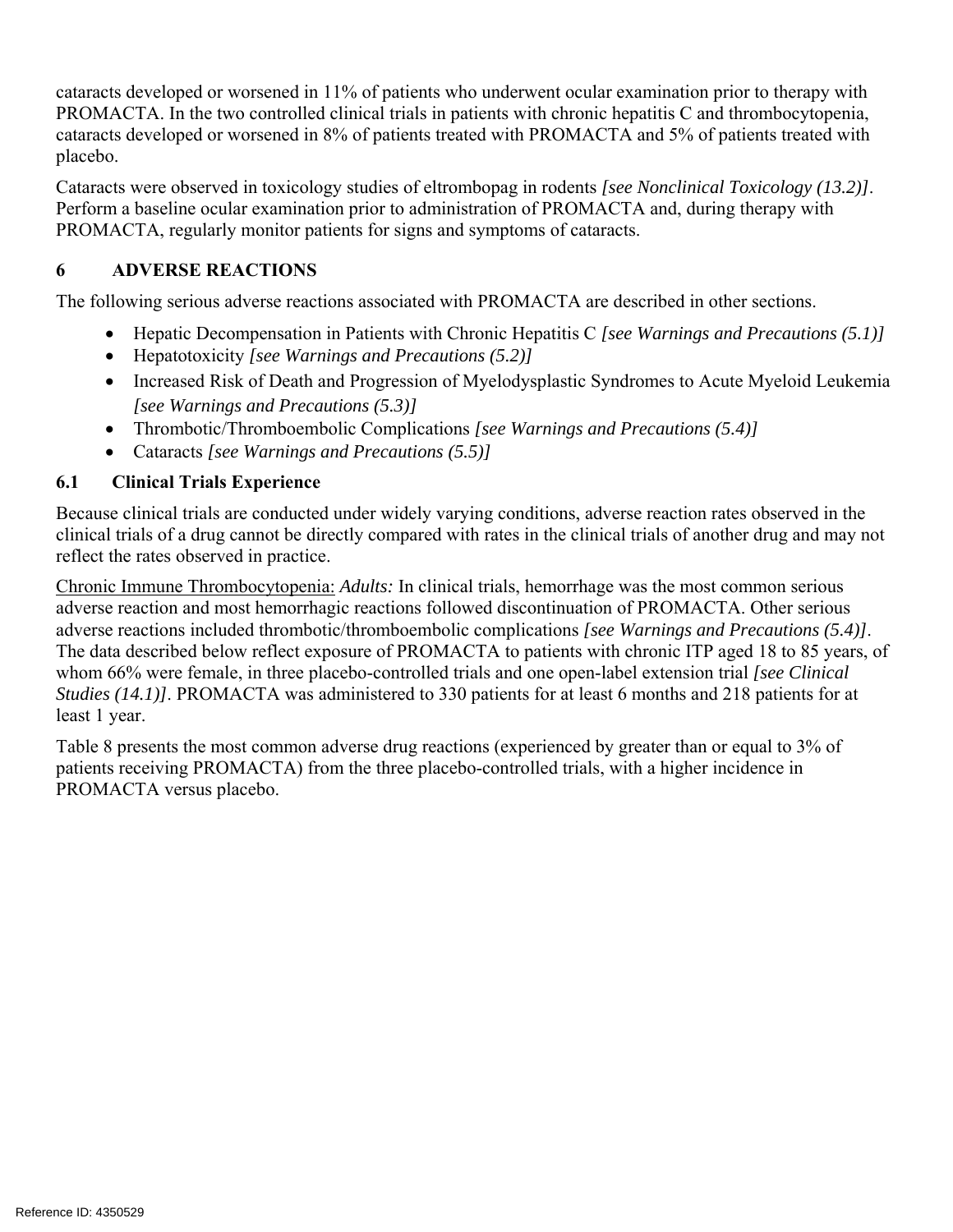cataracts developed or worsened in 11% of patients who underwent ocular examination prior to therapy with PROMACTA. In the two controlled clinical trials in patients with chronic hepatitis C and thrombocytopenia, cataracts developed or worsened in 8% of patients treated with PROMACTA and 5% of patients treated with placebo.

Cataracts were observed in toxicology studies of eltrombopag in rodents *[see Nonclinical Toxicology (13.2)]*. Perform a baseline ocular examination prior to administration of PROMACTA and, during therapy with PROMACTA, regularly monitor patients for signs and symptoms of cataracts.

#### **6 ADVERSE REACTIONS**

The following serious adverse reactions associated with PROMACTA are described in other sections.

- Hepatic Decompensation in Patients with Chronic Hepatitis C *[see Warnings and Precautions (5.1)]*
- Hepatotoxicity *[see Warnings and Precautions (5.2)]*
- Increased Risk of Death and Progression of Myelodysplastic Syndromes to Acute Myeloid Leukemia *[see Warnings and Precautions (5.3)]*
- Thrombotic/Thromboembolic Complications *[see Warnings and Precautions (5.4)]*
- Cataracts *[see Warnings and Precautions (5.5)]*

## **6.1 Clinical Trials Experience**

Because clinical trials are conducted under widely varying conditions, adverse reaction rates observed in the clinical trials of a drug cannot be directly compared with rates in the clinical trials of another drug and may not reflect the rates observed in practice.

Chronic Immune Thrombocytopenia: *Adults:* In clinical trials, hemorrhage was the most common serious adverse reaction and most hemorrhagic reactions followed discontinuation of PROMACTA. Other serious adverse reactions included thrombotic/thromboembolic complications *[see Warnings and Precautions (5.4)]*. The data described below reflect exposure of PROMACTA to patients with chronic ITP aged 18 to 85 years, of whom 66% were female, in three placebo-controlled trials and one open-label extension trial *[see Clinical Studies (14.1)]*. PROMACTA was administered to 330 patients for at least 6 months and 218 patients for at least 1 year.

Table 8 presents the most common adverse drug reactions (experienced by greater than or equal to 3% of patients receiving PROMACTA) from the three placebo-controlled trials, with a higher incidence in PROMACTA versus placebo.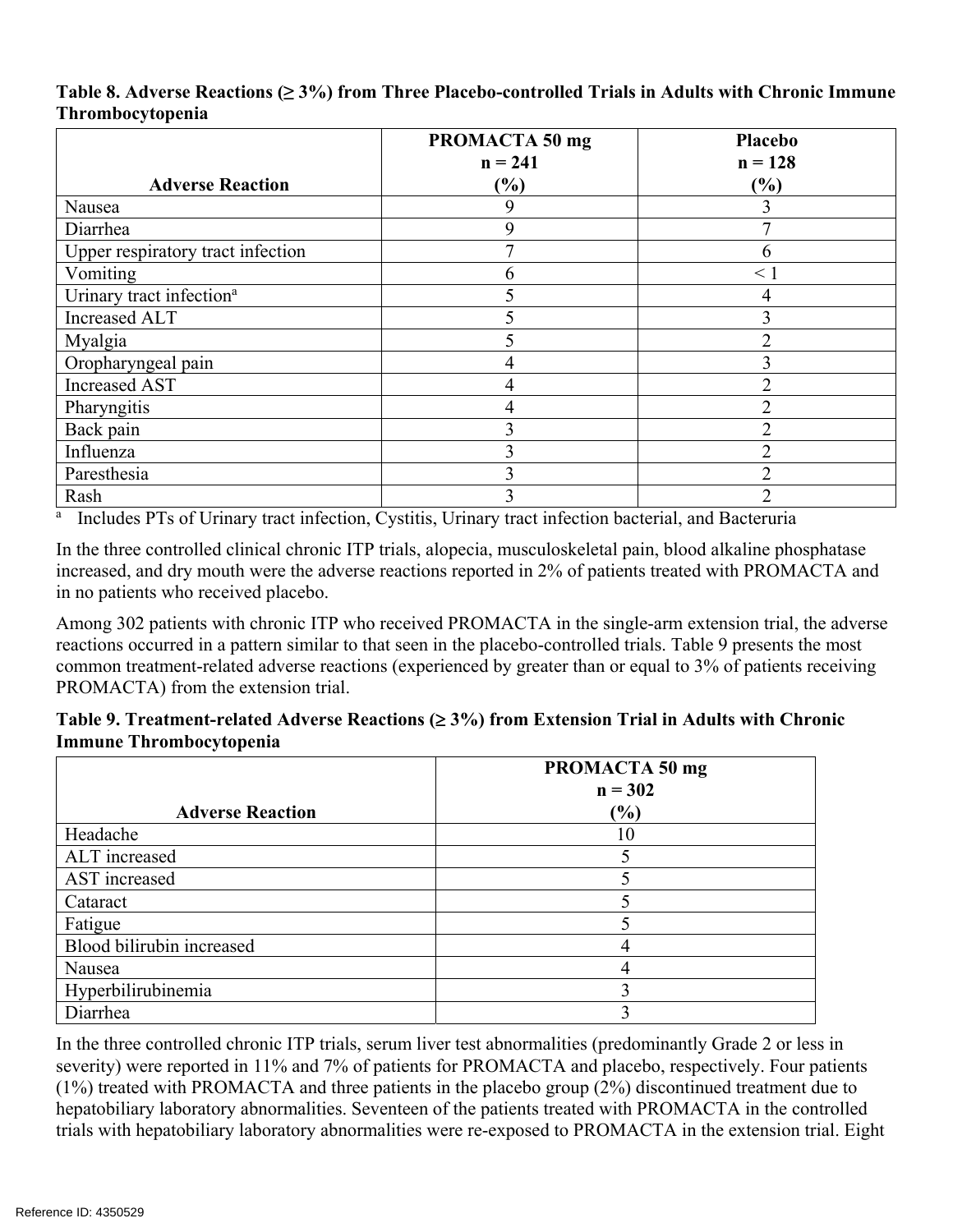|                                      | PROMACTA 50 mg | Placebo        |
|--------------------------------------|----------------|----------------|
|                                      | $n = 241$      | $n = 128$      |
| <b>Adverse Reaction</b>              | (%)            | (%)            |
| Nausea                               | 9              |                |
| Diarrhea                             | 9              |                |
| Upper respiratory tract infection    | 7              | b              |
| Vomiting                             | 6              | $\leq 1$       |
| Urinary tract infection <sup>a</sup> |                |                |
| Increased ALT                        |                |                |
| Myalgia                              | 5              | $\mathfrak{D}$ |
| Oropharyngeal pain                   | 4              |                |
| <b>Increased AST</b>                 | 4              |                |
| Pharyngitis                          | 4              |                |
| Back pain                            | 3              |                |
| Influenza                            | 3              | າ              |
| Paresthesia                          | 3              |                |
| Rash                                 |                |                |

### **Table 8. Adverse Reactions (≥ 3%) from Three Placebo-controlled Trials in Adults with Chronic Immune Thrombocytopenia**

Includes PTs of Urinary tract infection, Cystitis, Urinary tract infection bacterial, and Bacteruria

In the three controlled clinical chronic ITP trials, alopecia, musculoskeletal pain, blood alkaline phosphatase increased, and dry mouth were the adverse reactions reported in 2% of patients treated with PROMACTA and in no patients who received placebo.

Among 302 patients with chronic ITP who received PROMACTA in the single-arm extension trial, the adverse reactions occurred in a pattern similar to that seen in the placebo-controlled trials. Table 9 presents the most common treatment-related adverse reactions (experienced by greater than or equal to 3% of patients receiving PROMACTA) from the extension trial.

### **Table 9. Treatment-related Adverse Reactions ( 3%) from Extension Trial in Adults with Chronic Immune Thrombocytopenia**

|                           | PROMACTA 50 mg |  |
|---------------------------|----------------|--|
|                           | $n = 302$      |  |
| <b>Adverse Reaction</b>   | (%)            |  |
| Headache                  | 10             |  |
| ALT increased             |                |  |
| AST increased             |                |  |
| Cataract                  |                |  |
| Fatigue                   |                |  |
| Blood bilirubin increased |                |  |
| Nausea                    |                |  |
| Hyperbilirubinemia        |                |  |
| Diarrhea                  |                |  |

In the three controlled chronic ITP trials, serum liver test abnormalities (predominantly Grade 2 or less in severity) were reported in 11% and 7% of patients for PROMACTA and placebo, respectively. Four patients (1%) treated with PROMACTA and three patients in the placebo group (2%) discontinued treatment due to hepatobiliary laboratory abnormalities. Seventeen of the patients treated with PROMACTA in the controlled trials with hepatobiliary laboratory abnormalities were re-exposed to PROMACTA in the extension trial. Eight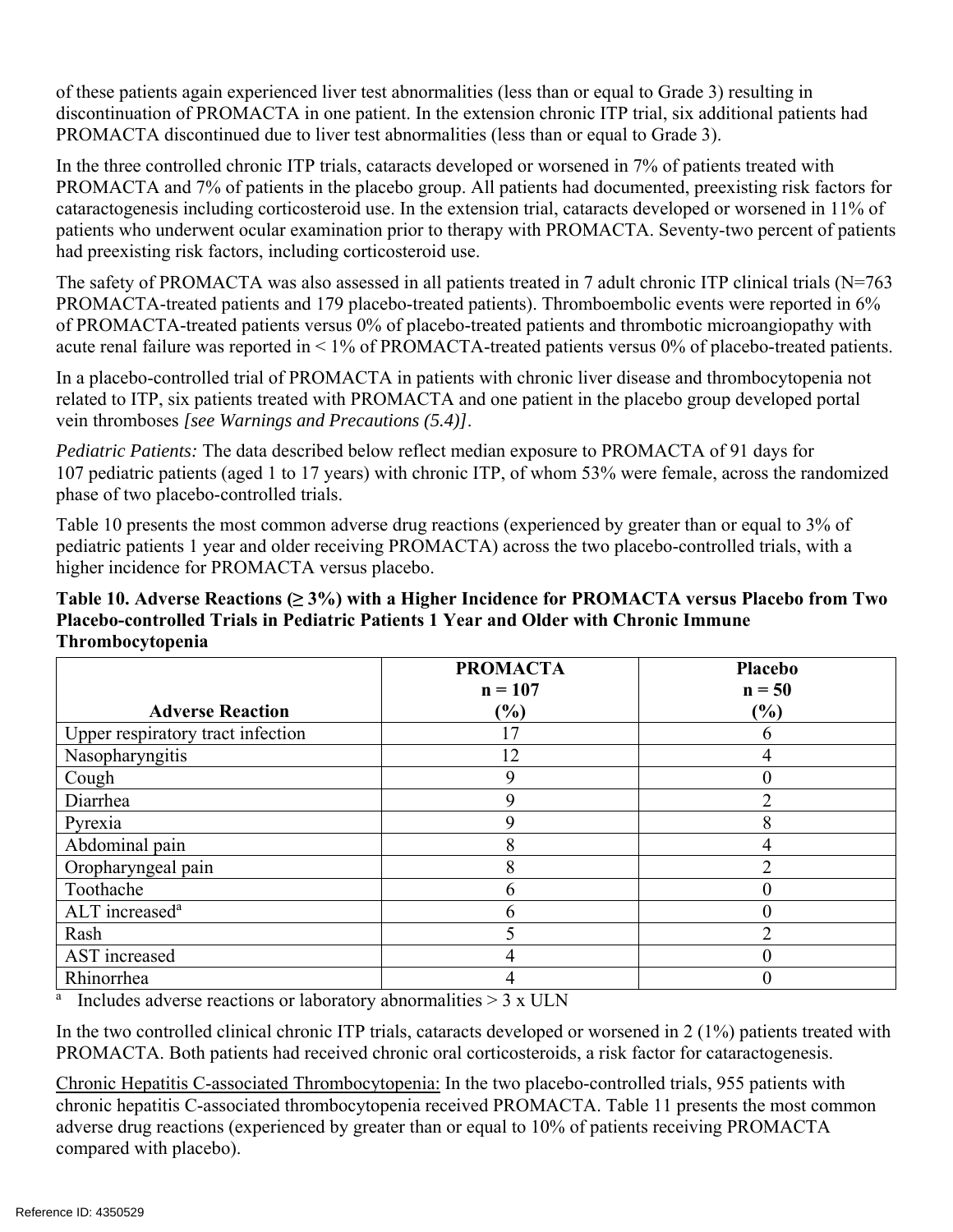of these patients again experienced liver test abnormalities (less than or equal to Grade 3) resulting in discontinuation of PROMACTA in one patient. In the extension chronic ITP trial, six additional patients had PROMACTA discontinued due to liver test abnormalities (less than or equal to Grade 3).

In the three controlled chronic ITP trials, cataracts developed or worsened in 7% of patients treated with PROMACTA and 7% of patients in the placebo group. All patients had documented, preexisting risk factors for cataractogenesis including corticosteroid use. In the extension trial, cataracts developed or worsened in 11% of patients who underwent ocular examination prior to therapy with PROMACTA. Seventy-two percent of patients had preexisting risk factors, including corticosteroid use.

The safety of PROMACTA was also assessed in all patients treated in 7 adult chronic ITP clinical trials (N=763 PROMACTA-treated patients and 179 placebo-treated patients). Thromboembolic events were reported in 6% of PROMACTA-treated patients versus 0% of placebo-treated patients and thrombotic microangiopathy with acute renal failure was reported in < 1% of PROMACTA-treated patients versus 0% of placebo-treated patients.

In a placebo-controlled trial of PROMACTA in patients with chronic liver disease and thrombocytopenia not related to ITP, six patients treated with PROMACTA and one patient in the placebo group developed portal vein thromboses *[see Warnings and Precautions (5.4)]*.

*Pediatric Patients:* The data described below reflect median exposure to PROMACTA of 91 days for 107 pediatric patients (aged 1 to 17 years) with chronic ITP, of whom 53% were female, across the randomized phase of two placebo-controlled trials.

Table 10 presents the most common adverse drug reactions (experienced by greater than or equal to 3% of pediatric patients 1 year and older receiving PROMACTA) across the two placebo-controlled trials, with a higher incidence for PROMACTA versus placebo.

| Table 10. Adverse Reactions ( $\geq 3\%$ ) with a Higher Incidence for PROMACTA versus Placebo from Two |
|---------------------------------------------------------------------------------------------------------|
| Placebo-controlled Trials in Pediatric Patients 1 Year and Older with Chronic Immune                    |
| <b>Thrombocytopenia</b>                                                                                 |

|                                   | <b>PROMACTA</b><br>$n = 107$ | Placebo<br>$n = 50$ |
|-----------------------------------|------------------------------|---------------------|
| <b>Adverse Reaction</b>           | (%)                          | $\frac{6}{6}$       |
| Upper respiratory tract infection | 17                           |                     |
| Nasopharyngitis                   | 12                           |                     |
| Cough                             | 9                            |                     |
| Diarrhea                          | 9                            |                     |
| Pyrexia                           | Q                            |                     |
| Abdominal pain                    | 8                            |                     |
| Oropharyngeal pain                | 8                            |                     |
| Toothache                         | 6                            |                     |
| ALT increased <sup>a</sup>        | 6                            |                     |
| Rash                              |                              |                     |
| AST increased                     | 4                            |                     |
| Rhinorrhea                        | 4                            |                     |

<sup>a</sup> Includes adverse reactions or laboratory abnormalities  $> 3 \times ULN$ 

In the two controlled clinical chronic ITP trials, cataracts developed or worsened in 2 (1%) patients treated with PROMACTA. Both patients had received chronic oral corticosteroids, a risk factor for cataractogenesis.

Chronic Hepatitis C-associated Thrombocytopenia: In the two placebo-controlled trials, 955 patients with chronic hepatitis C-associated thrombocytopenia received PROMACTA. Table 11 presents the most common adverse drug reactions (experienced by greater than or equal to 10% of patients receiving PROMACTA compared with placebo).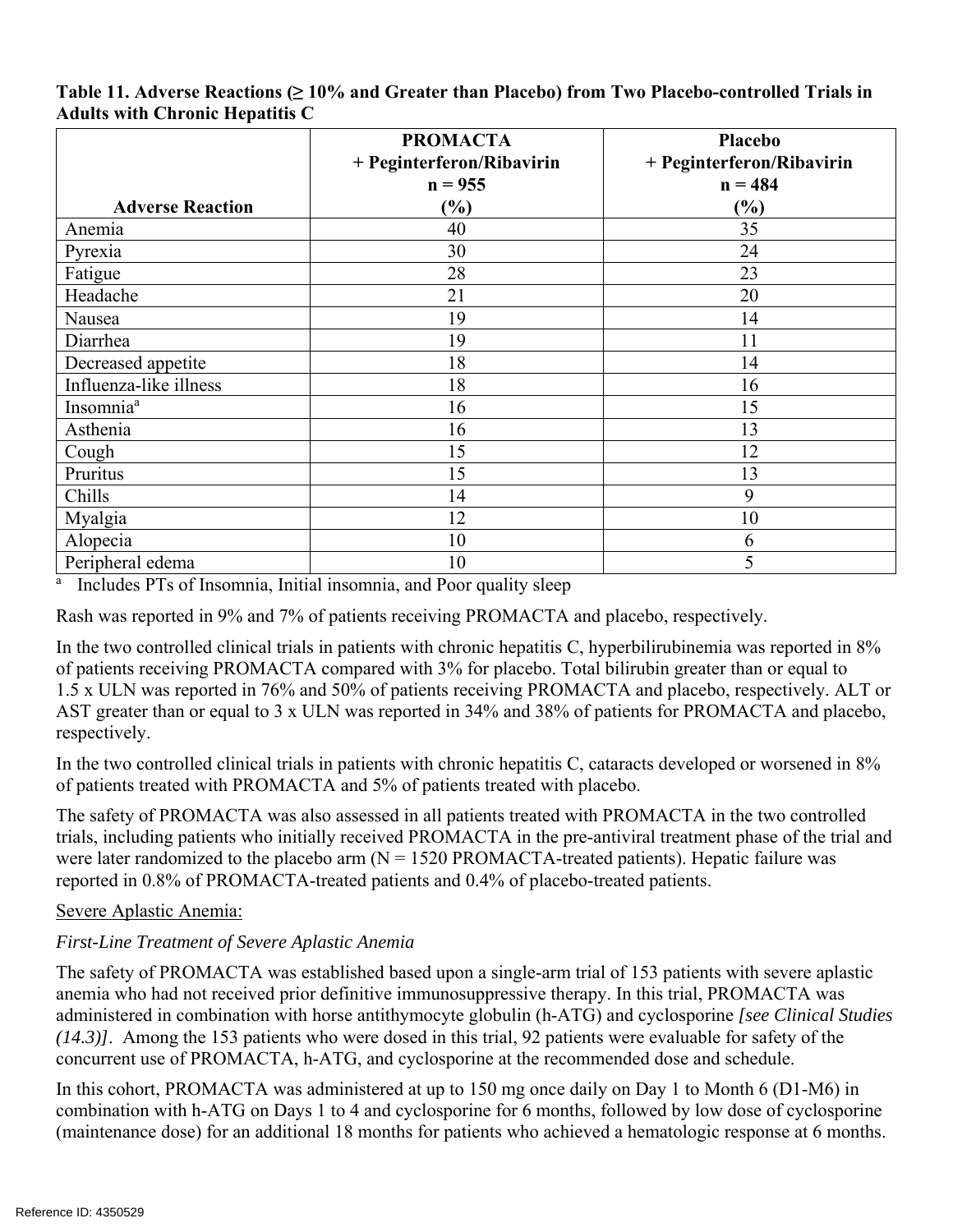|                         | <b>PROMACTA</b><br>+ Peginterferon/Ribavirin<br>$n = 955$ | Placebo<br>+ Peginterferon/Ribavirin<br>$n = 484$ |  |  |  |
|-------------------------|-----------------------------------------------------------|---------------------------------------------------|--|--|--|
| <b>Adverse Reaction</b> | $(\%)$                                                    | $(\%)$                                            |  |  |  |
| Anemia                  | 40                                                        | 35                                                |  |  |  |
| Pyrexia                 | 30                                                        | 24                                                |  |  |  |
| Fatigue                 | 28                                                        | 23                                                |  |  |  |
| Headache                | 21                                                        | 20                                                |  |  |  |
| Nausea                  | 19                                                        | 14                                                |  |  |  |
| Diarrhea                | 19                                                        | 11                                                |  |  |  |
| Decreased appetite      | 18                                                        | 14                                                |  |  |  |
| Influenza-like illness  | 18                                                        | 16                                                |  |  |  |
| Insomnia <sup>a</sup>   | 16                                                        | 15                                                |  |  |  |
| Asthenia                | 16                                                        | 13                                                |  |  |  |
| Cough                   | 15                                                        | 12                                                |  |  |  |
| Pruritus                | 15                                                        | 13                                                |  |  |  |
| Chills                  | 14                                                        | 9                                                 |  |  |  |
| Myalgia                 | 12                                                        | 10                                                |  |  |  |
| Alopecia                | 10                                                        | 6                                                 |  |  |  |
| Peripheral edema        | 10                                                        | 5                                                 |  |  |  |

### **Table 11. Adverse Reactions (≥ 10% and Greater than Placebo) from Two Placebo-controlled Trials in Adults with Chronic Hepatitis C**

<sup>a</sup> Includes PTs of Insomnia, Initial insomnia, and Poor quality sleep

Rash was reported in 9% and 7% of patients receiving PROMACTA and placebo, respectively.

In the two controlled clinical trials in patients with chronic hepatitis C, hyperbilirubinemia was reported in  $8\%$ of patients receiving PROMACTA compared with 3% for placebo. Total bilirubin greater than or equal to 1.5 x ULN was reported in 76% and 50% of patients receiving PROMACTA and placebo, respectively. ALT or AST greater than or equal to 3 x ULN was reported in 34% and 38% of patients for PROMACTA and placebo, respectively.

In the two controlled clinical trials in patients with chronic hepatitis C, cataracts developed or worsened in  $8\%$ of patients treated with PROMACTA and 5% of patients treated with placebo.

The safety of PROMACTA was also assessed in all patients treated with PROMACTA in the two controlled trials, including patients who initially received PROMACTA in the pre-antiviral treatment phase of the trial and were later randomized to the placebo arm  $(N = 1520$  PROMACTA-treated patients). Hepatic failure was reported in 0.8% of PROMACTA-treated patients and 0.4% of placebo-treated patients.

### Severe Aplastic Anemia:

### *First-Line Treatment of Severe Aplastic Anemia*

The safety of PROMACTA was established based upon a single-arm trial of 153 patients with severe aplastic anemia who had not received prior definitive immunosuppressive therapy. In this trial, PROMACTA was administered in combination with horse antithymocyte globulin (h-ATG) and cyclosporine *[see Clinical Studies (14.3)]*. Among the 153 patients who were dosed in this trial, 92 patients were evaluable for safety of the concurrent use of PROMACTA, h-ATG, and cyclosporine at the recommended dose and schedule.

In this cohort, PROMACTA was administered at up to 150 mg once daily on Day 1 to Month 6 (D1-M6) in combination with h-ATG on Days 1 to 4 and cyclosporine for 6 months, followed by low dose of cyclosporine (maintenance dose) for an additional 18 months for patients who achieved a hematologic response at 6 months.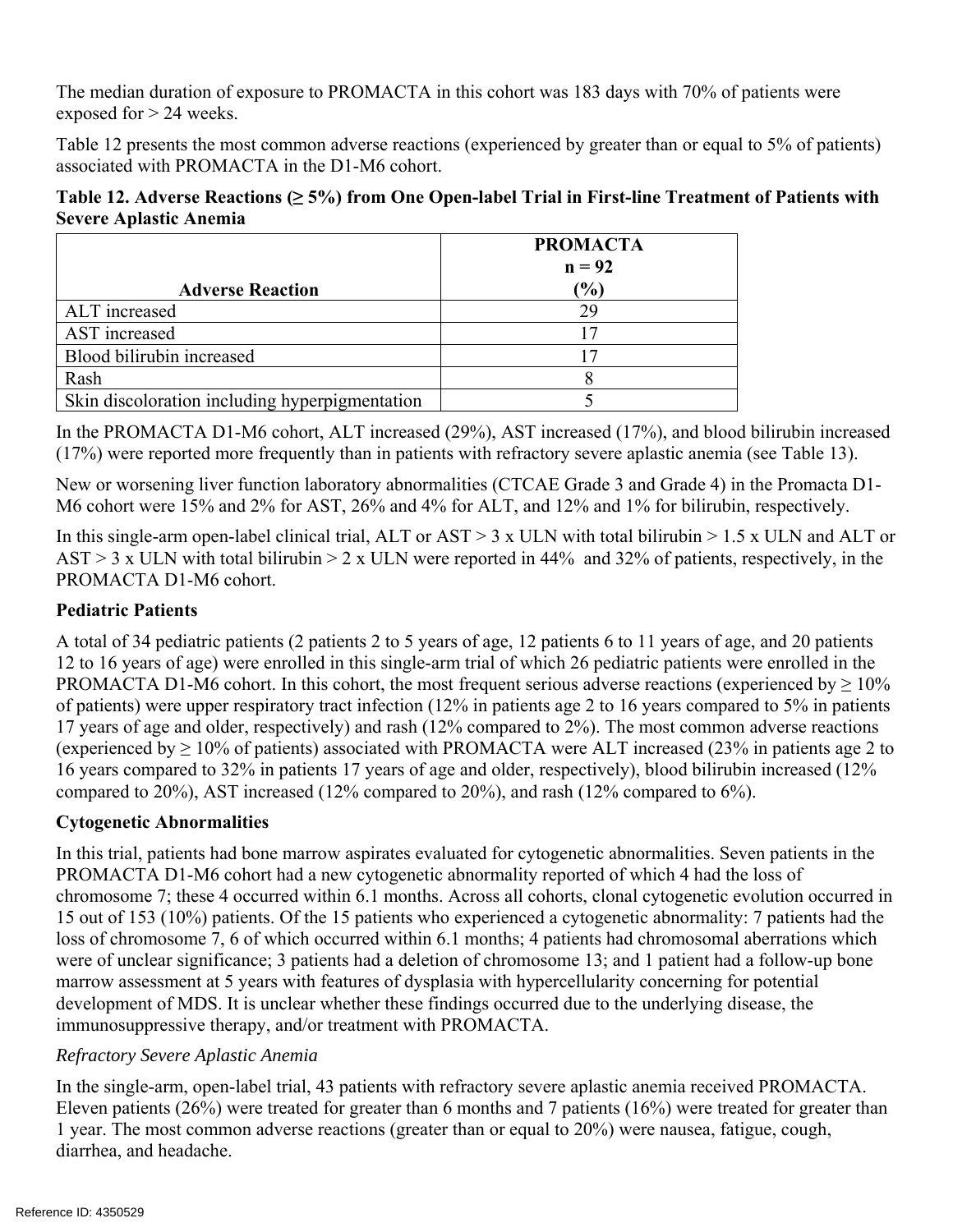The median duration of exposure to PROMACTA in this cohort was 183 days with 70% of patients were exposed for > 24 weeks.

Table 12 presents the most common adverse reactions (experienced by greater than or equal to 5% of patients) associated with PROMACTA in the D1-M6 cohort.

### **Table 12. Adverse Reactions (≥ 5%) from One Open-label Trial in First-line Treatment of Patients with Severe Aplastic Anemia**

|                                                | <b>PROMACTA</b><br>$n = 92$ |
|------------------------------------------------|-----------------------------|
| <b>Adverse Reaction</b>                        | (%)                         |
| ALT increased                                  | 29                          |
| AST increased                                  |                             |
| Blood bilirubin increased                      |                             |
| Rash                                           |                             |
| Skin discoloration including hyperpigmentation |                             |

In the PROMACTA D1-M6 cohort, ALT increased (29%), AST increased (17%), and blood bilirubin increased (17%) were reported more frequently than in patients with refractory severe aplastic anemia (see Table 13).

New or worsening liver function laboratory abnormalities (CTCAE Grade 3 and Grade 4) in the Promacta D1 M6 cohort were 15% and 2% for AST, 26% and 4% for ALT, and 12% and 1% for bilirubin, respectively.

In this single-arm open-label clinical trial, ALT or AST  $> 3 \times$  ULN with total bilirubin  $> 1.5 \times$  ULN and ALT or AST > 3 x ULN with total bilirubin > 2 x ULN were reported in 44% and 32% of patients, respectively, in the PROMACTA D1-M6 cohort.

## **Pediatric Patients**

A total of 34 pediatric patients (2 patients 2 to 5 years of age, 12 patients 6 to 11 years of age, and 20 patients 12 to 16 years of age) were enrolled in this single-arm trial of which 26 pediatric patients were enrolled in the PROMACTA D1-M6 cohort. In this cohort, the most frequent serious adverse reactions (experienced by  $\geq 10\%$ ) of patients) were upper respiratory tract infection (12% in patients age 2 to 16 years compared to 5% in patients 17 years of age and older, respectively) and rash (12% compared to 2%). The most common adverse reactions (experienced by  $\geq 10\%$  of patients) associated with PROMACTA were ALT increased (23% in patients age 2 to 16 years compared to 32% in patients 17 years of age and older, respectively), blood bilirubin increased (12% compared to 20%), AST increased (12% compared to 20%), and rash (12% compared to 6%).

### **Cytogenetic Abnormalities**

In this trial, patients had bone marrow aspirates evaluated for cytogenetic abnormalities. Seven patients in the PROMACTA D1-M6 cohort had a new cytogenetic abnormality reported of which 4 had the loss of chromosome 7; these 4 occurred within 6.1 months. Across all cohorts, clonal cytogenetic evolution occurred in 15 out of 153 (10%) patients. Of the 15 patients who experienced a cytogenetic abnormality: 7 patients had the loss of chromosome 7, 6 of which occurred within 6.1 months; 4 patients had chromosomal aberrations which were of unclear significance; 3 patients had a deletion of chromosome 13; and 1 patient had a follow-up bone marrow assessment at 5 years with features of dysplasia with hypercellularity concerning for potential development of MDS. It is unclear whether these findings occurred due to the underlying disease, the immunosuppressive therapy, and/or treatment with PROMACTA.

### *Refractory Severe Aplastic Anemia*

In the single-arm, open-label trial, 43 patients with refractory severe aplastic anemia received PROMACTA. Eleven patients (26%) were treated for greater than 6 months and 7 patients (16%) were treated for greater than 1 year. The most common adverse reactions (greater than or equal to 20%) were nausea, fatigue, cough, diarrhea, and headache.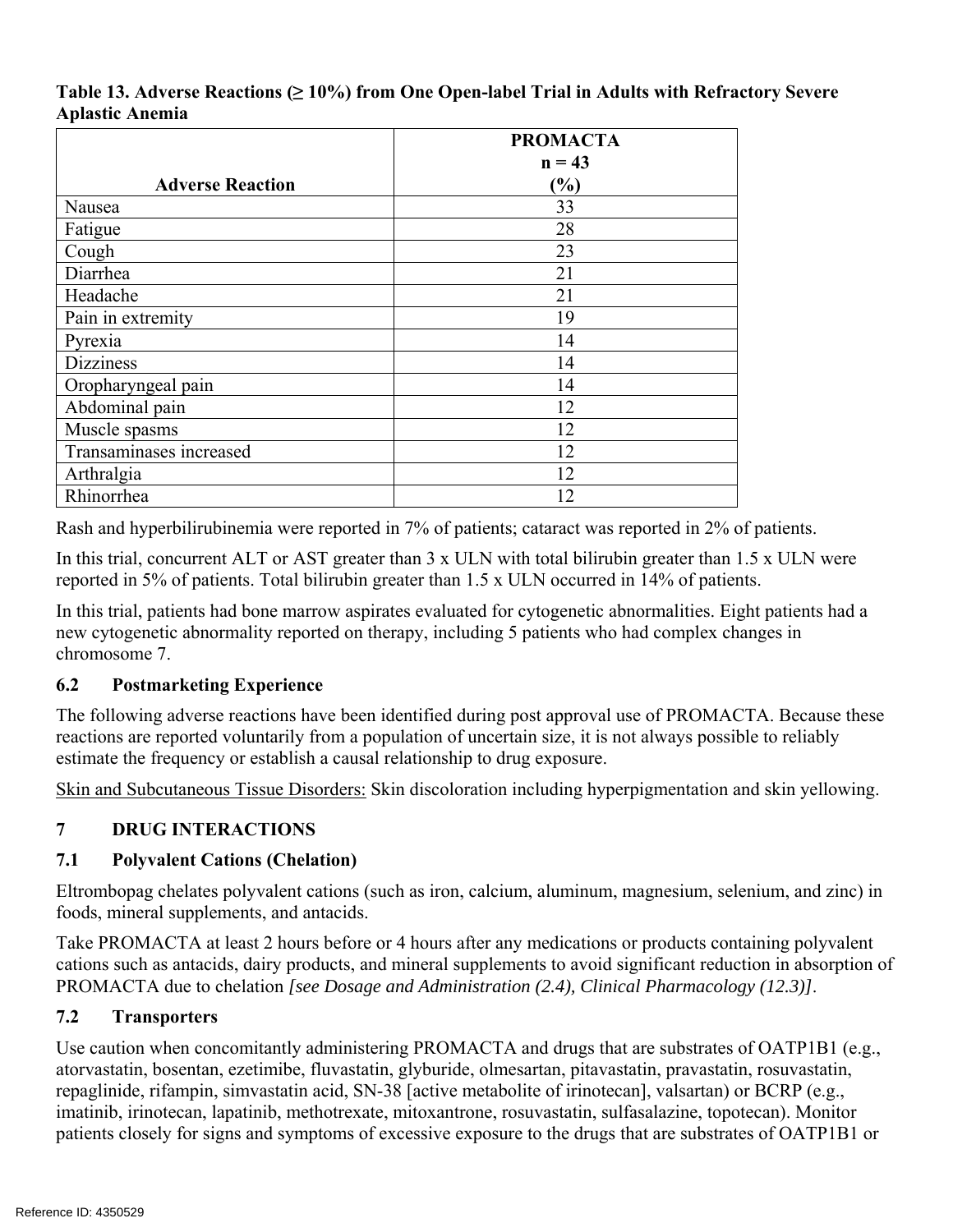### **Table 13. Adverse Reactions (≥ 10%) from One Open-label Trial in Adults with Refractory Severe Aplastic Anemia**

|                         | <b>PROMACTA</b> |
|-------------------------|-----------------|
|                         | $n = 43$        |
| <b>Adverse Reaction</b> | $\frac{9}{6}$   |
| Nausea                  | 33              |
| Fatigue                 | 28              |
| Cough                   | 23              |
| Diarrhea                | 21              |
| Headache                | 21              |
| Pain in extremity       | 19              |
| Pyrexia                 | 14              |
| <b>Dizziness</b>        | 14              |
| Oropharyngeal pain      | 14              |
| Abdominal pain          | 12              |
| Muscle spasms           | 12              |
| Transaminases increased | 12              |
| Arthralgia              | 12              |
| Rhinorrhea              | 12              |

Rash and hyperbilirubinemia were reported in 7% of patients; cataract was reported in 2% of patients.

In this trial, concurrent ALT or AST greater than 3 x ULN with total bilirubin greater than 1.5 x ULN were reported in 5% of patients. Total bilirubin greater than 1.5 x ULN occurred in 14% of patients.

In this trial, patients had bone marrow aspirates evaluated for cytogenetic abnormalities. Eight patients had a new cytogenetic abnormality reported on therapy, including 5 patients who had complex changes in chromosome 7.

### **6.2 Postmarketing Experience**

The following adverse reactions have been identified during post approval use of PROMACTA. Because these reactions are reported voluntarily from a population of uncertain size, it is not always possible to reliably estimate the frequency or establish a causal relationship to drug exposure.

Skin and Subcutaneous Tissue Disorders: Skin discoloration including hyperpigmentation and skin yellowing.

#### **7 DRUG INTERACTIONS**

## **7.1 Polyvalent Cations (Chelation)**

Eltrombopag chelates polyvalent cations (such as iron, calcium, aluminum, magnesium, selenium, and zinc) in foods, mineral supplements, and antacids.

Take PROMACTA at least 2 hours before or 4 hours after any medications or products containing polyvalent cations such as antacids, dairy products, and mineral supplements to avoid significant reduction in absorption of PROMACTA due to chelation *[see Dosage and Administration (2.4), Clinical Pharmacology (12.3)]*.

## **7.2 Transporters**

Use caution when concomitantly administering PROMACTA and drugs that are substrates of OATP1B1 (e.g., atorvastatin, bosentan, ezetimibe, fluvastatin, glyburide, olmesartan, pitavastatin, pravastatin, rosuvastatin, repaglinide, rifampin, simvastatin acid, SN-38 [active metabolite of irinotecan], valsartan) or BCRP (e.g., imatinib, irinotecan, lapatinib, methotrexate, mitoxantrone, rosuvastatin, sulfasalazine, topotecan). Monitor patients closely for signs and symptoms of excessive exposure to the drugs that are substrates of OATP1B1 or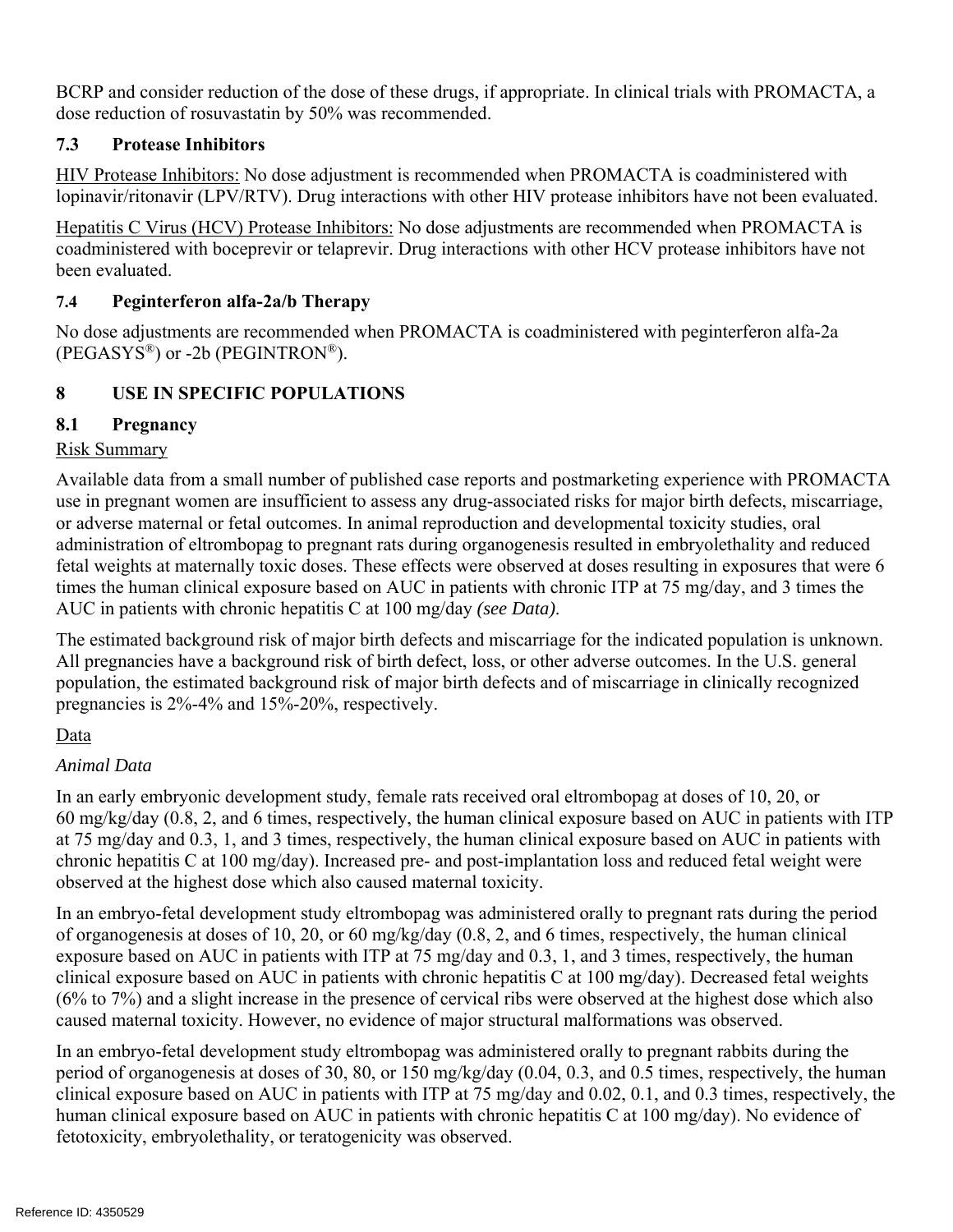BCRP and consider reduction of the dose of these drugs, if appropriate. In clinical trials with PROMACTA, a dose reduction of rosuvastatin by 50% was recommended.

## **7.3 Protease Inhibitors**

HIV Protease Inhibitors: No dose adjustment is recommended when PROMACTA is coadministered with lopinavir/ritonavir (LPV/RTV). Drug interactions with other HIV protease inhibitors have not been evaluated.

Hepatitis C Virus (HCV) Protease Inhibitors: No dose adjustments are recommended when PROMACTA is coadministered with boceprevir or telaprevir. Drug interactions with other HCV protease inhibitors have not been evaluated.

### **7.4 Peginterferon alfa-2a/b Therapy**

No dose adjustments are recommended when PROMACTA is coadministered with peginterferon alfa-2a  $(PEGASYS<sup>®</sup>)$  or -2b  $(PEGINTRON<sup>®</sup>)$ .

#### **8 USE IN SPECIFIC POPULATIONS**

## **8.1 Pregnancy**

### Risk Summary

Available data from a small number of published case reports and postmarketing experience with PROMACTA use in pregnant women are insufficient to assess any drug-associated risks for major birth defects, miscarriage, or adverse maternal or fetal outcomes. In animal reproduction and developmental toxicity studies, oral administration of eltrombopag to pregnant rats during organogenesis resulted in embryolethality and reduced fetal weights at maternally toxic doses. These effects were observed at doses resulting in exposures that were 6 times the human clinical exposure based on AUC in patients with chronic ITP at 75 mg/day, and 3 times the AUC in patients with chronic hepatitis C at 100 mg/day *(see Data)*.

The estimated background risk of major birth defects and miscarriage for the indicated population is unknown. All pregnancies have a background risk of birth defect, loss, or other adverse outcomes. In the U.S. general population, the estimated background risk of major birth defects and of miscarriage in clinically recognized pregnancies is 2%-4% and 15%-20%, respectively.

## Data

## *Animal Data*

In an early embryonic development study, female rats received oral eltrombopag at doses of 10, 20, or 60 mg/kg/day (0.8, 2, and 6 times, respectively, the human clinical exposure based on AUC in patients with ITP at 75 mg/day and 0.3, 1, and 3 times, respectively, the human clinical exposure based on AUC in patients with chronic hepatitis C at 100 mg/day). Increased pre- and post-implantation loss and reduced fetal weight were observed at the highest dose which also caused maternal toxicity.

In an embryo-fetal development study eltrombopag was administered orally to pregnant rats during the period of organogenesis at doses of 10, 20, or 60 mg/kg/day (0.8, 2, and 6 times, respectively, the human clinical exposure based on AUC in patients with ITP at 75 mg/day and 0.3, 1, and 3 times, respectively, the human clinical exposure based on AUC in patients with chronic hepatitis C at 100 mg/day). Decreased fetal weights (6% to 7%) and a slight increase in the presence of cervical ribs were observed at the highest dose which also caused maternal toxicity. However, no evidence of major structural malformations was observed.

In an embryo-fetal development study eltrombopag was administered orally to pregnant rabbits during the period of organogenesis at doses of 30, 80, or 150 mg/kg/day (0.04, 0.3, and 0.5 times, respectively, the human clinical exposure based on AUC in patients with ITP at 75 mg/day and 0.02, 0.1, and 0.3 times, respectively, the human clinical exposure based on AUC in patients with chronic hepatitis C at 100 mg/day). No evidence of fetotoxicity, embryolethality, or teratogenicity was observed.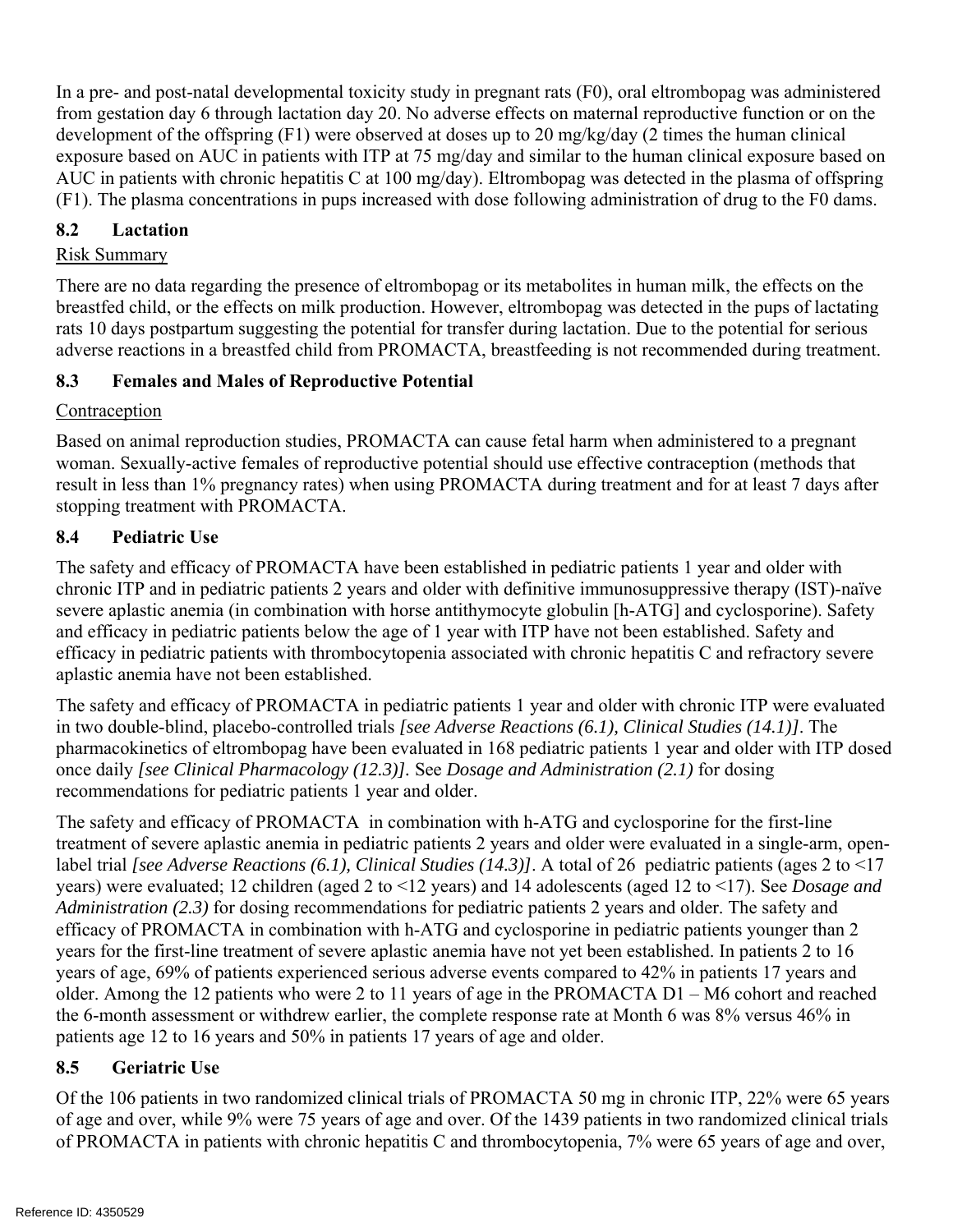In a pre- and post-natal developmental toxicity study in pregnant rats (F0), oral eltrombopag was administered from gestation day 6 through lactation day 20. No adverse effects on maternal reproductive function or on the development of the offspring (F1) were observed at doses up to 20 mg/kg/day (2 times the human clinical exposure based on AUC in patients with ITP at 75 mg/day and similar to the human clinical exposure based on AUC in patients with chronic hepatitis C at 100 mg/day). Eltrombopag was detected in the plasma of offspring (F1). The plasma concentrations in pups increased with dose following administration of drug to the F0 dams.

### **8.2 Lactation**

### Risk Summary

There are no data regarding the presence of eltrombopag or its metabolites in human milk, the effects on the breastfed child, or the effects on milk production. However, eltrombopag was detected in the pups of lactating rats 10 days postpartum suggesting the potential for transfer during lactation. Due to the potential for serious adverse reactions in a breastfed child from PROMACTA, breastfeeding is not recommended during treatment.

### **8.3 Females and Males of Reproductive Potential**

### Contraception

Based on animal reproduction studies, PROMACTA can cause fetal harm when administered to a pregnant woman. Sexually-active females of reproductive potential should use effective contraception (methods that result in less than 1% pregnancy rates) when using PROMACTA during treatment and for at least 7 days after stopping treatment with PROMACTA.

### **8.4 Pediatric Use**

The safety and efficacy of PROMACTA have been established in pediatric patients 1 year and older with chronic ITP and in pediatric patients 2 years and older with definitive immunosuppressive therapy (IST)-naïve severe aplastic anemia (in combination with horse antithymocyte globulin [h-ATG] and cyclosporine). Safety and efficacy in pediatric patients below the age of 1 year with ITP have not been established. Safety and efficacy in pediatric patients with thrombocytopenia associated with chronic hepatitis C and refractory severe aplastic anemia have not been established.

The safety and efficacy of PROMACTA in pediatric patients 1 year and older with chronic ITP were evaluated in two double-blind, placebo-controlled trials *[see Adverse Reactions (6.1), Clinical Studies (14.1)]*. The pharmacokinetics of eltrombopag have been evaluated in 168 pediatric patients 1 year and older with ITP dosed once daily *[see Clinical Pharmacology (12.3)].* See *Dosage and Administration (2.1)* for dosing recommendations for pediatric patients 1 year and older.

The safety and efficacy of PROMACTA in combination with h-ATG and cyclosporine for the first-line treatment of severe aplastic anemia in pediatric patients 2 years and older were evaluated in a single-arm, openlabel trial *[see Adverse Reactions (6.1), Clinical Studies (14.3)]*. A total of 26 pediatric patients (ages 2 to <17 years) were evaluated; 12 children (aged 2 to <12 years) and 14 adolescents (aged 12 to <17). See *Dosage and Administration (2.3)* for dosing recommendations for pediatric patients 2 years and older. The safety and efficacy of PROMACTA in combination with h-ATG and cyclosporine in pediatric patients younger than 2 years for the first-line treatment of severe aplastic anemia have not yet been established. In patients 2 to 16 years of age, 69% of patients experienced serious adverse events compared to 42% in patients 17 years and older. Among the 12 patients who were 2 to 11 years of age in the PROMACTA D1 – M6 cohort and reached the 6-month assessment or withdrew earlier, the complete response rate at Month 6 was 8% versus 46% in patients age 12 to 16 years and 50% in patients 17 years of age and older.

### **8.5 Geriatric Use**

Of the 106 patients in two randomized clinical trials of PROMACTA 50 mg in chronic ITP, 22% were 65 years of age and over, while 9% were 75 years of age and over. Of the 1439 patients in two randomized clinical trials of PROMACTA in patients with chronic hepatitis C and thrombocytopenia, 7% were 65 years of age and over,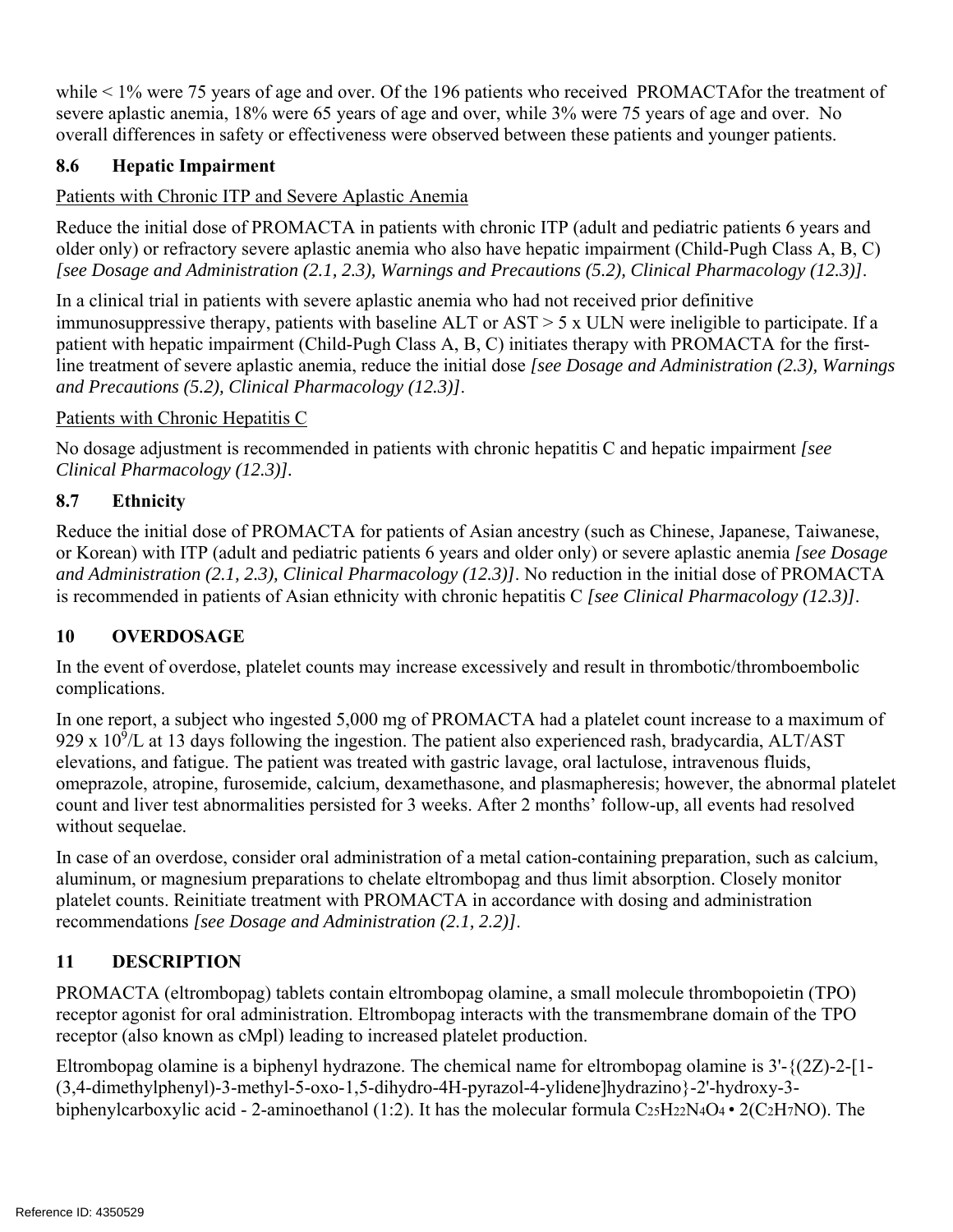while < 1% were 75 years of age and over. Of the 196 patients who received PROMACTAfor the treatment of severe aplastic anemia, 18% were 65 years of age and over, while 3% were 75 years of age and over. No overall differences in safety or effectiveness were observed between these patients and younger patients.

## **8.6 Hepatic Impairment**

## Patients with Chronic ITP and Severe Aplastic Anemia

Reduce the initial dose of PROMACTA in patients with chronic ITP (adult and pediatric patients 6 years and older only) or refractory severe aplastic anemia who also have hepatic impairment (Child-Pugh Class A, B, C) *[see Dosage and Administration (2.1, 2.3), Warnings and Precautions (5.2), Clinical Pharmacology (12.3)]*.

In a clinical trial in patients with severe aplastic anemia who had not received prior definitive immunosuppressive therapy, patients with baseline ALT or AST > 5 x ULN were ineligible to participate. If a patient with hepatic impairment (Child-Pugh Class A, B, C) initiates therapy with PROMACTA for the firstline treatment of severe aplastic anemia, reduce the initial dose *[see Dosage and Administration (2.3), Warnings and Precautions (5.2), Clinical Pharmacology (12.3)]*.

## Patients with Chronic Hepatitis C

 *Clinical Pharmacology (12.3)].* No dosage adjustment is recommended in patients with chronic hepatitis C and hepatic impairment *[see* 

# **8.7 Ethnicity**

Reduce the initial dose of PROMACTA for patients of Asian ancestry (such as Chinese, Japanese, Taiwanese, or Korean) with ITP (adult and pediatric patients 6 years and older only) or severe aplastic anemia *[see Dosage and Administration (2.1, 2.3), Clinical Pharmacology (12.3)]*. No reduction in the initial dose of PROMACTA is recommended in patients of Asian ethnicity with chronic hepatitis C *[see Clinical Pharmacology (12.3)]*.

# **10 OVERDOSAGE**

In the event of overdose, platelet counts may increase excessively and result in thrombotic/thromboembolic complications.

In one report, a subject who ingested 5,000 mg of PROMACTA had a platelet count increase to a maximum of 929 x  $10^9$ /L at 13 days following the ingestion. The patient also experienced rash, bradycardia, ALT/AST elevations, and fatigue. The patient was treated with gastric lavage, oral lactulose, intravenous fluids, omeprazole, atropine, furosemide, calcium, dexamethasone, and plasmapheresis; however, the abnormal platelet count and liver test abnormalities persisted for 3 weeks. After 2 months' follow-up, all events had resolved without sequelae.

In case of an overdose, consider oral administration of a metal cation-containing preparation, such as calcium, aluminum, or magnesium preparations to chelate eltrombopag and thus limit absorption. Closely monitor platelet counts. Reinitiate treatment with PROMACTA in accordance with dosing and administration recommendations *[see Dosage and Administration (2.1, 2.2)]*.

# **11 DESCRIPTION**

PROMACTA (eltrombopag) tablets contain eltrombopag olamine, a small molecule thrombopoietin (TPO) receptor agonist for oral administration. Eltrombopag interacts with the transmembrane domain of the TPO receptor (also known as cMpl) leading to increased platelet production.

Eltrombopag olamine is a biphenyl hydrazone. The chemical name for eltrombopag olamine is  $3'-\{(2Z)-2-[1-\}$ (3,4-dimethylphenyl)-3-methyl-5-oxo-1,5-dihydro-4H-pyrazol-4-ylidene]hydrazino}-2'-hydroxy-3 biphenylcarboxylic acid - 2-aminoethanol (1:2). It has the molecular formula  $C_2sH_2N_4O_4 \cdot 2(C_2H_7NO)$ . The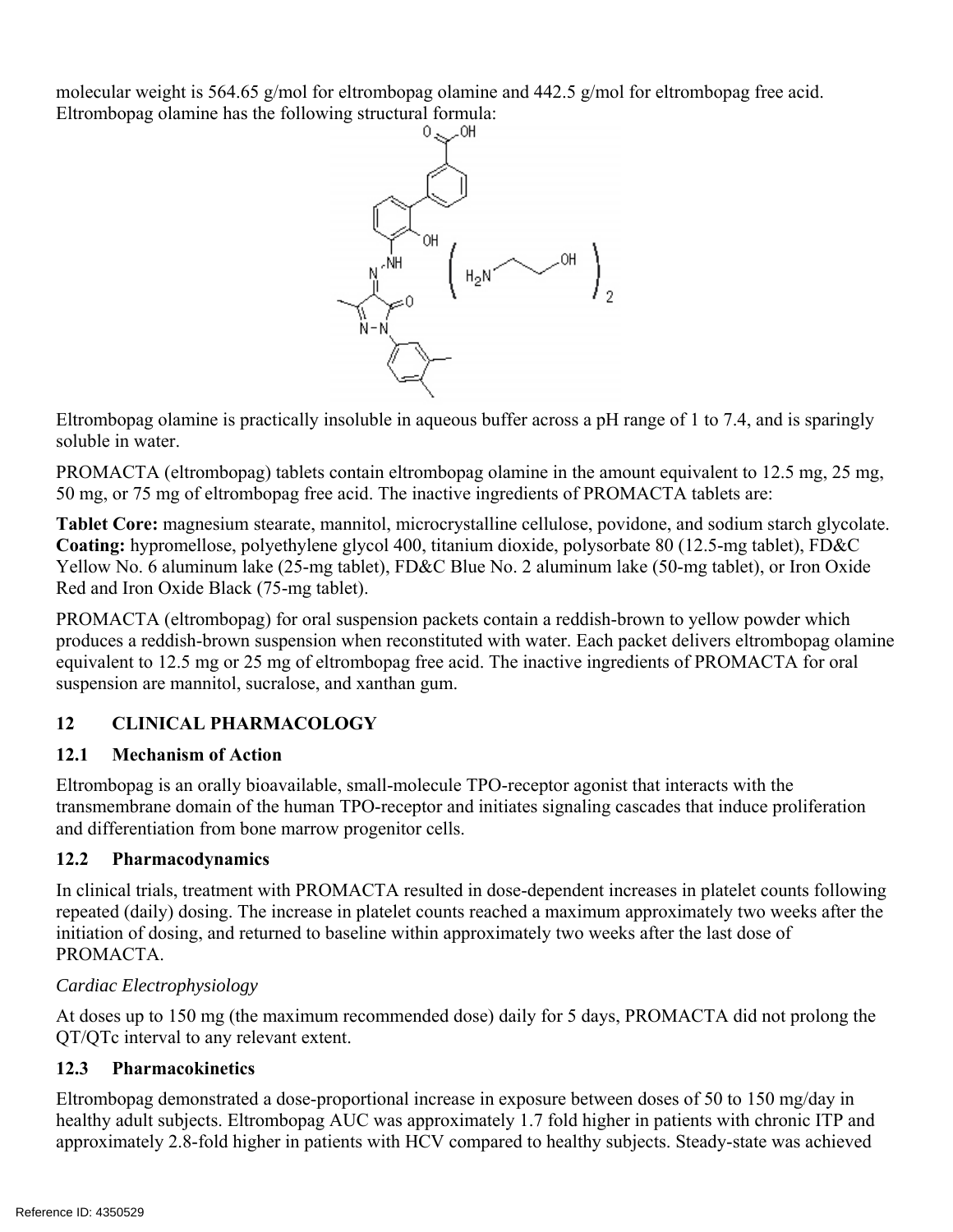molecular weight is 564.65 g/mol for eltrombopag olamine and 442.5 g/mol for eltrombopag free acid. Eltrombopag olamine has the following structural formula:



Eltrombopag olamine is practically insoluble in aqueous buffer across a pH range of 1 to 7.4, and is sparingly soluble in water.

PROMACTA (eltrombopag) tablets contain eltrombopag olamine in the amount equivalent to 12.5 mg, 25 mg, 50 mg, or 75 mg of eltrombopag free acid. The inactive ingredients of PROMACTA tablets are:

**Tablet Core:** magnesium stearate, mannitol, microcrystalline cellulose, povidone, and sodium starch glycolate. **Coating:** hypromellose, polyethylene glycol 400, titanium dioxide, polysorbate 80 (12.5-mg tablet), FD&C Yellow No. 6 aluminum lake (25-mg tablet), FD&C Blue No. 2 aluminum lake (50-mg tablet), or Iron Oxide Red and Iron Oxide Black (75-mg tablet).

PROMACTA (eltrombopag) for oral suspension packets contain a reddish-brown to yellow powder which produces a reddish-brown suspension when reconstituted with water. Each packet delivers eltrombopag olamine equivalent to 12.5 mg or 25 mg of eltrombopag free acid. The inactive ingredients of PROMACTA for oral suspension are mannitol, sucralose, and xanthan gum.

### **12 CLINICAL PHARMACOLOGY**

### **12.1 Mechanism of Action**

Eltrombopag is an orally bioavailable, small-molecule TPO-receptor agonist that interacts with the transmembrane domain of the human TPO-receptor and initiates signaling cascades that induce proliferation and differentiation from bone marrow progenitor cells.

### **12.2 Pharmacodynamics**

In clinical trials, treatment with PROMACTA resulted in dose-dependent increases in platelet counts following repeated (daily) dosing. The increase in platelet counts reached a maximum approximately two weeks after the initiation of dosing, and returned to baseline within approximately two weeks after the last dose of PROMACTA.

### *Cardiac Electrophysiology*

At doses up to 150 mg (the maximum recommended dose) daily for 5 days, PROMACTA did not prolong the QT/QTc interval to any relevant extent.

### **12.3 Pharmacokinetics**

Eltrombopag demonstrated a dose-proportional increase in exposure between doses of 50 to 150 mg/day in healthy adult subjects. Eltrombopag AUC was approximately 1.7 fold higher in patients with chronic ITP and approximately 2.8-fold higher in patients with HCV compared to healthy subjects. Steady-state was achieved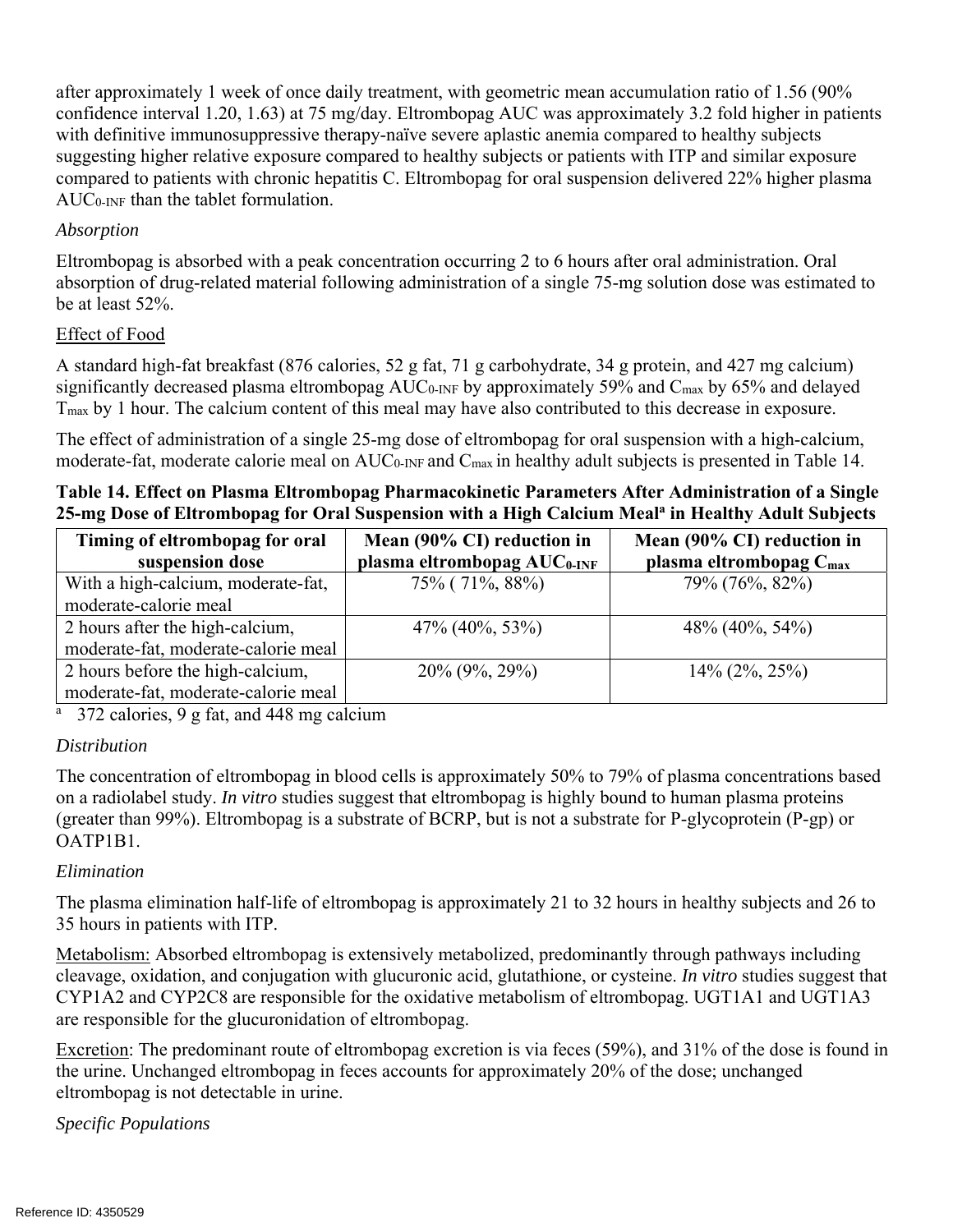after approximately 1 week of once daily treatment, with geometric mean accumulation ratio of 1.56 (90% confidence interval 1.20, 1.63) at 75 mg/day. Eltrombopag AUC was approximately 3.2 fold higher in patients with definitive immunosuppressive therapy-naïve severe aplastic anemia compared to healthy subjects suggesting higher relative exposure compared to healthy subjects or patients with ITP and similar exposure compared to patients with chronic hepatitis C. Eltrombopag for oral suspension delivered 22% higher plasma  $AUC<sub>0-INF</sub>$  than the tablet formulation.

### *Absorption*

Eltrombopag is absorbed with a peak concentration occurring 2 to 6 hours after oral administration. Oral absorption of drug-related material following administration of a single 75-mg solution dose was estimated to be at least 52%.

### Effect of Food

A standard high-fat breakfast (876 calories, 52 g fat, 71 g carbohydrate, 34 g protein, and 427 mg calcium) significantly decreased plasma eltrombopag AUC<sub>0</sub>-INF by approximately 59% and C<sub>max</sub> by 65% and delayed Tmax by 1 hour. The calcium content of this meal may have also contributed to this decrease in exposure.

The effect of administration of a single 25-mg dose of eltrombopag for oral suspension with a high-calcium, moderate-fat, moderate calorie meal on AUC<sub>0-INF</sub> and C<sub>max</sub> in healthy adult subjects is presented in Table 14.

**Table 14. Effect on Plasma Eltrombopag Pharmacokinetic Parameters After Administration of a Single**  25-mg Dose of Eltrombopag for Oral Suspension with a High Calcium Meal<sup>a</sup> in Healthy Adult Subjects

| Timing of eltrombopag for oral      | Mean (90% CI) reduction in              | Mean (90% CI) reduction in          |  |  |
|-------------------------------------|-----------------------------------------|-------------------------------------|--|--|
| suspension dose                     | plasma eltrombopag AUC <sub>0-INF</sub> | plasma eltrombopag C <sub>max</sub> |  |  |
| With a high-calcium, moderate-fat,  | 75% (71%, 88%)                          | 79% (76%, 82%)                      |  |  |
| moderate-calorie meal               |                                         |                                     |  |  |
| 2 hours after the high-calcium,     | $47\%$ (40\%, 53\%)                     | $48\%$ (40\%, 54\%)                 |  |  |
| moderate-fat, moderate-calorie meal |                                         |                                     |  |  |
| 2 hours before the high-calcium,    | $20\%$ (9%, 29%)                        | $14\%$ (2\%, 25\%)                  |  |  |
| moderate-fat, moderate-calorie meal |                                         |                                     |  |  |

<sup>a</sup> 372 calories, 9 g fat, and 448 mg calcium

### *Distribution*

The concentration of eltrombopag in blood cells is approximately 50% to 79% of plasma concentrations based on a radiolabel study. *In vitro* studies suggest that eltrombopag is highly bound to human plasma proteins (greater than 99%). Eltrombopag is a substrate of BCRP, but is not a substrate for P-glycoprotein (P-gp) or OATP1B1.

### *Elimination*

The plasma elimination half-life of eltrombopag is approximately 21 to 32 hours in healthy subjects and 26 to 35 hours in patients with ITP.

Metabolism: Absorbed eltrombopag is extensively metabolized, predominantly through pathways including cleavage, oxidation, and conjugation with glucuronic acid, glutathione, or cysteine. *In vitro* studies suggest that CYP1A2 and CYP2C8 are responsible for the oxidative metabolism of eltrombopag. UGT1A1 and UGT1A3 are responsible for the glucuronidation of eltrombopag.

Excretion: The predominant route of eltrombopag excretion is via feces (59%), and 31% of the dose is found in the urine. Unchanged eltrombopag in feces accounts for approximately 20% of the dose; unchanged eltrombopag is not detectable in urine.

*Specific Populations*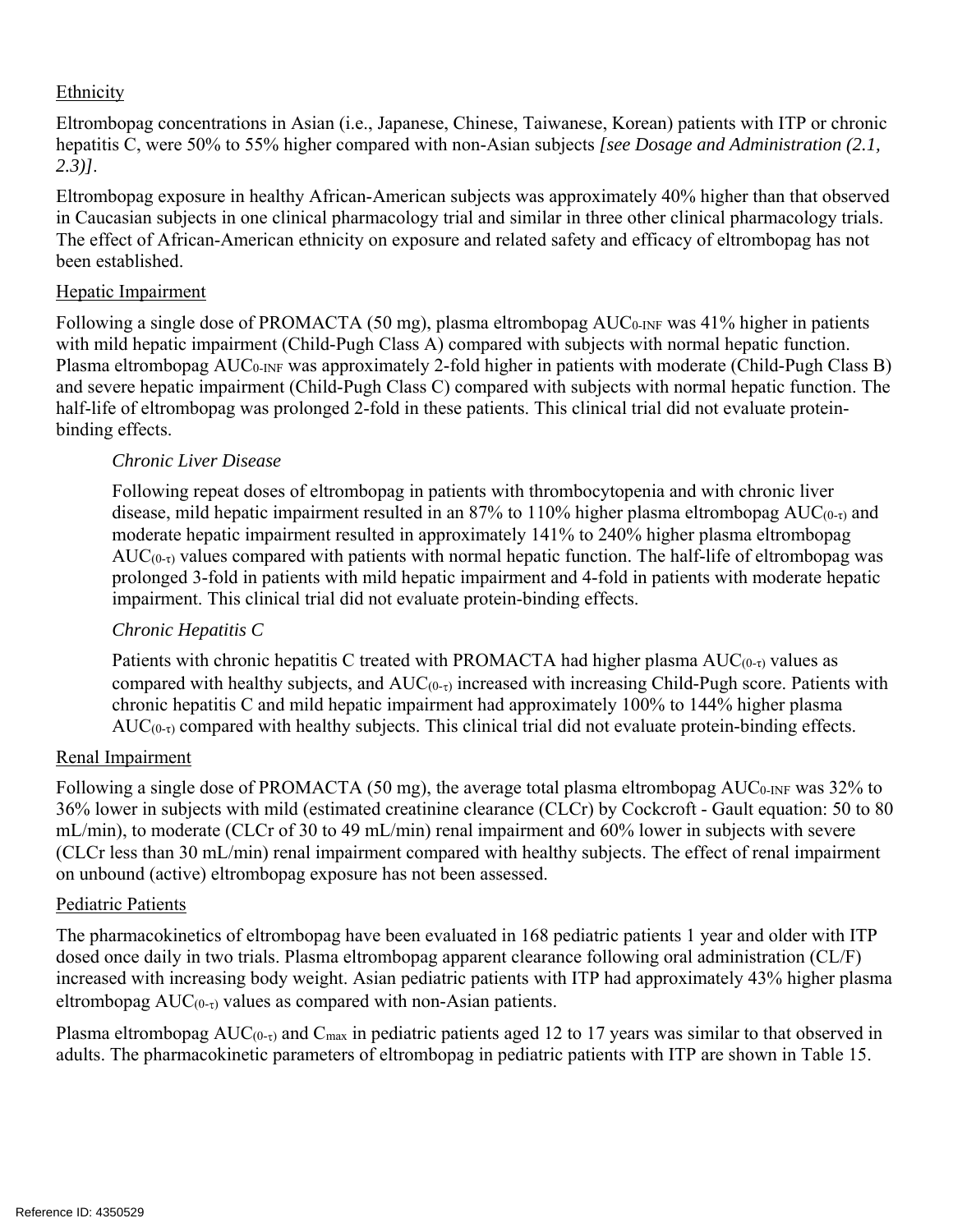### Ethnicity

Eltrombopag concentrations in Asian (i.e., Japanese, Chinese, Taiwanese, Korean) patients with ITP or chronic hepatitis C, were 50% to 55% higher compared with non-Asian subjects *[see Dosage and Administration (2.1, 2.3)]*.

Eltrombopag exposure in healthy African-American subjects was approximately 40% higher than that observed in Caucasian subjects in one clinical pharmacology trial and similar in three other clinical pharmacology trials. The effect of African-American ethnicity on exposure and related safety and efficacy of eltrombopag has not been established.

### Hepatic Impairment

Following a single dose of PROMACTA (50 mg), plasma eltrombopag AUC<sub>0-INF</sub> was 41% higher in patients with mild hepatic impairment (Child-Pugh Class A) compared with subjects with normal hepatic function. Plasma eltrombopag AUC0-INF was approximately 2-fold higher in patients with moderate (Child-Pugh Class B) and severe hepatic impairment (Child-Pugh Class C) compared with subjects with normal hepatic function. The half-life of eltrombopag was prolonged 2-fold in these patients. This clinical trial did not evaluate proteinbinding effects.

### *Chronic Liver Disease*

Following repeat doses of eltrombopag in patients with thrombocytopenia and with chronic liver disease, mild hepatic impairment resulted in an 87% to 110% higher plasma eltrombopag AUC(0-τ) and moderate hepatic impairment resulted in approximately 141% to 240% higher plasma eltrombopag  $AUC_{(0-r)}$  values compared with patients with normal hepatic function. The half-life of eltrombopag was prolonged 3-fold in patients with mild hepatic impairment and 4-fold in patients with moderate hepatic impairment. This clinical trial did not evaluate protein-binding effects.

### *Chronic Hepatitis C*

Patients with chronic hepatitis C treated with PROMACTA had higher plasma  $AUC_{(0-t)}$  values as compared with healthy subjects, and  $AUC_{(0-\tau)}$  increased with increasing Child-Pugh score. Patients with chronic hepatitis C and mild hepatic impairment had approximately 100% to 144% higher plasma  $AUC_{(0-t)}$  compared with healthy subjects. This clinical trial did not evaluate protein-binding effects.

### Renal Impairment

Following a single dose of PROMACTA (50 mg), the average total plasma eltrombopag AUC<sub>0</sub>-INF was 32% to 36% lower in subjects with mild (estimated creatinine clearance (CLCr) by Cockcroft - Gault equation: 50 to 80 mL/min), to moderate (CLCr of 30 to 49 mL/min) renal impairment and 60% lower in subjects with severe (CLCr less than 30 mL/min) renal impairment compared with healthy subjects. The effect of renal impairment on unbound (active) eltrombopag exposure has not been assessed.

### Pediatric Patients

The pharmacokinetics of eltrombopag have been evaluated in 168 pediatric patients 1 year and older with ITP dosed once daily in two trials. Plasma eltrombopag apparent clearance following oral administration (CL/F) increased with increasing body weight. Asian pediatric patients with ITP had approximately 43% higher plasma eltrombopag  $AUC_{(0-\tau)}$  values as compared with non-Asian patients.

Plasma eltrombopag  $AUC_{(0-\tau)}$  and  $C_{max}$  in pediatric patients aged 12 to 17 years was similar to that observed in adults. The pharmacokinetic parameters of eltrombopag in pediatric patients with ITP are shown in Table 15.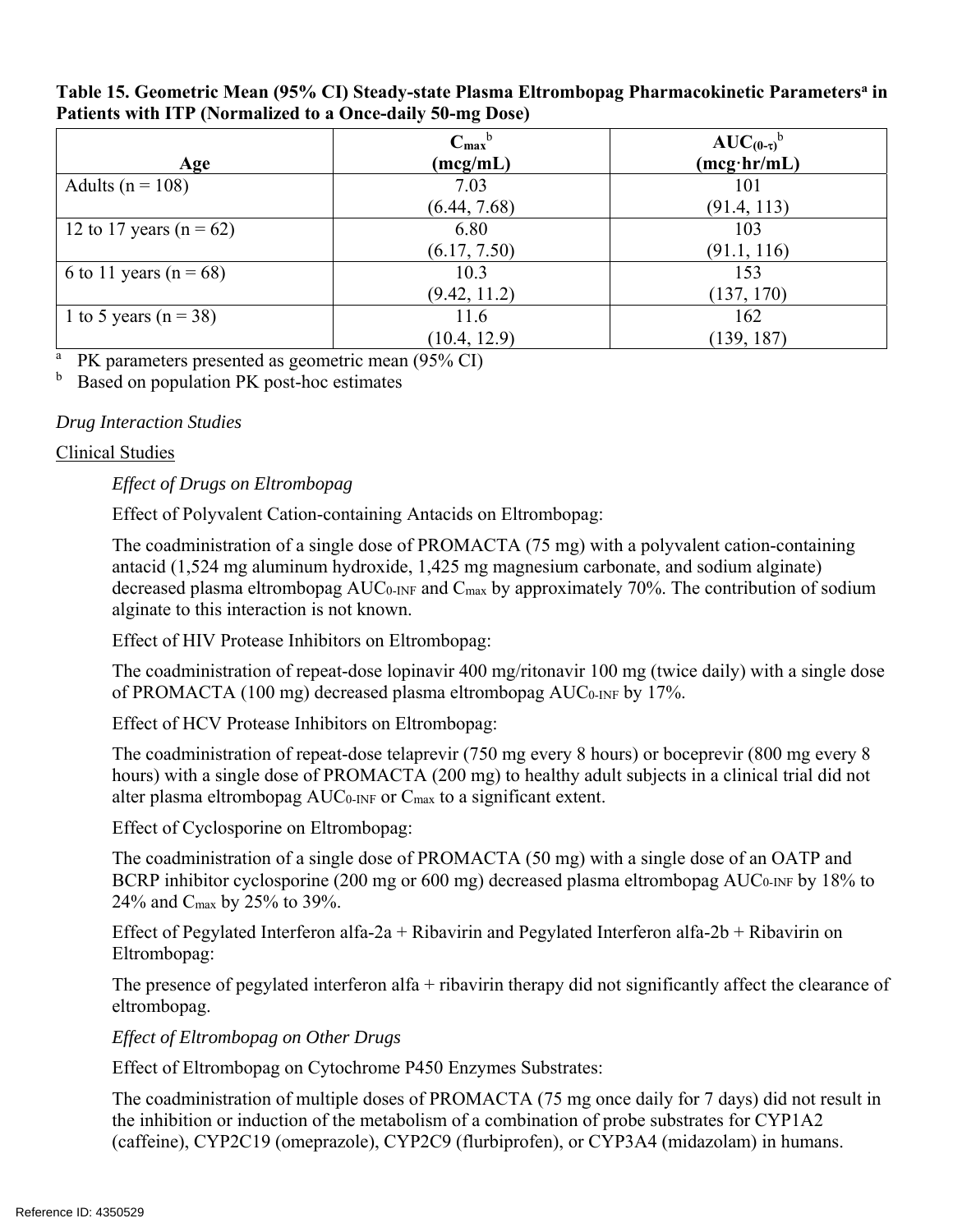| Age                         | $C_{\text{max}}^{\text{b}}$<br>(mcg/mL) | $AUC_{(0-\tau)}^{\dagger}$<br>$(mcg\cdot hr/mL)$ |
|-----------------------------|-----------------------------------------|--------------------------------------------------|
| Adults ( $n = 108$ )        | 7.03                                    | 101                                              |
| 12 to 17 years ( $n = 62$ ) | (6.44, 7.68)<br>6.80                    | (91.4, 113)<br>103                               |
|                             | (6.17, 7.50)                            | (91.1, 116)                                      |
| 6 to 11 years ( $n = 68$ )  | 10.3                                    | 153                                              |
|                             | (9.42, 11.2)                            | (137, 170)                                       |
| 1 to 5 years ( $n = 38$ )   | 11.6                                    | 162                                              |
|                             | (10.4, 12.9)                            | (139, 187)                                       |

Table 15. Geometric Mean (95% CI) Steady-state Plasma Eltrombopag Pharmacokinetic Parameters<sup>a</sup> in **Patients with ITP (Normalized to a Once-daily 50-mg Dose)** 

<sup>a</sup> PK parameters presented as geometric mean (95% CI)<br><sup>b</sup> Based on population PK post-boc estimates

Based on population PK post-hoc estimates

### *Drug Interaction Studies*

### Clinical Studies

*Effect of Drugs on Eltrombopag* 

Effect of Polyvalent Cation-containing Antacids on Eltrombopag:

The coadministration of a single dose of PROMACTA (75 mg) with a polyvalent cation-containing antacid (1,524 mg aluminum hydroxide, 1,425 mg magnesium carbonate, and sodium alginate) decreased plasma eltrombopag AUC<sub>0</sub>-INF and C<sub>max</sub> by approximately 70%. The contribution of sodium alginate to this interaction is not known.

Effect of HIV Protease Inhibitors on Eltrombopag:

The coadministration of repeat-dose lopinavir 400 mg/ritonavir 100 mg (twice daily) with a single dose of PROMACTA (100 mg) decreased plasma eltrombopag AUC0-INF by 17%.

Effect of HCV Protease Inhibitors on Eltrombopag:

The coadministration of repeat-dose telaprevir (750 mg every 8 hours) or boceprevir (800 mg every 8 hours) with a single dose of PROMACTA (200 mg) to healthy adult subjects in a clinical trial did not alter plasma eltrombopag AUC0-INF or Cmax to a significant extent.

Effect of Cyclosporine on Eltrombopag:

The coadministration of a single dose of PROMACTA (50 mg) with a single dose of an OATP and BCRP inhibitor cyclosporine (200 mg or 600 mg) decreased plasma eltrombopag AUC<sub>0</sub>-INF by 18% to 24% and Cmax by 25% to 39%.

Effect of Pegylated Interferon alfa-2a + Ribavirin and Pegylated Interferon alfa-2b + Ribavirin on Eltrombopag:

The presence of pegylated interferon alfa + ribavirin therapy did not significantly affect the clearance of eltrombopag.

*Effect of Eltrombopag on Other Drugs* 

Effect of Eltrombopag on Cytochrome P450 Enzymes Substrates:

The coadministration of multiple doses of PROMACTA (75 mg once daily for 7 days) did not result in the inhibition or induction of the metabolism of a combination of probe substrates for CYP1A2 (caffeine), CYP2C19 (omeprazole), CYP2C9 (flurbiprofen), or CYP3A4 (midazolam) in humans.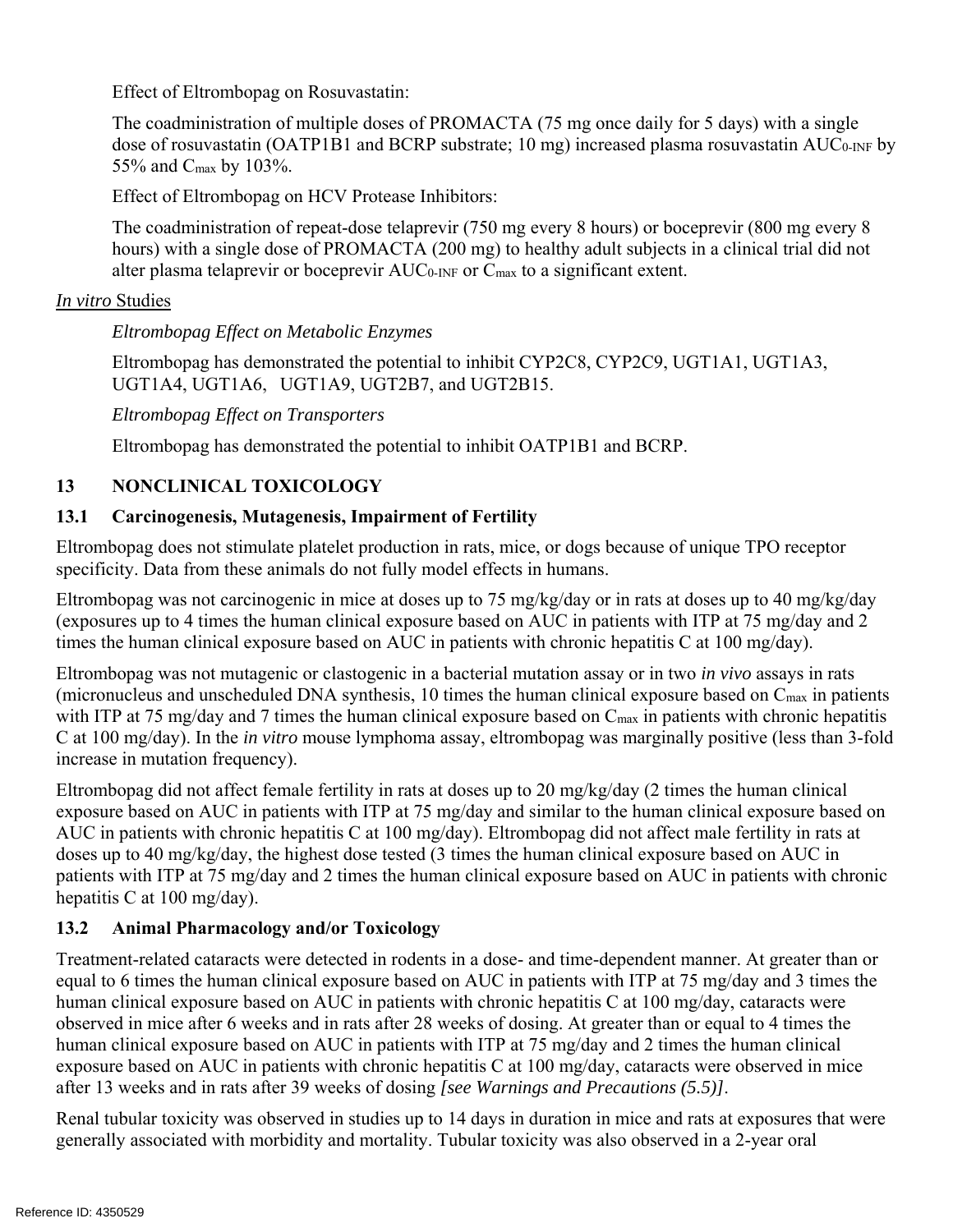Effect of Eltrombopag on Rosuvastatin:

The coadministration of multiple doses of PROMACTA (75 mg once daily for 5 days) with a single dose of rosuvastatin (OATP1B1 and BCRP substrate; 10 mg) increased plasma rosuvastatin AUC<sub>0-INF</sub> by 55% and Cmax by 103%.

Effect of Eltrombopag on HCV Protease Inhibitors:

The coadministration of repeat-dose telaprevir (750 mg every 8 hours) or boceprevir (800 mg every 8 hours) with a single dose of PROMACTA (200 mg) to healthy adult subjects in a clinical trial did not alter plasma telaprevir or boceprevir AUC<sub>0-INF</sub> or C<sub>max</sub> to a significant extent.

### *In vitro* Studies

*Eltrombopag Effect on Metabolic Enzymes* 

Eltrombopag has demonstrated the potential to inhibit CYP2C8, CYP2C9, UGT1A1, UGT1A3, UGT1A4, UGT1A6, UGT1A9, UGT2B7, and UGT2B15.

*Eltrombopag Effect on Transporters* 

Eltrombopag has demonstrated the potential to inhibit OATP1B1 and BCRP.

## **13 NONCLINICAL TOXICOLOGY**

### **13.1 Carcinogenesis, Mutagenesis, Impairment of Fertility**

Eltrombopag does not stimulate platelet production in rats, mice, or dogs because of unique TPO receptor specificity. Data from these animals do not fully model effects in humans.

Eltrombopag was not carcinogenic in mice at doses up to 75 mg/kg/day or in rats at doses up to 40 mg/kg/day (exposures up to 4 times the human clinical exposure based on AUC in patients with ITP at 75 mg/day and 2 times the human clinical exposure based on AUC in patients with chronic hepatitis C at 100 mg/day).

Eltrombopag was not mutagenic or clastogenic in a bacterial mutation assay or in two *in vivo* assays in rats (micronucleus and unscheduled DNA synthesis, 10 times the human clinical exposure based on Cmax in patients with ITP at 75 mg/day and 7 times the human clinical exposure based on C<sub>max</sub> in patients with chronic hepatitis C at 100 mg/day). In the *in vitro* mouse lymphoma assay, eltrombopag was marginally positive (less than 3-fold increase in mutation frequency).

Eltrombopag did not affect female fertility in rats at doses up to 20 mg/kg/day (2 times the human clinical exposure based on AUC in patients with ITP at 75 mg/day and similar to the human clinical exposure based on AUC in patients with chronic hepatitis C at 100 mg/day). Eltrombopag did not affect male fertility in rats at doses up to 40 mg/kg/day, the highest dose tested (3 times the human clinical exposure based on AUC in patients with ITP at 75 mg/day and 2 times the human clinical exposure based on AUC in patients with chronic hepatitis C at 100 mg/day).

### **13.2 Animal Pharmacology and/or Toxicology**

Treatment-related cataracts were detected in rodents in a dose- and time-dependent manner. At greater than or equal to 6 times the human clinical exposure based on AUC in patients with ITP at 75 mg/day and 3 times the human clinical exposure based on AUC in patients with chronic hepatitis C at 100 mg/day, cataracts were observed in mice after 6 weeks and in rats after 28 weeks of dosing. At greater than or equal to 4 times the human clinical exposure based on AUC in patients with ITP at 75 mg/day and 2 times the human clinical exposure based on AUC in patients with chronic hepatitis C at 100 mg/day, cataracts were observed in mice after 13 weeks and in rats after 39 weeks of dosing *[see Warnings and Precautions (5.5)]*.

Renal tubular toxicity was observed in studies up to 14 days in duration in mice and rats at exposures that were generally associated with morbidity and mortality. Tubular toxicity was also observed in a 2-year oral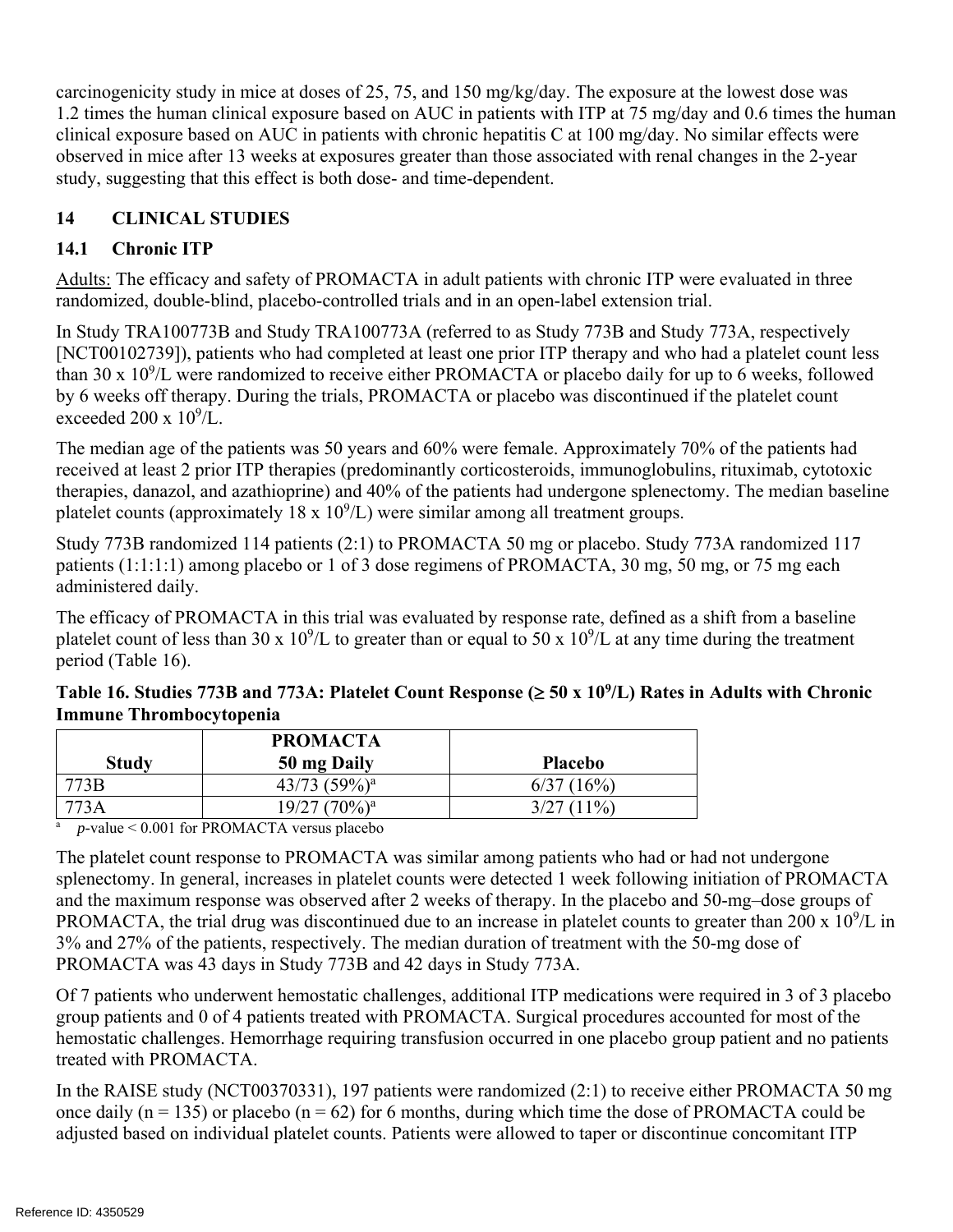carcinogenicity study in mice at doses of 25, 75, and 150 mg/kg/day. The exposure at the lowest dose was 1.2 times the human clinical exposure based on AUC in patients with ITP at 75 mg/day and 0.6 times the human clinical exposure based on AUC in patients with chronic hepatitis C at 100 mg/day. No similar effects were observed in mice after 13 weeks at exposures greater than those associated with renal changes in the 2-year study, suggesting that this effect is both dose- and time-dependent.

## **14 CLINICAL STUDIES**

## **14.1 Chronic ITP**

Adults: The efficacy and safety of PROMACTA in adult patients with chronic ITP were evaluated in three randomized, double-blind, placebo-controlled trials and in an open-label extension trial.

In Study TRA100773B and Study TRA100773A (referred to as Study 773B and Study 773A, respectively [NCT00102739]), patients who had completed at least one prior ITP therapy and who had a platelet count less than 30 x  $10^9$ /L were randomized to receive either PROMACTA or placebo daily for up to 6 weeks, followed by 6 weeks off therapy. During the trials, PROMACTA or placebo was discontinued if the platelet count exceeded  $200 \times 10^9$ /L.

The median age of the patients was 50 years and 60% were female. Approximately 70% of the patients had received at least 2 prior ITP therapies (predominantly corticosteroids, immunoglobulins, rituximab, cytotoxic therapies, danazol, and azathioprine) and 40% of the patients had undergone splenectomy. The median baseline platelet counts (approximately  $18 \times 10^9$ /L) were similar among all treatment groups.

Study 773B randomized 114 patients (2:1) to PROMACTA 50 mg or placebo. Study 773A randomized 117 patients (1:1:1:1) among placebo or 1 of 3 dose regimens of PROMACTA, 30 mg, 50 mg, or 75 mg each administered daily.

The efficacy of PROMACTA in this trial was evaluated by response rate, defined as a shift from a baseline platelet count of less than 30 x  $10^9$ /L to greater than or equal to 50 x  $10^9$ /L at any time during the treatment period (Table 16).

### Table 16. Studies 773B and 773A: Platelet Count Response  $(\geq 50 \times 10^9$ /L) Rates in Adults with Chronic **Immune Thrombocytopenia**

|              | <b>PROMACTA</b>    |                |
|--------------|--------------------|----------------|
| <b>Study</b> | 50 mg Daily        | <b>Placebo</b> |
| 773B         | $43/73$ $(59\%)^a$ | 6/37(16%)      |
|              | $19/27$ $(70\%)^a$ | $3/27(11\%)$   |

p-value < 0.001 for PROMACTA versus placebo

The platelet count response to PROMACTA was similar among patients who had or had not undergone splenectomy. In general, increases in platelet counts were detected 1 week following initiation of PROMACTA and the maximum response was observed after 2 weeks of therapy. In the placebo and 50-mg–dose groups of PROMACTA, the trial drug was discontinued due to an increase in platelet counts to greater than 200 x  $10^9$ /L in 3% and 27% of the patients, respectively. The median duration of treatment with the 50-mg dose of PROMACTA was 43 days in Study 773B and 42 days in Study 773A.

Of 7 patients who underwent hemostatic challenges, additional ITP medications were required in 3 of 3 placebo group patients and 0 of 4 patients treated with PROMACTA. Surgical procedures accounted for most of the hemostatic challenges. Hemorrhage requiring transfusion occurred in one placebo group patient and no patients treated with PROMACTA.

In the RAISE study (NCT00370331), 197 patients were randomized (2:1) to receive either PROMACTA 50 mg once daily ( $n = 135$ ) or placebo ( $n = 62$ ) for 6 months, during which time the dose of PROMACTA could be adjusted based on individual platelet counts. Patients were allowed to taper or discontinue concomitant ITP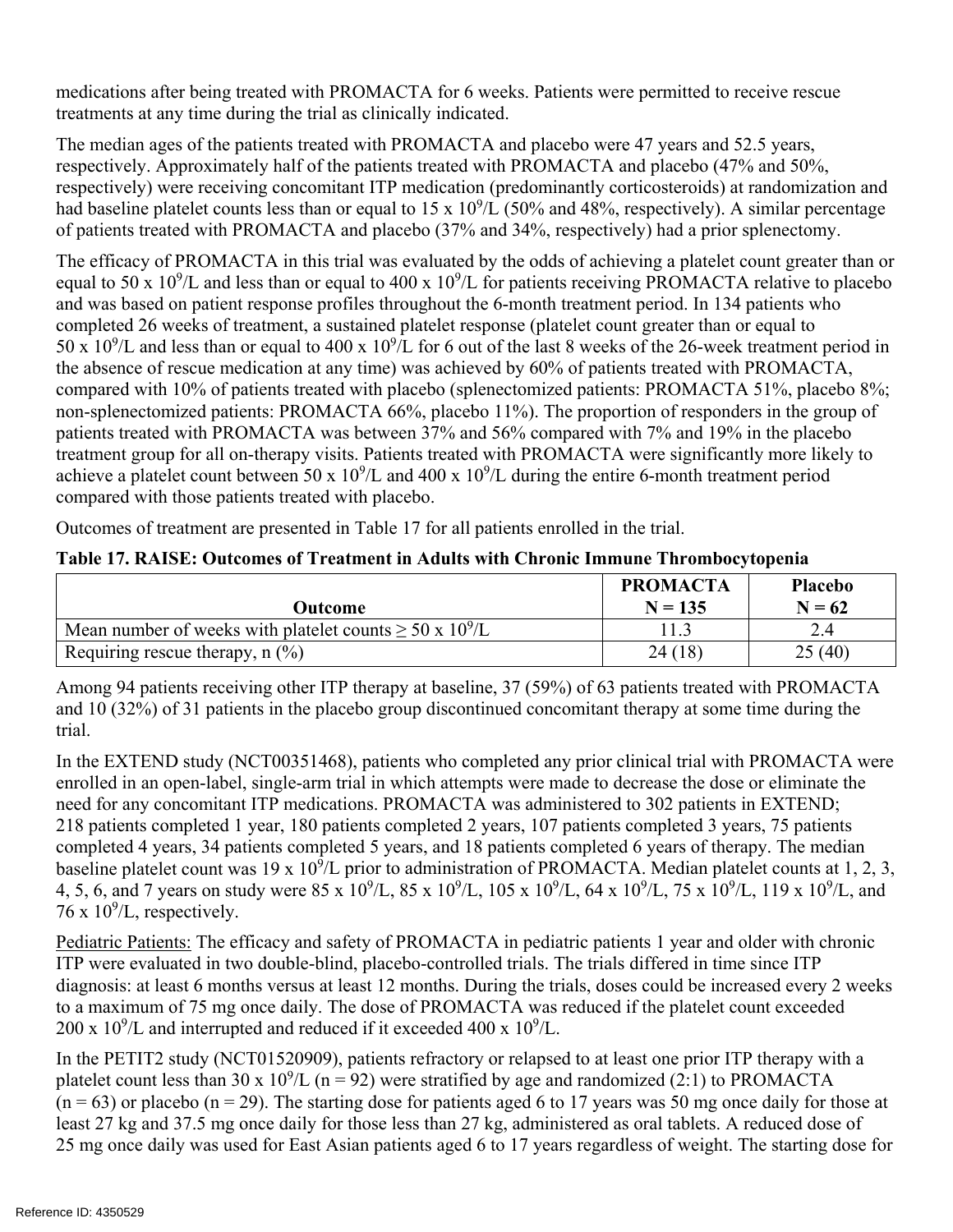treatments at any time during the trial as clinically indicated. medications after being treated with PROMACTA for 6 weeks. Patients were permitted to receive rescue

The median ages of the patients treated with PROMACTA and placebo were 47 years and 52.5 years, respectively. Approximately half of the patients treated with PROMACTA and placebo (47% and 50%, respectively) were receiving concomitant ITP medication (predominantly corticosteroids) at randomization and had baseline platelet counts less than or equal to  $15 \times 10^9$ /L (50% and 48%, respectively). A similar percentage of patients treated with PROMACTA and placebo (37% and 34%, respectively) had a prior splenectomy.

The efficacy of PROMACTA in this trial was evaluated by the odds of achieving a platelet count greater than or equal to 50 x  $10^9$ /L and less than or equal to 400 x  $10^9$ /L for patients receiving PROMACTA relative to placebo and was based on patient response profiles throughout the 6-month treatment period. In 134 patients who completed 26 weeks of treatment, a sustained platelet response (platelet count greater than or equal to 50 x  $10^9$ /L and less than or equal to 400 x  $10^9$ /L for 6 out of the last 8 weeks of the 26-week treatment period in the absence of rescue medication at any time) was achieved by 60% of patients treated with PROMACTA, compared with 10% of patients treated with placebo (splenectomized patients: PROMACTA 51%, placebo 8%; non-splenectomized patients: PROMACTA 66%, placebo 11%). The proportion of responders in the group of patients treated with PROMACTA was between 37% and 56% compared with 7% and 19% in the placebo treatment group for all on-therapy visits. Patients treated with PROMACTA were significantly more likely to achieve a platelet count between 50 x  $10^9$ /L and 400 x  $10^9$ /L during the entire 6-month treatment period compared with those patients treated with placebo.

Outcomes of treatment are presented in Table 17 for all patients enrolled in the trial.

| Outcome                                                            | <b>PROMACTA</b><br>$N = 135$ | <b>Placebo</b><br>$N = 62$ |
|--------------------------------------------------------------------|------------------------------|----------------------------|
| Mean number of weeks with platelet counts $\geq 50 \times 10^9$ /L |                              |                            |
| Requiring rescue therapy, $n$ (%)                                  | 24(18)                       | 25(40)                     |

Among 94 patients receiving other ITP therapy at baseline, 37 (59%) of 63 patients treated with PROMACTA and 10 (32%) of 31 patients in the placebo group discontinued concomitant therapy at some time during the trial.

In the EXTEND study (NCT00351468), patients who completed any prior clinical trial with PROMACTA were enrolled in an open-label, single-arm trial in which attempts were made to decrease the dose or eliminate the need for any concomitant ITP medications. PROMACTA was administered to 302 patients in EXTEND; 218 patients completed 1 year, 180 patients completed 2 years, 107 patients completed 3 years, 75 patients completed 4 years, 34 patients completed 5 years, and 18 patients completed 6 years of therapy. The median baseline platelet count was 19 x  $10^9$ /L prior to administration of PROMACTA. Median platelet counts at 1, 2, 3, 4, 5, 6, and 7 years on study were 85 x  $10^9$ /L, 85 x  $10^9$ /L, 105 x  $10^9$ /L, 64 x  $10^9$ /L, 75 x  $10^9$ /L, 119 x  $10^9$ /L, and  $76 \times 10^9$ /L, respectively.

Pediatric Patients: The efficacy and safety of PROMACTA in pediatric patients 1 year and older with chronic ITP were evaluated in two double-blind, placebo-controlled trials. The trials differed in time since ITP diagnosis: at least 6 months versus at least 12 months. During the trials, doses could be increased every 2 weeks to a maximum of 75 mg once daily. The dose of PROMACTA was reduced if the platelet count exceeded  $200 \times 10^9$ /L and interrupted and reduced if it exceeded 400 x  $10^9$ /L.

In the PETIT2 study (NCT01520909), patients refractory or relapsed to at least one prior ITP therapy with a platelet count less than 30 x  $10^9$ /L (n = 92) were stratified by age and randomized (2:1) to PROMACTA  $(n = 63)$  or placebo  $(n = 29)$ . The starting dose for patients aged 6 to 17 years was 50 mg once daily for those at least 27 kg and 37.5 mg once daily for those less than 27 kg, administered as oral tablets. A reduced dose of 25 mg once daily was used for East Asian patients aged 6 to 17 years regardless of weight. The starting dose for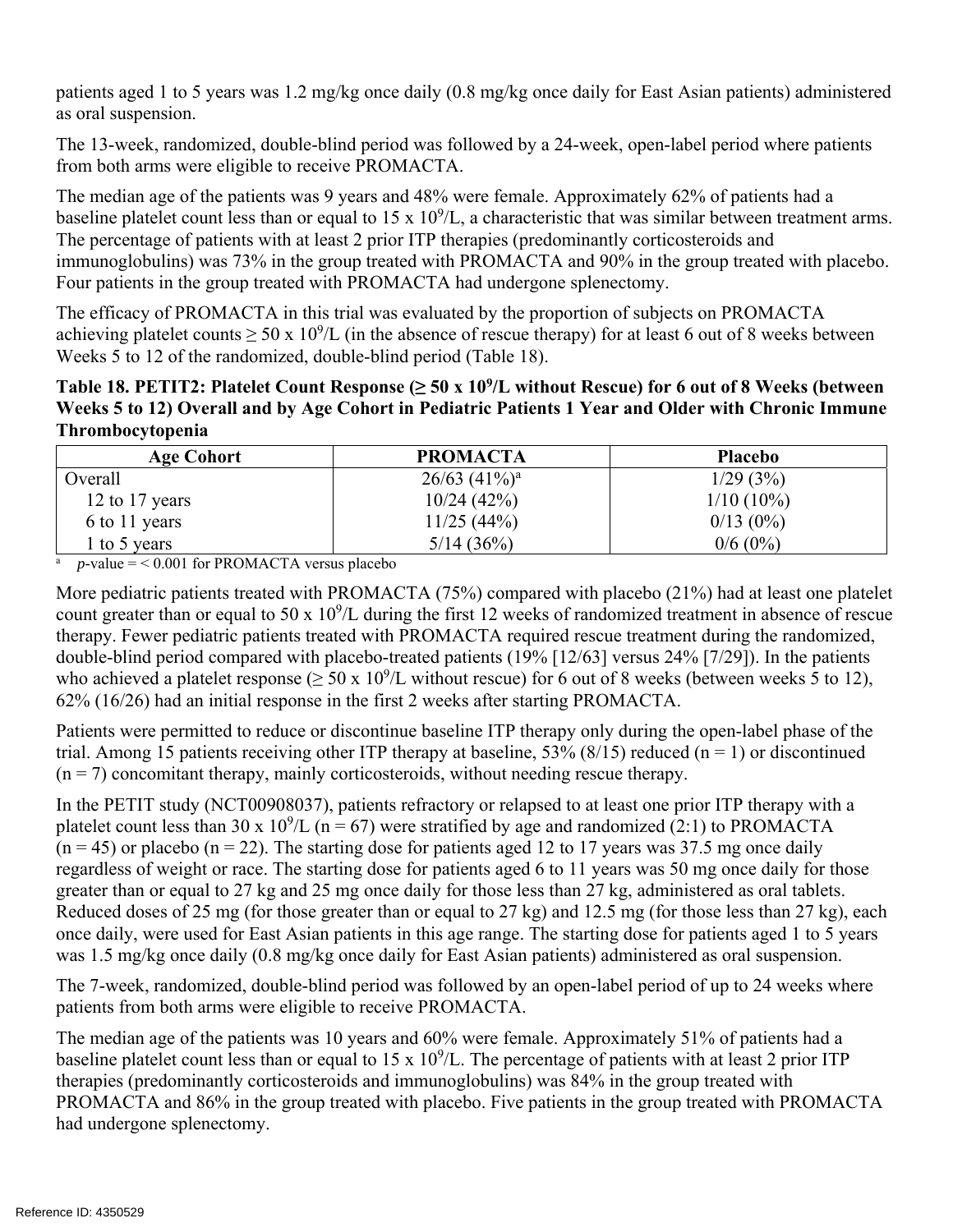patients aged 1 to 5 years was 1.2 mg/kg once daily (0.8 mg/kg once daily for East Asian patients) administered as oral suspension.

The 13-week, randomized, double-blind period was followed by a 24-week, open-label period where patients from both arms were eligible to receive PROMACTA.

The median age of the patients was 9 years and 48% were female. Approximately 62% of patients had a baseline platelet count less than or equal to  $15 \times 10^9$ /L, a characteristic that was similar between treatment arms. The percentage of patients with at least 2 prior ITP therapies (predominantly corticosteroids and immunoglobulins) was 73% in the group treated with PROMACTA and 90% in the group treated with placebo. Four patients in the group treated with PROMACTA had undergone splenectomy.

The efficacy of PROMACTA in this trial was evaluated by the proportion of subjects on PROMACTA achieving platelet counts  $\geq 50 \times 10^9$ /L (in the absence of rescue therapy) for at least 6 out of 8 weeks between Weeks 5 to 12 of the randomized, double-blind period (Table 18).

**Table 18. PETIT2: Platelet Count Response (≥ 50 x 109 /L without Rescue) for 6 out of 8 Weeks (between Weeks 5 to 12) Overall and by Age Cohort in Pediatric Patients 1 Year and Older with Chronic Immune Thrombocytopenia** 

| <b>Age Cohort</b> | <b>PROMACTA</b>    | <b>Placebo</b> |
|-------------------|--------------------|----------------|
| Overall           | $26/63$ $(41\%)^a$ | 1/29(3%)       |
| 12 to 17 years    | 10/24(42%)         | $1/10(10\%)$   |
| 6 to 11 years     | 11/25(44%)         | $0/13(0\%)$    |
| l to 5 years      | 5/14(36%)          | $0/6(0\%)$     |

 $\frac{a}{a}$  p-value = < 0.001 for PROMACTA versus placebo

More pediatric patients treated with PROMACTA (75%) compared with placebo (21%) had at least one platelet count greater than or equal to 50 x  $10^9$ /L during the first 12 weeks of randomized treatment in absence of rescue therapy. Fewer pediatric patients treated with PROMACTA required rescue treatment during the randomized, double-blind period compared with placebo-treated patients (19% [12/63] versus 24% [7/29]). In the patients who achieved a platelet response ( $\geq 50 \times 10^9$ /L without rescue) for 6 out of 8 weeks (between weeks 5 to 12), 62% (16/26) had an initial response in the first 2 weeks after starting PROMACTA.

Patients were permitted to reduce or discontinue baseline ITP therapy only during the open-label phase of the trial. Among 15 patients receiving other ITP therapy at baseline, 53% (8/15) reduced (n = 1) or discontinued  $(n = 7)$  concomitant therapy, mainly corticosteroids, without needing rescue therapy.

In the PETIT study (NCT00908037), patients refractory or relapsed to at least one prior ITP therapy with a platelet count less than 30 x  $10^9$ /L (n = 67) were stratified by age and randomized (2:1) to PROMACTA  $(n = 45)$  or placebo  $(n = 22)$ . The starting dose for patients aged 12 to 17 years was 37.5 mg once daily regardless of weight or race. The starting dose for patients aged 6 to 11 years was 50 mg once daily for those greater than or equal to 27 kg and 25 mg once daily for those less than 27 kg, administered as oral tablets. Reduced doses of 25 mg (for those greater than or equal to 27 kg) and 12.5 mg (for those less than 27 kg), each once daily, were used for East Asian patients in this age range. The starting dose for patients aged 1 to 5 years was 1.5 mg/kg once daily (0.8 mg/kg once daily for East Asian patients) administered as oral suspension.

The 7-week, randomized, double-blind period was followed by an open-label period of up to 24 weeks where patients from both arms were eligible to receive PROMACTA.

The median age of the patients was 10 years and 60% were female. Approximately 51% of patients had a baseline platelet count less than or equal to  $15 \times 10^9$ /L. The percentage of patients with at least 2 prior ITP therapies (predominantly corticosteroids and immunoglobulins) was 84% in the group treated with PROMACTA and 86% in the group treated with placebo. Five patients in the group treated with PROMACTA had undergone splenectomy.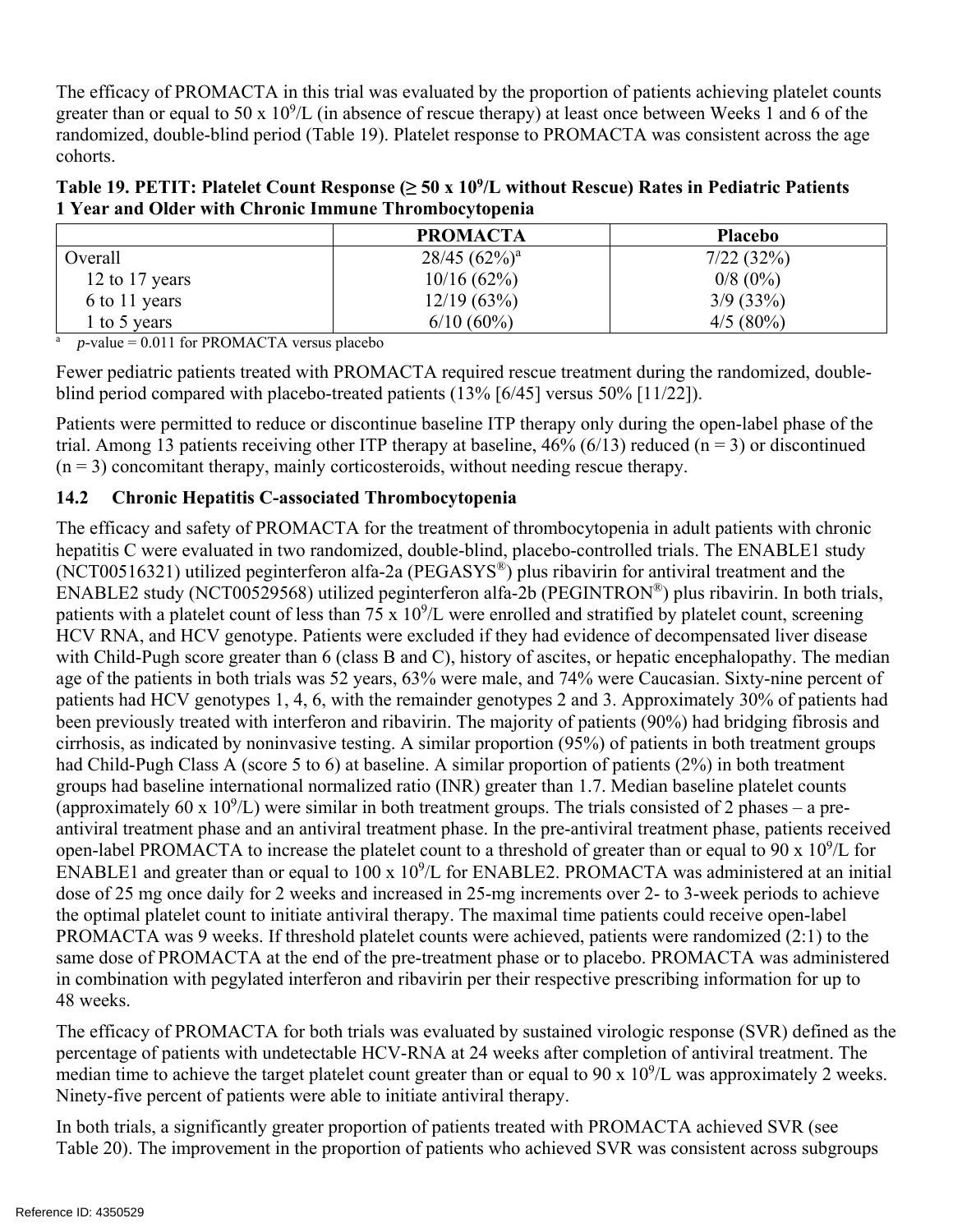The efficacy of PROMACTA in this trial was evaluated by the proportion of patients achieving platelet counts greater than or equal to 50 x  $10^9$ /L (in absence of rescue therapy) at least once between Weeks 1 and 6 of the randomized, double-blind period (Table 19). Platelet response to PROMACTA was consistent across the age cohorts.

| Table 19. PETIT: Platelet Count Response ( $\geq 50 \text{ x } 10^9$ /L without Rescue) Rates in Pediatric Patients |
|---------------------------------------------------------------------------------------------------------------------|
| 1 Year and Older with Chronic Immune Thrombocytopenia                                                               |

|                | <b>PROMACTA</b>    | <b>Placebo</b> |
|----------------|--------------------|----------------|
| Overall        | $28/45$ $(62\%)^a$ | 7/22(32%)      |
| 12 to 17 years | 10/16(62%)         | $0/8$ (0%)     |
| 6 to 11 years  | 12/19(63%)         | 3/9(33%)       |
| to 5 years     | $6/10(60\%)$       | $4/5(80\%)$    |

 $\overline{p}$  p-value = 0.011 for PROMACTA versus placebo

Fewer pediatric patients treated with PROMACTA required rescue treatment during the randomized, doubleblind period compared with placebo-treated patients (13% [6/45] versus 50% [11/22]).

Patients were permitted to reduce or discontinue baseline ITP therapy only during the open-label phase of the trial. Among 13 patients receiving other ITP therapy at baseline,  $46\%$  (6/13) reduced (n = 3) or discontinued  $(n = 3)$  concomitant therapy, mainly corticosteroids, without needing rescue therapy.

### **14.2 Chronic Hepatitis C-associated Thrombocytopenia**

The efficacy and safety of PROMACTA for the treatment of thrombocytopenia in adult patients with chronic hepatitis C were evaluated in two randomized, double-blind, placebo-controlled trials. The ENABLE1 study (NCT00516321) utilized peginterferon alfa-2a (PEGASYS®) plus ribavirin for antiviral treatment and the ENABLE2 study (NCT00529568) utilized peginterferon alfa-2b (PEGINTRON®) plus ribavirin. In both trials, patients with a platelet count of less than  $75 \times 10^9$ /L were enrolled and stratified by platelet count, screening HCV RNA, and HCV genotype. Patients were excluded if they had evidence of decompensated liver disease with Child-Pugh score greater than 6 (class B and C), history of ascites, or hepatic encephalopathy. The median age of the patients in both trials was 52 years, 63% were male, and 74% were Caucasian. Sixty-nine percent of patients had HCV genotypes 1, 4, 6, with the remainder genotypes 2 and 3. Approximately 30% of patients had been previously treated with interferon and ribavirin. The majority of patients (90%) had bridging fibrosis and cirrhosis, as indicated by noninvasive testing. A similar proportion (95%) of patients in both treatment groups had Child-Pugh Class A (score 5 to 6) at baseline. A similar proportion of patients (2%) in both treatment groups had baseline international normalized ratio (INR) greater than 1.7. Median baseline platelet counts (approximately 60 x  $10^9$ /L) were similar in both treatment groups. The trials consisted of 2 phases – a pre antiviral treatment phase and an antiviral treatment phase. In the pre-antiviral treatment phase, patients received open-label PROMACTA to increase the platelet count to a threshold of greater than or equal to 90 x  $10^9$ /L for ENABLE1 and greater than or equal to  $100 \times 10^9$ /L for ENABLE2. PROMACTA was administered at an initial dose of 25 mg once daily for 2 weeks and increased in 25-mg increments over 2- to 3-week periods to achieve the optimal platelet count to initiate antiviral therapy. The maximal time patients could receive open-label PROMACTA was 9 weeks. If threshold platelet counts were achieved, patients were randomized (2:1) to the same dose of PROMACTA at the end of the pre-treatment phase or to placebo. PROMACTA was administered in combination with pegylated interferon and ribavirin per their respective prescribing information for up to 48 weeks.

The efficacy of PROMACTA for both trials was evaluated by sustained virologic response (SVR) defined as the percentage of patients with undetectable HCV-RNA at 24 weeks after completion of antiviral treatment. The median time to achieve the target platelet count greater than or equal to 90 x  $10^9$ /L was approximately 2 weeks. Ninety-five percent of patients were able to initiate antiviral therapy.

In both trials, a significantly greater proportion of patients treated with PROMACTA achieved SVR (see Table 20). The improvement in the proportion of patients who achieved SVR was consistent across subgroups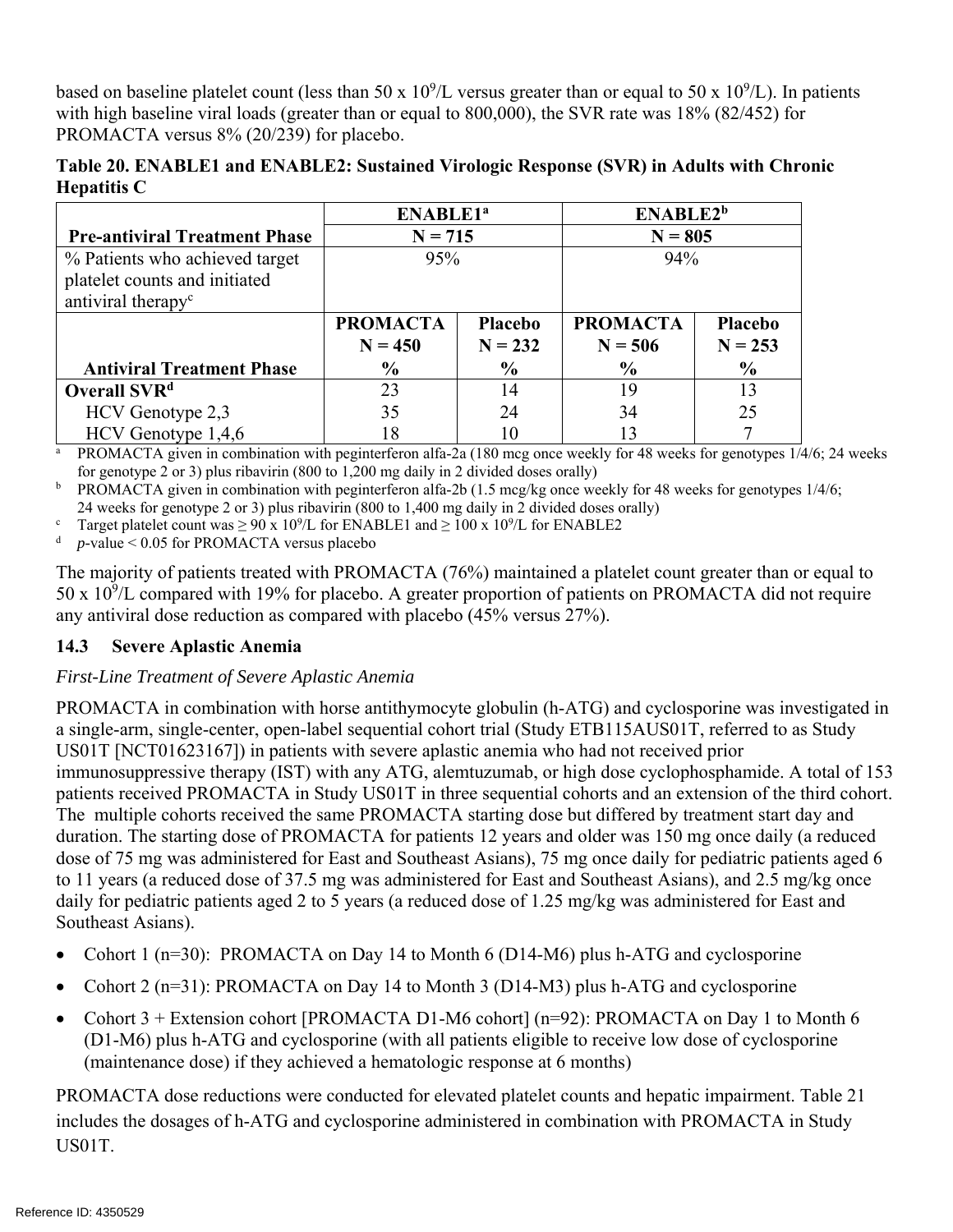based on baseline platelet count (less than 50 x  $10^9$ /L versus greater than or equal to 50 x  $10^9$ /L). In patients with high baseline viral loads (greater than or equal to 800,000), the SVR rate was 18% (82/452) for PROMACTA versus 8% (20/239) for placebo.

|                    | Table 20. ENABLE1 and ENABLE2: Sustained Virologic Response (SVR) in Adults with Chronic |  |  |  |
|--------------------|------------------------------------------------------------------------------------------|--|--|--|
| <b>Hepatitis C</b> |                                                                                          |  |  |  |

|                                                                                                   | <b>ENABLE1<sup>a</sup></b>   |                             | ENABLE2 <sup>b</sup>         |                      |
|---------------------------------------------------------------------------------------------------|------------------------------|-----------------------------|------------------------------|----------------------|
| <b>Pre-antiviral Treatment Phase</b>                                                              | $N = 715$                    |                             | $N = 805$                    |                      |
| % Patients who achieved target<br>platelet counts and initiated<br>antiviral therapy <sup>c</sup> | 95%                          |                             | 94%                          |                      |
|                                                                                                   | <b>PROMACTA</b><br>$N = 450$ | <b>Placebo</b><br>$N = 232$ | <b>PROMACTA</b><br>$N = 506$ | Placebo<br>$N = 253$ |
| <b>Antiviral Treatment Phase</b>                                                                  | $\frac{0}{0}$                | $\frac{6}{9}$               | $\frac{0}{0}$                | $\frac{6}{6}$        |
| Overall SVR <sup>d</sup>                                                                          | 23                           | 14                          | 19                           | 13                   |
| HCV Genotype 2,3                                                                                  | 35                           | 24                          | 34                           | 25                   |
| HCV Genotype 1,4,6                                                                                | 18                           | 10                          | 13                           |                      |

 for genotype 2 or 3) plus ribavirin (800 to 1,200 mg daily in 2 divided doses orally) <sup>a</sup> PROMACTA given in combination with peginterferon alfa-2a (180 mcg once weekly for 48 weeks for genotypes  $1/4/6$ ; 24 weeks

<sup>b</sup> PROMACTA given in combination with peginterferon alfa-2b (1.5 mcg/kg once weekly for 48 weeks for genotypes  $1/4/6$ ; 24 weeks for genotype 2 or 3) plus ribavirin (800 to 1,400 mg daily in 2 divided doses orally)

<sup>c</sup> Target platelet count was  $\geq 90 \times 10^9$ /L for ENABLE1 and  $\geq 100 \times 10^9$ /L for ENABLE2

<sup>d</sup>*p-*value < 0.05 for PROMACTA versus placebo

The majority of patients treated with PROMACTA (76%) maintained a platelet count greater than or equal to 50 x  $10^9$ /L compared with 19% for placebo. A greater proportion of patients on PROMACTA did not require any antiviral dose reduction as compared with placebo (45% versus 27%).

### **14.3 Severe Aplastic Anemia**

### *First-Line Treatment of Severe Aplastic Anemia*

PROMACTA in combination with horse antithymocyte globulin (h-ATG) and cyclosporine was investigated in a single-arm, single-center, open-label sequential cohort trial (Study ETB115AUS01T, referred to as Study US01T [NCT01623167]) in patients with severe aplastic anemia who had not received prior immunosuppressive therapy (IST) with any ATG, alemtuzumab, or high dose cyclophosphamide. A total of 153 patients received PROMACTA in Study US01T in three sequential cohorts and an extension of the third cohort. The multiple cohorts received the same PROMACTA starting dose but differed by treatment start day and duration. The starting dose of PROMACTA for patients 12 years and older was 150 mg once daily (a reduced dose of 75 mg was administered for East and Southeast Asians), 75 mg once daily for pediatric patients aged 6 to 11 years (a reduced dose of 37.5 mg was administered for East and Southeast Asians), and 2.5 mg/kg once daily for pediatric patients aged 2 to 5 years (a reduced dose of 1.25 mg/kg was administered for East and Southeast Asians).

- Cohort 1 (n=30): PROMACTA on Day 14 to Month 6 (D14-M6) plus h-ATG and cyclosporine
- Cohort 2 ( $n=31$ ): PROMACTA on Day 14 to Month 3 (D14-M3) plus h-ATG and cyclosporine
- Cohort 3 + Extension cohort [PROMACTA D1-M6 cohort] (n=92): PROMACTA on Day 1 to Month 6 (D1-M6) plus h-ATG and cyclosporine (with all patients eligible to receive low dose of cyclosporine (maintenance dose) if they achieved a hematologic response at 6 months)

PROMACTA dose reductions were conducted for elevated platelet counts and hepatic impairment. Table 21 includes the dosages of h-ATG and cyclosporine administered in combination with PROMACTA in Study US01T.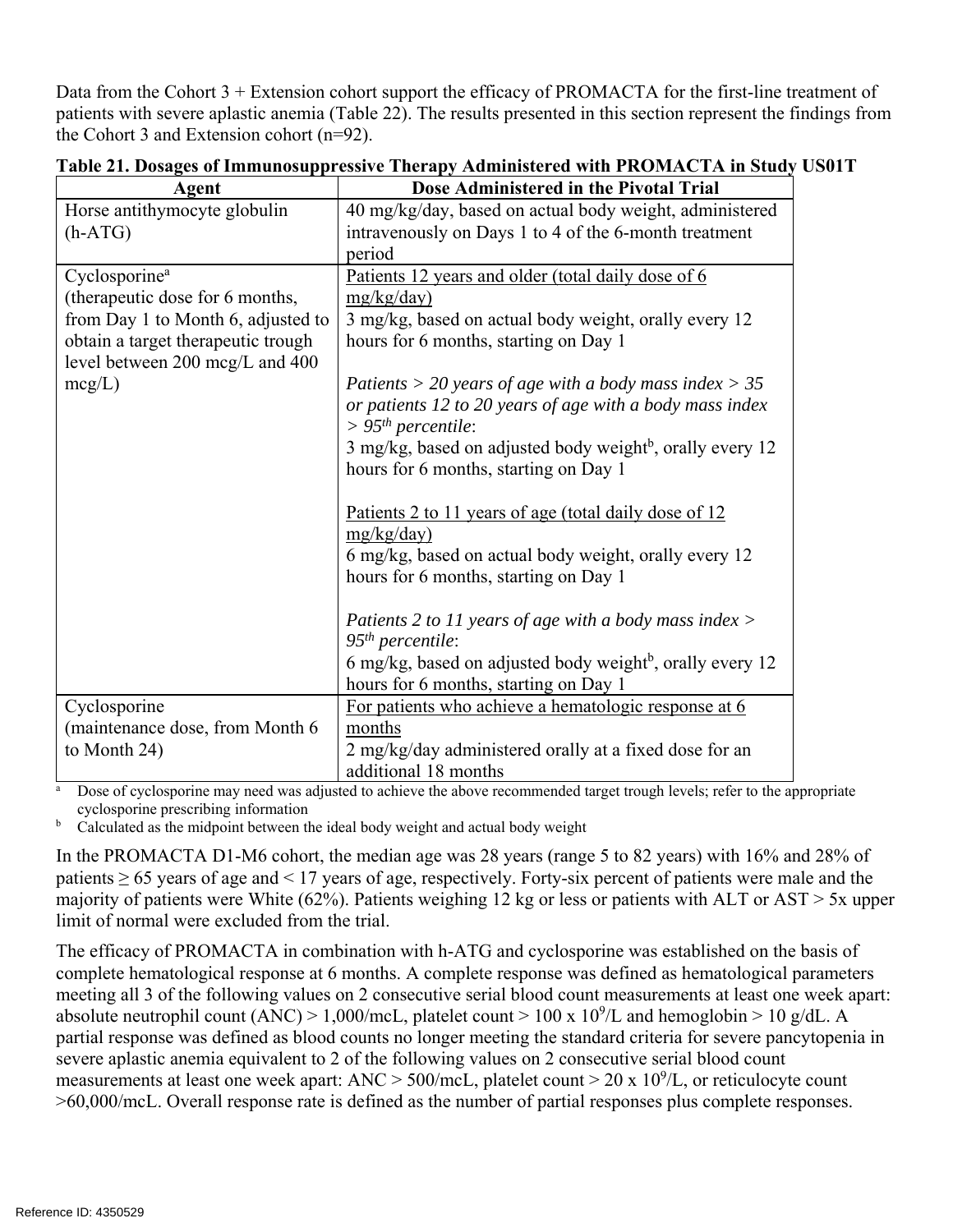Data from the Cohort 3 + Extension cohort support the efficacy of PROMACTA for the first-line treatment of patients with severe aplastic anemia (Table 22). The results presented in this section represent the findings from the Cohort 3 and Extension cohort (n=92).

| Agent                              | Dose Administered in the Pivotal Trial                                     |
|------------------------------------|----------------------------------------------------------------------------|
| Horse antithymocyte globulin       | 40 mg/kg/day, based on actual body weight, administered                    |
| $(h-ATG)$                          | intravenously on Days 1 to 4 of the 6-month treatment                      |
|                                    | period                                                                     |
| Cyclosporine <sup>a</sup>          | <u>Patients 12 years and older (total daily dose of 6</u>                  |
| (therapeutic dose for 6 months,    | mg/kg/day)                                                                 |
| from Day 1 to Month 6, adjusted to | 3 mg/kg, based on actual body weight, orally every 12                      |
| obtain a target therapeutic trough | hours for 6 months, starting on Day 1                                      |
| level between 200 mcg/L and 400    |                                                                            |
| $mcg/L$ )                          | Patients > 20 years of age with a body mass index > 35                     |
|                                    | or patients 12 to 20 years of age with a body mass index                   |
|                                    | $> 95th$ percentile:                                                       |
|                                    | 3 mg/kg, based on adjusted body weight <sup>b</sup> , orally every 12      |
|                                    | hours for 6 months, starting on Day 1                                      |
|                                    |                                                                            |
|                                    | <u>Patients 2 to 11 years of age (total daily dose of 12</u><br>mg/kg/day) |
|                                    | 6 mg/kg, based on actual body weight, orally every 12                      |
|                                    | hours for 6 months, starting on Day 1                                      |
|                                    |                                                                            |
|                                    | Patients 2 to 11 years of age with a body mass index $>$                   |
|                                    | $95th$ percentile:                                                         |
|                                    | 6 mg/kg, based on adjusted body weight <sup>b</sup> , orally every 12      |
|                                    | hours for 6 months, starting on Day 1                                      |
| Cyclosporine                       | For patients who achieve a hematologic response at 6                       |
| (maintenance dose, from Month 6)   | months                                                                     |
| to Month 24)                       | 2 mg/kg/day administered orally at a fixed dose for an                     |
|                                    | additional 18 months                                                       |

| Table 21. Dosages of Immunosuppressive Therapy Administered with PROMACTA in Study US01T |  |  |
|------------------------------------------------------------------------------------------|--|--|
|------------------------------------------------------------------------------------------|--|--|

<sup>a</sup> Dose of cyclosporine may need was adjusted to achieve the above recommended target trough levels; refer to the appropriate cyclosporine prescribing information

 $b$  Calculated as the midpoint between the ideal body weight and actual body weight

In the PROMACTA D1-M6 cohort, the median age was 28 years (range 5 to 82 years) with 16% and 28% of patients  $\geq 65$  years of age and  $\leq 17$  years of age, respectively. Forty-six percent of patients were male and the majority of patients were White (62%). Patients weighing 12 kg or less or patients with ALT or AST > 5x upper limit of normal were excluded from the trial.

The efficacy of PROMACTA in combination with h-ATG and cyclosporine was established on the basis of complete hematological response at 6 months. A complete response was defined as hematological parameters meeting all 3 of the following values on 2 consecutive serial blood count measurements at least one week apart: absolute neutrophil count (ANC) > 1,000/mcL, platelet count > 100 x  $10^9$ /L and hemoglobin > 10 g/dL. A partial response was defined as blood counts no longer meeting the standard criteria for severe pancytopenia in severe aplastic anemia equivalent to 2 of the following values on 2 consecutive serial blood count measurements at least one week apart:  $\text{ANC} > 500/\text{mcL}$ , platelet count  $> 20 \times 10^9/\text{L}$ , or reticulocyte count >60,000/mcL. Overall response rate is defined as the number of partial responses plus complete responses.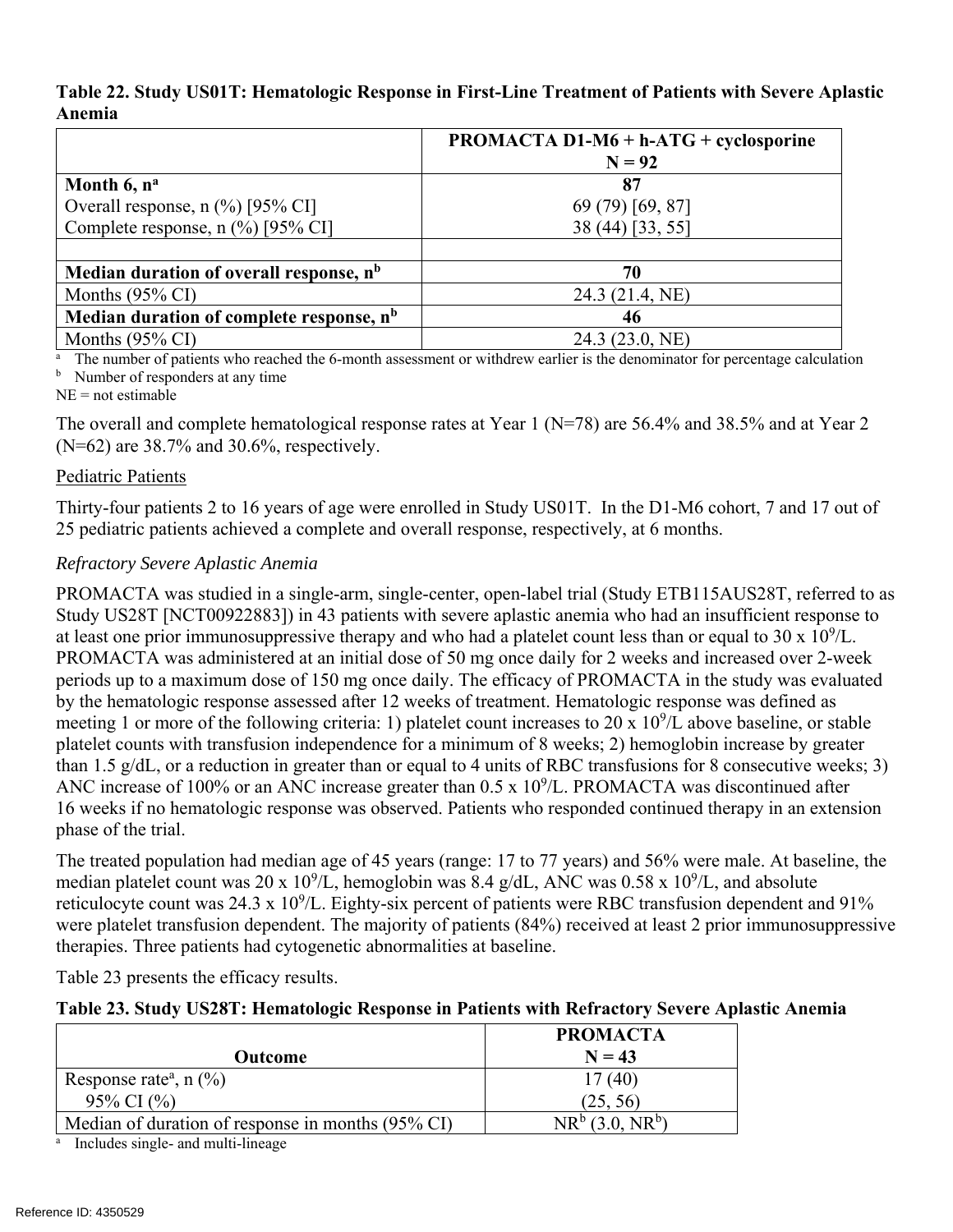### **Table 22. Study US01T: Hematologic Response in First-Line Treatment of Patients with Severe Aplastic Anemia**

|                                                      | <b>PROMACTA D1-M6 + h-ATG + cyclosporine</b> |
|------------------------------------------------------|----------------------------------------------|
|                                                      | $N = 92$                                     |
| Month 6, n <sup>a</sup>                              | 87                                           |
| Overall response, $n$ (%) [95% CI]                   | 69 (79) [69, 87]                             |
| Complete response, n (%) [95% CI]                    | 38 (44) [33, 55]                             |
|                                                      |                                              |
| Median duration of overall response, n <sup>b</sup>  | 70                                           |
| Months $(95\% \text{ CI})$                           | 24.3 (21.4, NE)                              |
| Median duration of complete response, n <sup>b</sup> | 46                                           |
| Months $(95\% \text{ CI})$                           | 24.3 (23.0, NE)                              |

<sup>a</sup> The number of patients who reached the 6-month assessment or withdrew earlier is the denominator for percentage calculation <sup>b</sup> Number of responders at any time

 $NE = not$  estimable

The overall and complete hematological response rates at Year 1 (N=78) are 56.4% and 38.5% and at Year 2 (N=62) are 38.7% and 30.6%, respectively.

### Pediatric Patients

Thirty-four patients 2 to 16 years of age were enrolled in Study US01T. In the D1-M6 cohort, 7 and 17 out of 25 pediatric patients achieved a complete and overall response, respectively, at 6 months.

### *Refractory Severe Aplastic Anemia*

PROMACTA was studied in a single-arm, single-center, open-label trial (Study ETB115AUS28T, referred to as Study US28T [NCT00922883]) in 43 patients with severe aplastic anemia who had an insufficient response to at least one prior immunosuppressive therapy and who had a platelet count less than or equal to  $30 \times 10^9$ /L. PROMACTA was administered at an initial dose of 50 mg once daily for 2 weeks and increased over 2-week periods up to a maximum dose of 150 mg once daily. The efficacy of PROMACTA in the study was evaluated by the hematologic response assessed after 12 weeks of treatment. Hematologic response was defined as meeting 1 or more of the following criteria: 1) platelet count increases to 20 x  $10^9$ /L above baseline, or stable platelet counts with transfusion independence for a minimum of 8 weeks; 2) hemoglobin increase by greater than 1.5 g/dL, or a reduction in greater than or equal to 4 units of RBC transfusions for 8 consecutive weeks; 3) ANC increase of 100% or an ANC increase greater than  $0.5 \times 10^9$ /L. PROMACTA was discontinued after 16 weeks if no hematologic response was observed. Patients who responded continued therapy in an extension phase of the trial.

The treated population had median age of 45 years (range: 17 to 77 years) and 56% were male. At baseline, the median platelet count was 20 x  $10^9$ /L, hemoglobin was 8.4 g/dL, ANC was 0.58 x  $10^9$ /L, and absolute reticulocyte count was  $24.3 \times 10^9$ /L. Eighty-six percent of patients were RBC transfusion dependent and 91% were platelet transfusion dependent. The majority of patients (84%) received at least 2 prior immunosuppressive therapies. Three patients had cytogenetic abnormalities at baseline.

Table 23 presents the efficacy results.

### **Table 23. Study US28T: Hematologic Response in Patients with Refractory Severe Aplastic Anemia**

| $N = 43$                         |
|----------------------------------|
| 17(40)                           |
| (25, 56)                         |
| $NR^{b}$ (3.0, NR <sup>b</sup> ) |
|                                  |

Includes single- and multi-lineage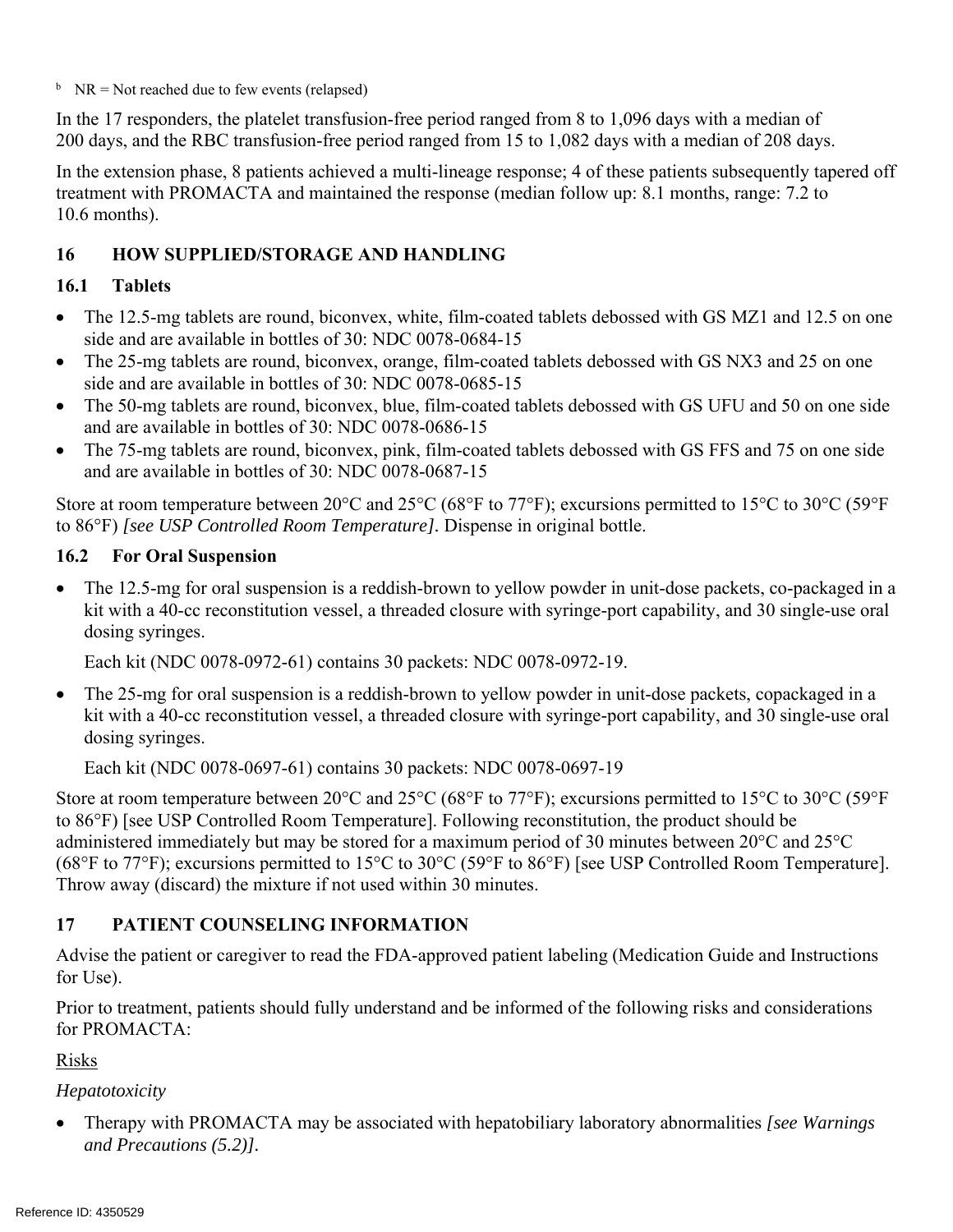$h$  NR = Not reached due to few events (relapsed)

In the 17 responders, the platelet transfusion-free period ranged from 8 to 1,096 days with a median of 200 days, and the RBC transfusion-free period ranged from 15 to 1,082 days with a median of 208 days.

In the extension phase, 8 patients achieved a multi-lineage response; 4 of these patients subsequently tapered off treatment with PROMACTA and maintained the response (median follow up: 8.1 months, range: 7.2 to 10.6 months).

## **16 HOW SUPPLIED/STORAGE AND HANDLING**

### **16.1 Tablets**

- The 12.5-mg tablets are round, biconvex, white, film-coated tablets debossed with GS MZ1 and 12.5 on one side and are available in bottles of 30: NDC 0078-0684-15
- The 25-mg tablets are round, biconvex, orange, film-coated tablets debossed with GS NX3 and 25 on one side and are available in bottles of 30: NDC 0078-0685-15
- The 50-mg tablets are round, biconvex, blue, film-coated tablets debossed with GS UFU and 50 on one side and are available in bottles of 30: NDC 0078-0686-15
- The 75-mg tablets are round, biconvex, pink, film-coated tablets debossed with GS FFS and 75 on one side and are available in bottles of 30: NDC 0078-0687-15

Store at room temperature between 20 $\degree$ C and 25 $\degree$ C (68 $\degree$ F to 77 $\degree$ F); excursions permitted to 15 $\degree$ C to 30 $\degree$ C (59 $\degree$ F to 86°F) *[see USP Controlled Room Temperature].* Dispense in original bottle.

### **16.2 For Oral Suspension**

 The 12.5-mg for oral suspension is a reddish-brown to yellow powder in unit-dose packets, co-packaged in a kit with a 40-cc reconstitution vessel, a threaded closure with syringe-port capability, and 30 single-use oral dosing syringes.

Each kit (NDC 0078-0972-61) contains 30 packets: NDC 0078-0972-19.

• The 25-mg for oral suspension is a reddish-brown to yellow powder in unit-dose packets, copackaged in a kit with a 40-cc reconstitution vessel, a threaded closure with syringe-port capability, and 30 single-use oral dosing syringes.

Each kit (NDC 0078-0697-61) contains 30 packets: NDC 0078-0697-19

Store at room temperature between 20°C and 25°C (68°F to 77°F); excursions permitted to 15°C to 30°C (59°F to 86°F) [see USP Controlled Room Temperature]. Following reconstitution, the product should be administered immediately but may be stored for a maximum period of 30 minutes between 20°C and 25°C (68°F to 77°F); excursions permitted to 15°C to 30°C (59°F to 86°F) [see USP Controlled Room Temperature]. Throw away (discard) the mixture if not used within 30 minutes.

## **17 PATIENT COUNSELING INFORMATION**

Advise the patient or caregiver to read the FDA-approved patient labeling (Medication Guide and Instructions for Use).

Prior to treatment, patients should fully understand and be informed of the following risks and considerations for PROMACTA:

## Risks

*Hepatotoxicity* 

 Therapy with PROMACTA may be associated with hepatobiliary laboratory abnormalities *[see Warnings and Precautions (5.2)].*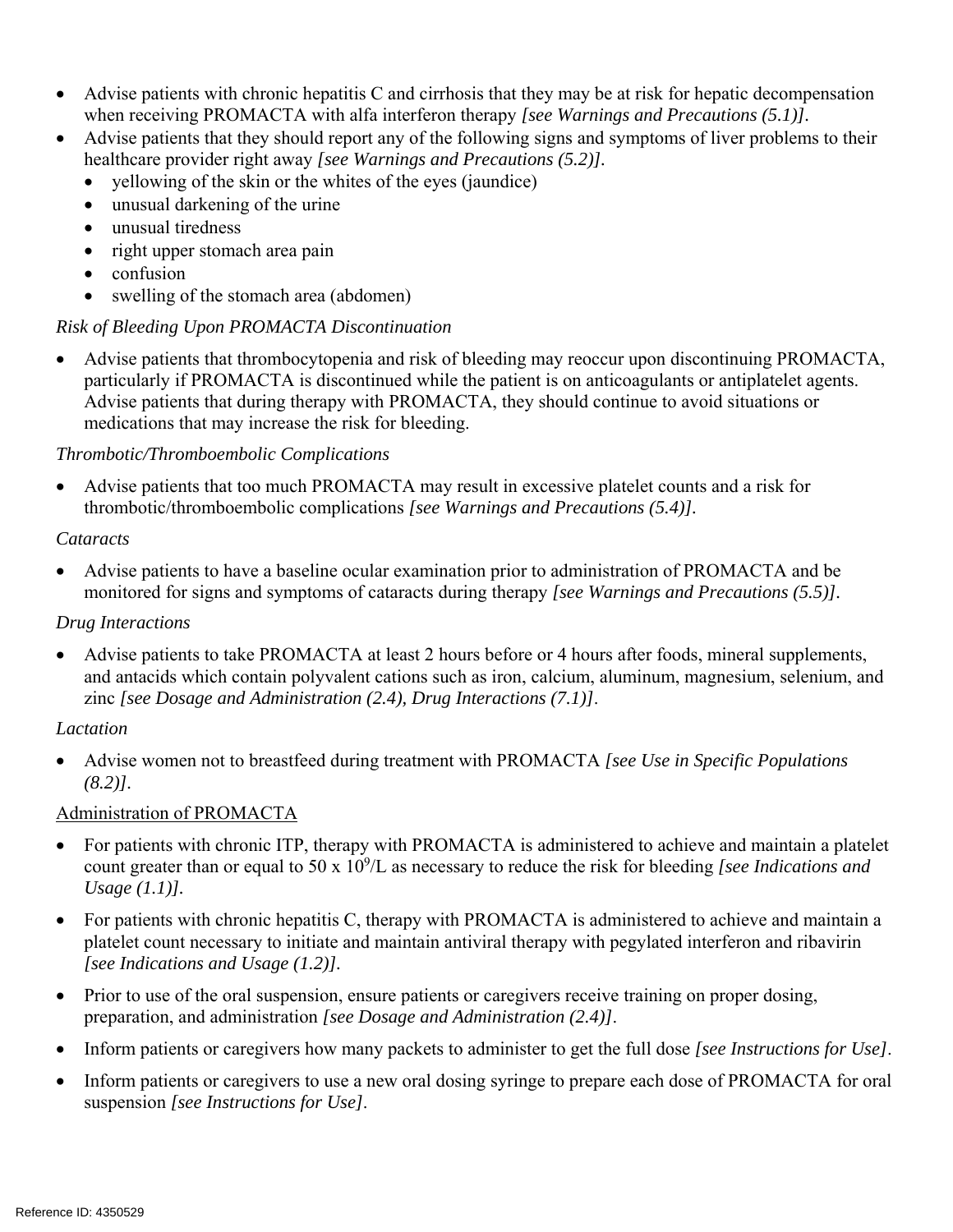- Advise patients with chronic hepatitis C and cirrhosis that they may be at risk for hepatic decompensation when receiving PROMACTA with alfa interferon therapy *[see Warnings and Precautions (5.1)].*
- Advise patients that they should report any of the following signs and symptoms of liver problems to their healthcare provider right away *[see Warnings and Precautions (5.2)].* 
	- yellowing of the skin or the whites of the eyes (jaundice)
	- unusual darkening of the urine
	- unusual tiredness
	- right upper stomach area pain
	- confusion
	- swelling of the stomach area (abdomen)

## *Risk of Bleeding Upon PROMACTA Discontinuation*

 Advise patients that thrombocytopenia and risk of bleeding may reoccur upon discontinuing PROMACTA, particularly if PROMACTA is discontinued while the patient is on anticoagulants or antiplatelet agents. Advise patients that during therapy with PROMACTA, they should continue to avoid situations or medications that may increase the risk for bleeding.

## *Thrombotic/Thromboembolic Complications*

 Advise patients that too much PROMACTA may result in excessive platelet counts and a risk for thrombotic/thromboembolic complications *[see Warnings and Precautions (5.4)].* 

### *Cataracts*

 Advise patients to have a baseline ocular examination prior to administration of PROMACTA and be monitored for signs and symptoms of cataracts during therapy *[see Warnings and Precautions (5.5)].* 

### *Drug Interactions*

 Advise patients to take PROMACTA at least 2 hours before or 4 hours after foods, mineral supplements, and antacids which contain polyvalent cations such as iron, calcium, aluminum, magnesium, selenium, and zinc *[see Dosage and Administration (2.4), Drug Interactions (7.1)]*.

### *Lactation*

 Advise women not to breastfeed during treatment with PROMACTA *[see Use in Specific Populations (8.2)].* 

## Administration of PROMACTA

- For patients with chronic ITP, therapy with PROMACTA is administered to achieve and maintain a platelet count greater than or equal to 50 x 10<sup>9</sup>/L as necessary to reduce the risk for bleeding [see Indications and *Usage (1.1)].*
- For patients with chronic hepatitis C, therapy with PROMACTA is administered to achieve and maintain a platelet count necessary to initiate and maintain antiviral therapy with pegylated interferon and ribavirin *[see Indications and Usage (1.2)].*
- Prior to use of the oral suspension, ensure patients or caregivers receive training on proper dosing, preparation, and administration *[see Dosage and Administration (2.4)]*.
- Inform patients or caregivers how many packets to administer to get the full dose *[see Instructions for Use]*.
- Inform patients or caregivers to use a new oral dosing syringe to prepare each dose of PROMACTA for oral suspension *[see Instructions for Use]*.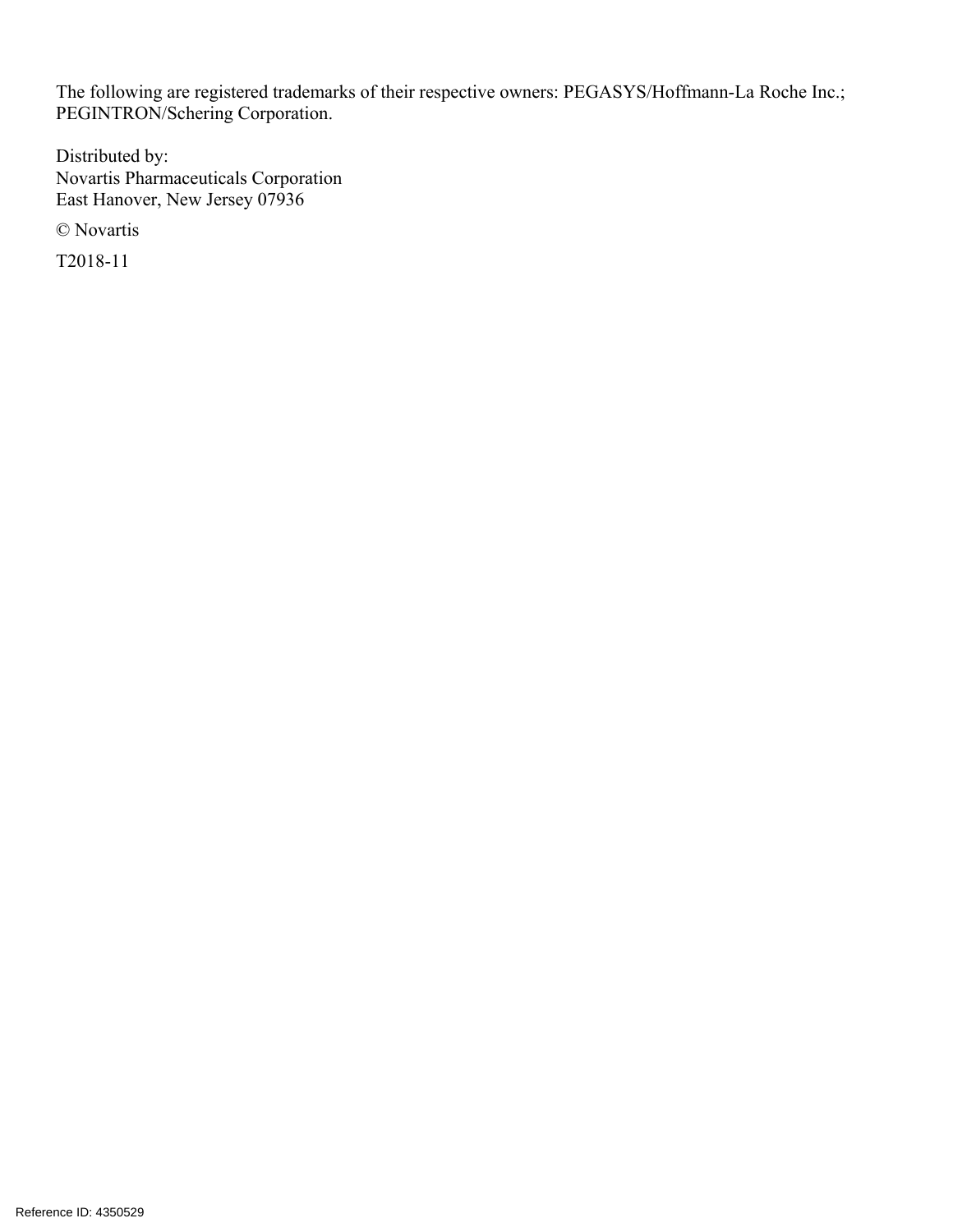The following are registered trademarks of their respective owners: PEGASYS/Hoffmann-La Roche Inc.; PEGINTRON/Schering Corporation.

Distributed by: Novartis Pharmaceuticals Corporation East Hanover, New Jersey 07936

© Novartis

T2018-11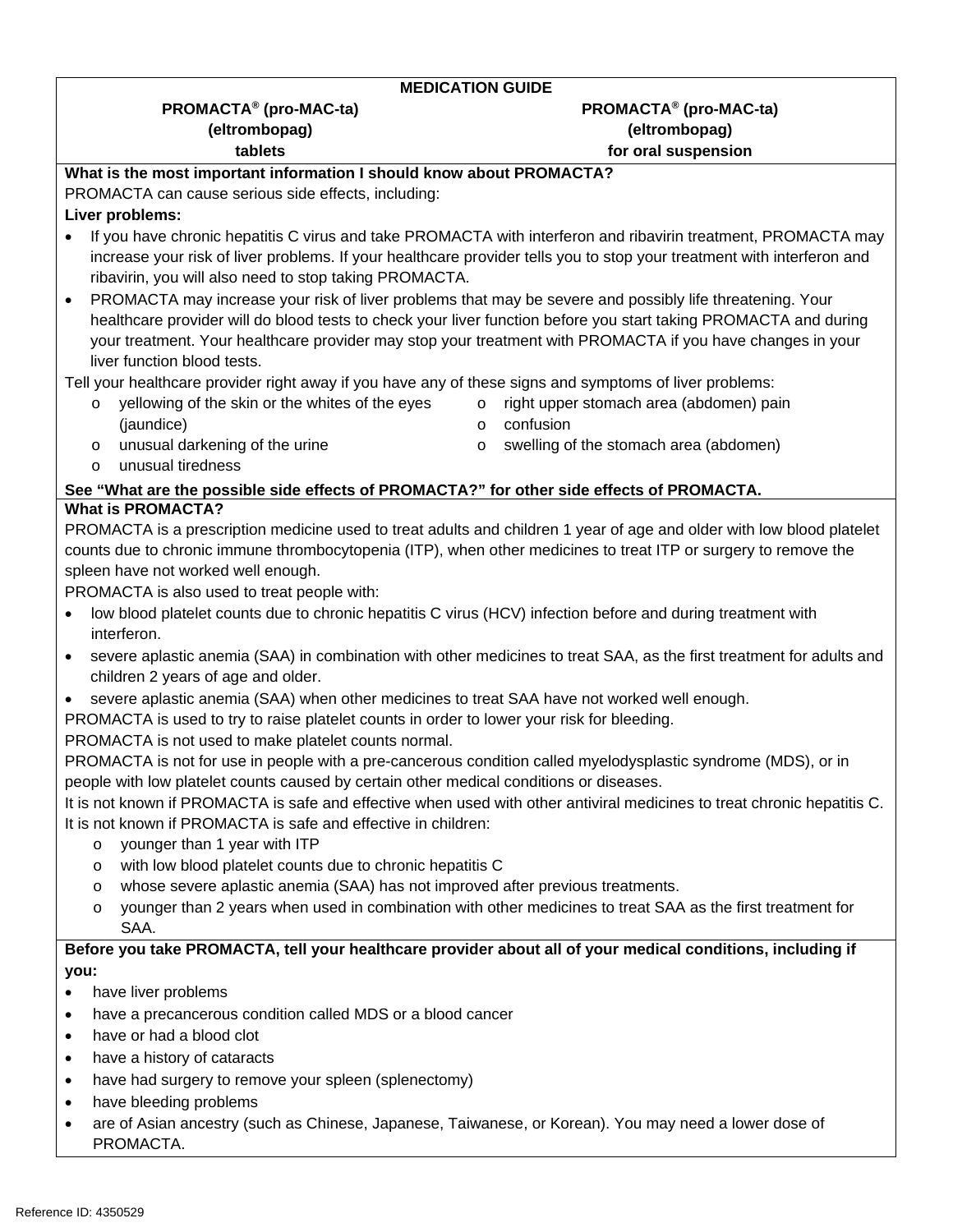#### **MEDICATION GUIDE**

### **PROMACTA® (pro-MAC-ta) PROMACTA® (pro-MAC-ta) (eltrombopag) (eltrombopag) tablets tablets for oral suspension**

## **What is the most important information I should know about PROMACTA?**

PROMACTA can cause serious side effects, including:

### **Liver problems:**

- If you have chronic hepatitis C virus and take PROMACTA with interferon and ribavirin treatment, PROMACTA may increase your risk of liver problems. If your healthcare provider tells you to stop your treatment with interferon and ribavirin, you will also need to stop taking PROMACTA.
- PROMACTA may increase your risk of liver problems that may be severe and possibly life threatening. Your healthcare provider will do blood tests to check your liver function before you start taking PROMACTA and during your treatment. Your healthcare provider may stop your treatment with PROMACTA if you have changes in your liver function blood tests.

Tell your healthcare provider right away if you have any of these signs and symptoms of liver problems:

- o yellowing of the skin or the whites of the eyes (jaundice)
- o right upper stomach area (abdomen) pain o confusion

o unusual darkening of the urine

o swelling of the stomach area (abdomen)

o unusual tiredness

#### **See "What are the possible side effects of PROMACTA?" for other side effects of PROMACTA. What is PROMACTA?**

PROMACTA is a prescription medicine used to treat adults and children 1 year of age and older with low blood platelet counts due to chronic immune thrombocytopenia (ITP), when other medicines to treat ITP or surgery to remove the spleen have not worked well enough.

PROMACTA is also used to treat people with:

- low blood platelet counts due to chronic hepatitis C virus (HCV) infection before and during treatment with interferon.
- severe aplastic anemia (SAA) in combination with other medicines to treat SAA, as the first treatment for adults and children 2 years of age and older.
- severe aplastic anemia (SAA) when other medicines to treat SAA have not worked well enough.

PROMACTA is used to try to raise platelet counts in order to lower your risk for bleeding.

PROMACTA is not used to make platelet counts normal.

PROMACTA is not for use in people with a pre-cancerous condition called myelodysplastic syndrome (MDS), or in people with low platelet counts caused by certain other medical conditions or diseases.

It is not known if PROMACTA is safe and effective when used with other antiviral medicines to treat chronic hepatitis C. It is not known if PROMACTA is safe and effective in children:

- o younger than 1 year with ITP
- o with low blood platelet counts due to chronic hepatitis C
- o whose severe aplastic anemia (SAA) has not improved after previous treatments.
- o younger than 2 years when used in combination with other medicines to treat SAA as the first treatment for SAA.

### **Before you take PROMACTA, tell your healthcare provider about all of your medical conditions, including if you:**

- have liver problems
- have a precancerous condition called MDS or a blood cancer
- have or had a blood clot
- have a history of cataracts
- have had surgery to remove your spleen (splenectomy)
- have bleeding problems
- are of Asian ancestry (such as Chinese, Japanese, Taiwanese, or Korean). You may need a lower dose of PROMACTA.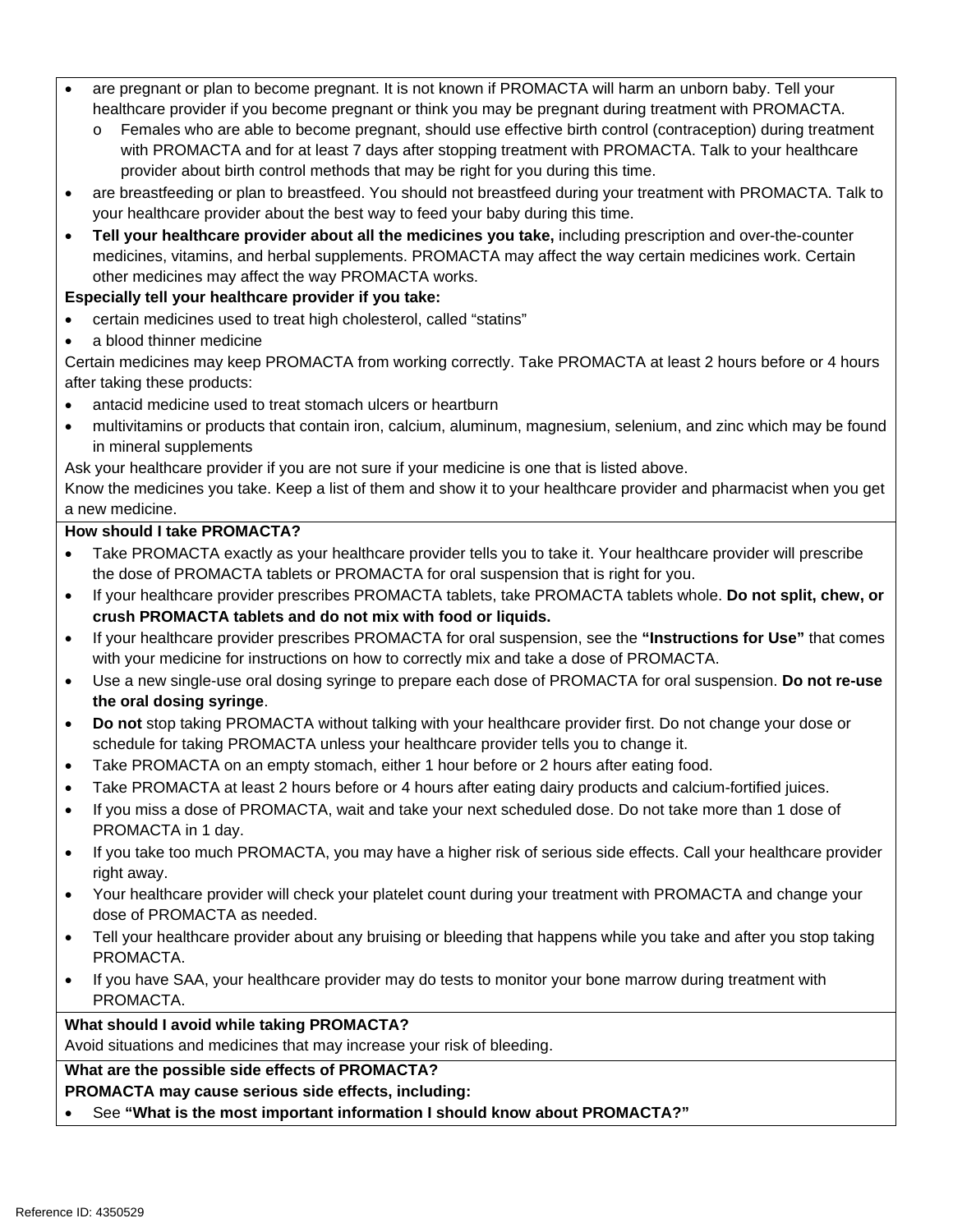- are pregnant or plan to become pregnant. It is not known if PROMACTA will harm an unborn baby. Tell your healthcare provider if you become pregnant or think you may be pregnant during treatment with PROMACTA.
	- Females who are able to become pregnant, should use effective birth control (contraception) during treatment with PROMACTA and for at least 7 days after stopping treatment with PROMACTA. Talk to your healthcare provider about birth control methods that may be right for you during this time.
- are breastfeeding or plan to breastfeed. You should not breastfeed during your treatment with PROMACTA. Talk to your healthcare provider about the best way to feed your baby during this time.
- **Tell your healthcare provider about all the medicines you take,** including prescription and over-the-counter medicines, vitamins, and herbal supplements. PROMACTA may affect the way certain medicines work. Certain other medicines may affect the way PROMACTA works.

#### **Especially tell your healthcare provider if you take:**

- certain medicines used to treat high cholesterol, called "statins"
- a blood thinner medicine

Certain medicines may keep PROMACTA from working correctly. Take PROMACTA at least 2 hours before or 4 hours after taking these products:

- antacid medicine used to treat stomach ulcers or heartburn
- multivitamins or products that contain iron, calcium, aluminum, magnesium, selenium, and zinc which may be found in mineral supplements

Ask your healthcare provider if you are not sure if your medicine is one that is listed above.

Know the medicines you take. Keep a list of them and show it to your healthcare provider and pharmacist when you get a new medicine.

#### **How should I take PROMACTA?**

- Take PROMACTA exactly as your healthcare provider tells you to take it. Your healthcare provider will prescribe the dose of PROMACTA tablets or PROMACTA for oral suspension that is right for you.
- **crush PROMACTA tablets and do not mix with food or liquids.** If your healthcare provider prescribes PROMACTA tablets, take PROMACTA tablets whole. **Do not split, chew, or**
- If your healthcare provider prescribes PROMACTA for oral suspension, see the **"Instructions for Use"** that comes with your medicine for instructions on how to correctly mix and take a dose of PROMACTA.
- Use a new single-use oral dosing syringe to prepare each dose of PROMACTA for oral suspension. **Do not re-use the oral dosing syringe**.
- **Do not** stop taking PROMACTA without talking with your healthcare provider first. Do not change your dose or schedule for taking PROMACTA unless your healthcare provider tells you to change it.
- Take PROMACTA on an empty stomach, either 1 hour before or 2 hours after eating food.
- Take PROMACTA at least 2 hours before or 4 hours after eating dairy products and calcium-fortified juices.
- If you miss a dose of PROMACTA, wait and take your next scheduled dose. Do not take more than 1 dose of PROMACTA in 1 day.
- If you take too much PROMACTA, you may have a higher risk of serious side effects. Call your healthcare provider right away.
- Your healthcare provider will check your platelet count during your treatment with PROMACTA and change your dose of PROMACTA as needed.
- Tell your healthcare provider about any bruising or bleeding that happens while you take and after you stop taking PROMACTA.
- If you have SAA, your healthcare provider may do tests to monitor your bone marrow during treatment with PROMACTA.

### **What should I avoid while taking PROMACTA?**

Avoid situations and medicines that may increase your risk of bleeding.

### **What are the possible side effects of PROMACTA?**

#### **PROMACTA may cause serious side effects, including:**

See **"What is the most important information I should know about PROMACTA?"**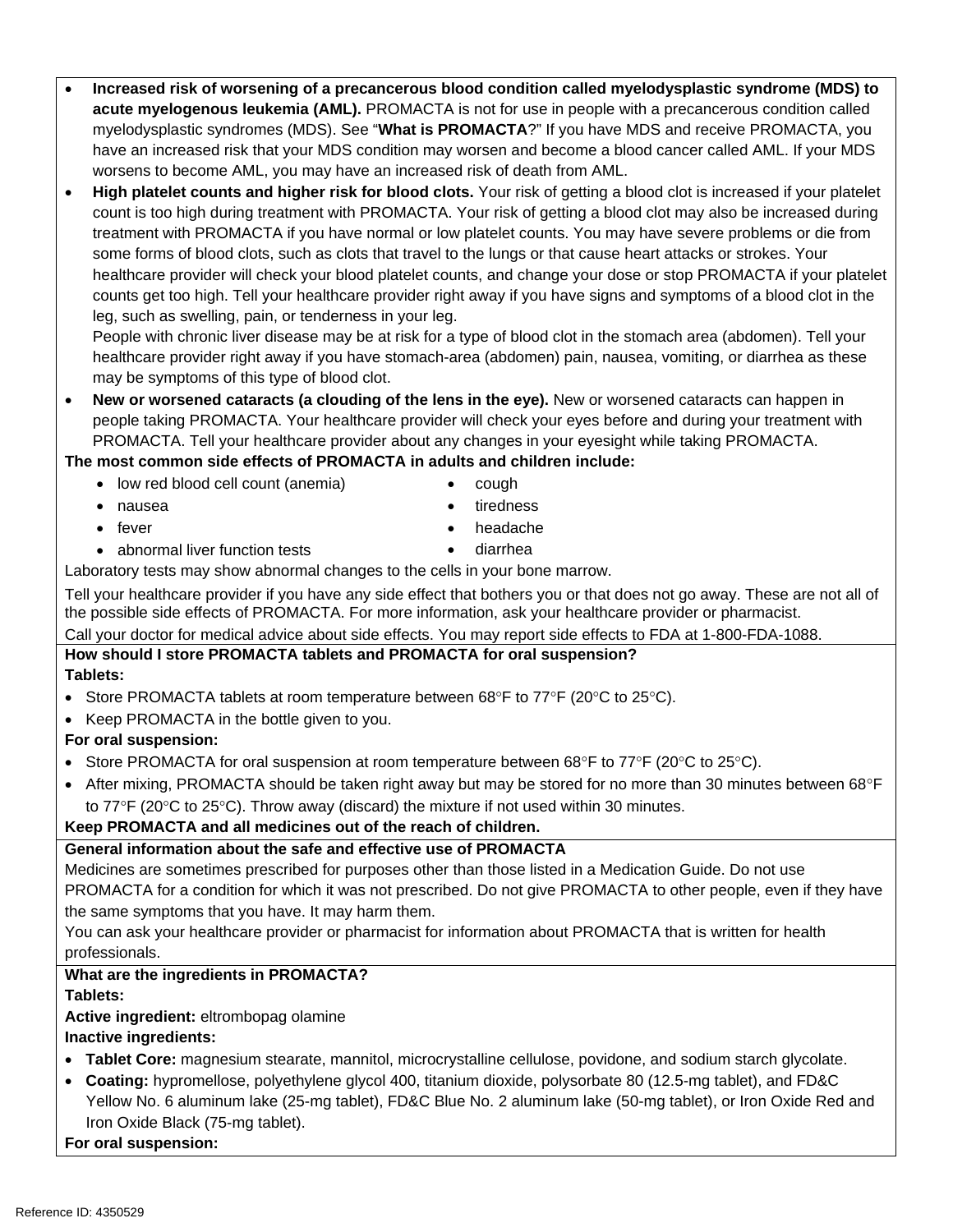#### **Increased risk of worsening of a precancerous blood condition called myelodysplastic syndrome (MDS) to acute myelogenous leukemia (AML).** PROMACTA is not for use in people with a precancerous condition called myelodysplastic syndromes (MDS). See "**What is PROMACTA**?" If you have MDS and receive PROMACTA, you have an increased risk that your MDS condition may worsen and become a blood cancer called AML. If your MDS worsens to become AML, you may have an increased risk of death from AML.

 **High platelet counts and higher risk for blood clots.** Your risk of getting a blood clot is increased if your platelet count is too high during treatment with PROMACTA. Your risk of getting a blood clot may also be increased during treatment with PROMACTA if you have normal or low platelet counts. You may have severe problems or die from some forms of blood clots, such as clots that travel to the lungs or that cause heart attacks or strokes. Your healthcare provider will check your blood platelet counts, and change your dose or stop PROMACTA if your platelet counts get too high. Tell your healthcare provider right away if you have signs and symptoms of a blood clot in the leg, such as swelling, pain, or tenderness in your leg.

 may be symptoms of this type of blood clot. People with chronic liver disease may be at risk for a type of blood clot in the stomach area (abdomen). Tell your healthcare provider right away if you have stomach-area (abdomen) pain, nausea, vomiting, or diarrhea as these

 **New or worsened cataracts (a clouding of the lens in the eye).** New or worsened cataracts can happen in people taking PROMACTA. Your healthcare provider will check your eyes before and during your treatment with PROMACTA. Tell your healthcare provider about any changes in your eyesight while taking PROMACTA.

### **The most common side effects of PROMACTA in adults and children include:**

- low red blood cell count (anemia)
- nausea
- $\bullet$  fever
- abnormal liver function tests
- headache diarrhea

 cough • tiredness

Laboratory tests may show abnormal changes to the cells in your bone marrow.

Tell your healthcare provider if you have any side effect that bothers you or that does not go away. These are not all of the possible side effects of PROMACTA. For more information, ask your healthcare provider or pharmacist.

Call your doctor for medical advice about side effects. You may report side effects to FDA at 1-800-FDA-1088.

#### **How should I store PROMACTA tablets and PROMACTA for oral suspension? Tablets:**

- Store PROMACTA tablets at room temperature between 68°F to  $77^{\circ}F$  (20°C to 25°C).
- Keep PROMACTA in the bottle given to you.

### **For oral suspension:**

- Store PROMACTA for oral suspension at room temperature between  $68^{\circ}$ F to  $77^{\circ}$ F (20 $^{\circ}$ C to 25 $^{\circ}$ C).
- After mixing, PROMACTA should be taken right away but may be stored for no more than 30 minutes between 68°F to  $77^{\circ}$ F (20 $^{\circ}$ C to 25 $^{\circ}$ C). Throw away (discard) the mixture if not used within 30 minutes.

### **Keep PROMACTA and all medicines out of the reach of children.**

### **General information about the safe and effective use of PROMACTA**

Medicines are sometimes prescribed for purposes other than those listed in a Medication Guide. Do not use PROMACTA for a condition for which it was not prescribed. Do not give PROMACTA to other people, even if they have the same symptoms that you have. It may harm them.

You can ask your healthcare provider or pharmacist for information about PROMACTA that is written for health professionals.

### **What are the ingredients in PROMACTA?**

### **Tablets:**

### **Active ingredient:** eltrombopag olamine

### **Inactive ingredients:**

- **Tablet Core:** magnesium stearate, mannitol, microcrystalline cellulose, povidone, and sodium starch glycolate.
- **Coating:** hypromellose, polyethylene glycol 400, titanium dioxide, polysorbate 80 (12.5-mg tablet), and FD&C Yellow No. 6 aluminum lake (25-mg tablet), FD&C Blue No. 2 aluminum lake (50-mg tablet), or Iron Oxide Red and Iron Oxide Black (75-mg tablet).

**For oral suspension:**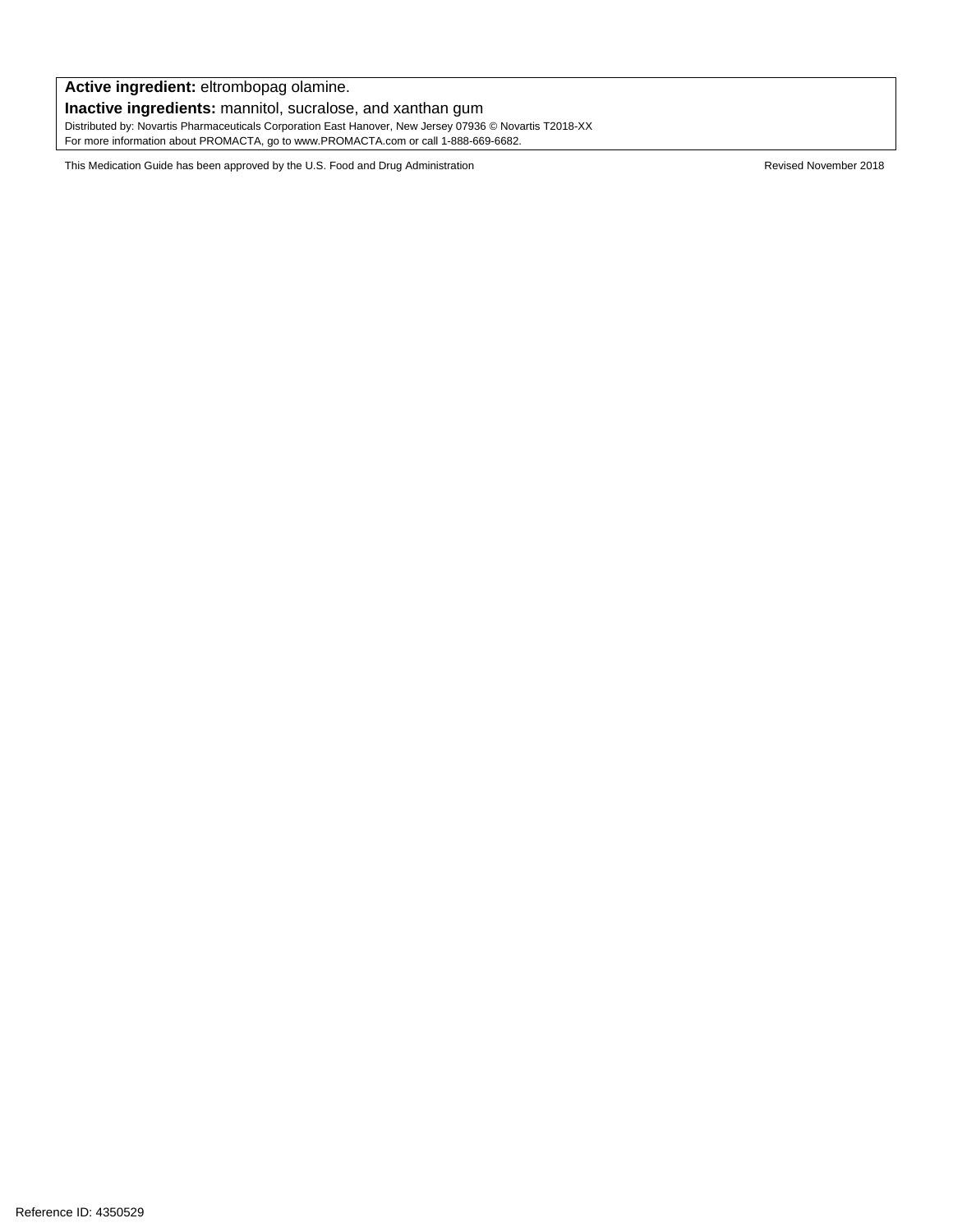**Active ingredient:** eltrombopag olamine. **Inactive ingredients:** mannitol, sucralose, and xanthan gum Distributed by: Novartis Pharmaceuticals Corporation East Hanover, New Jersey 07936 © Novartis T2018-XX For more information about PROMACTA, go to www.PROMACTA.com or call 1-888-669-6682.

This Medication Guide has been approved by the U.S. Food and Drug Administration **Revised Struggler Administration** Revised November 2018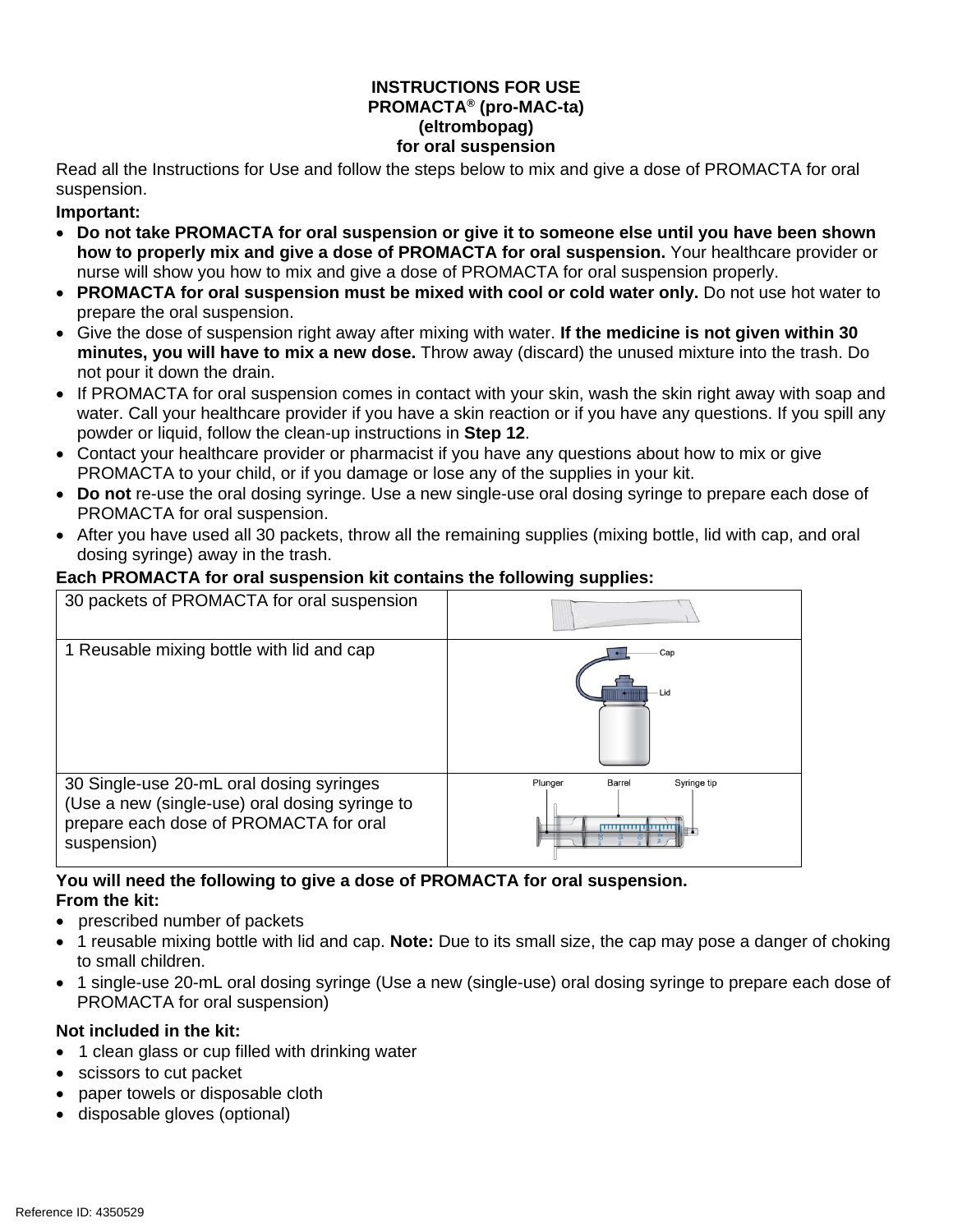#### **INSTRUCTIONS FOR USE PROMACTA® (pro-MAC-ta) (eltrombopag) for oral suspension**

Read all the Instructions for Use and follow the steps below to mix and give a dose of PROMACTA for oral suspension.

### **Important:**

- **Do not take PROMACTA for oral suspension or give it to someone else until you have been shown how to properly mix and give a dose of PROMACTA for oral suspension.** Your healthcare provider or nurse will show you how to mix and give a dose of PROMACTA for oral suspension properly.
- PROMACTA for oral suspension must be mixed with cool or cold water only. Do not use hot water to prepare the oral suspension.
- Give the dose of suspension right away after mixing with water. **If the medicine is not given within 30 minutes, you will have to mix a new dose.** Throw away (discard) the unused mixture into the trash. Do not pour it down the drain.
- If PROMACTA for oral suspension comes in contact with your skin, wash the skin right away with soap and water. Call your healthcare provider if you have a skin reaction or if you have any questions. If you spill any powder or liquid, follow the clean-up instructions in **Step 12**.
- Contact your healthcare provider or pharmacist if you have any questions about how to mix or give PROMACTA to your child, or if you damage or lose any of the supplies in your kit.
- **Do not** re-use the oral dosing syringe. Use a new single-use oral dosing syringe to prepare each dose of PROMACTA for oral suspension.
- After you have used all 30 packets, throw all the remaining supplies (mixing bottle, lid with cap, and oral dosing syringe) away in the trash.

### **Each PROMACTA for oral suspension kit contains the following supplies:**

| 30 packets of PROMACTA for oral suspension                                                                                                          |                                                                  |
|-----------------------------------------------------------------------------------------------------------------------------------------------------|------------------------------------------------------------------|
| 1 Reusable mixing bottle with lid and cap                                                                                                           | Cap<br>- Lid                                                     |
| 30 Single-use 20-mL oral dosing syringes<br>(Use a new (single-use) oral dosing syringe to<br>prepare each dose of PROMACTA for oral<br>suspension) | Plunger<br><b>Barrel</b><br>Syringe tip<br><b>11111111111111</b> |

#### **You will need the following to give a dose of PROMACTA for oral suspension. From the kit:**

- prescribed number of packets
- 1 reusable mixing bottle with lid and cap. **Note:** Due to its small size, the cap may pose a danger of choking to small children.
- 1 single-use 20-mL oral dosing syringe (Use a new (single-use) oral dosing syringe to prepare each dose of PROMACTA for oral suspension)

### **Not included in the kit:**

- 1 clean glass or cup filled with drinking water
- scissors to cut packet
- paper towels or disposable cloth
- disposable gloves (optional)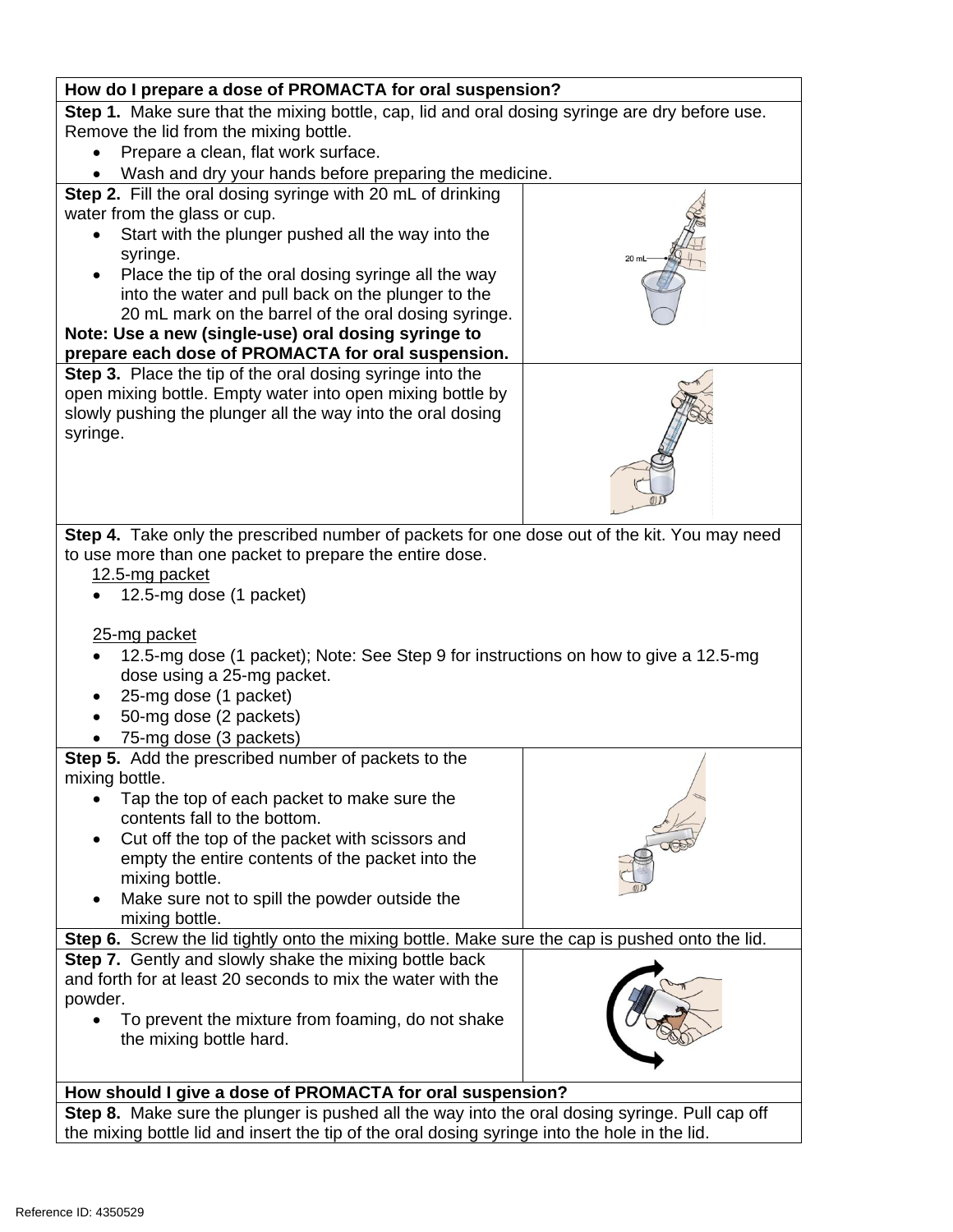| How do I prepare a dose of PROMACTA for oral suspension?                                        |  |  |
|-------------------------------------------------------------------------------------------------|--|--|
| Step 1. Make sure that the mixing bottle, cap, lid and oral dosing syringe are dry before use.  |  |  |
| Remove the lid from the mixing bottle.                                                          |  |  |
| Prepare a clean, flat work surface.                                                             |  |  |
| Wash and dry your hands before preparing the medicine.                                          |  |  |
| Step 2. Fill the oral dosing syringe with 20 mL of drinking                                     |  |  |
| water from the glass or cup.                                                                    |  |  |
| Start with the plunger pushed all the way into the                                              |  |  |
| syringe.<br>20 ml                                                                               |  |  |
| Place the tip of the oral dosing syringe all the way                                            |  |  |
| into the water and pull back on the plunger to the                                              |  |  |
| 20 mL mark on the barrel of the oral dosing syringe.                                            |  |  |
| Note: Use a new (single-use) oral dosing syringe to                                             |  |  |
| prepare each dose of PROMACTA for oral suspension.                                              |  |  |
| Step 3. Place the tip of the oral dosing syringe into the                                       |  |  |
| open mixing bottle. Empty water into open mixing bottle by                                      |  |  |
| slowly pushing the plunger all the way into the oral dosing                                     |  |  |
| syringe.                                                                                        |  |  |
|                                                                                                 |  |  |
|                                                                                                 |  |  |
|                                                                                                 |  |  |
|                                                                                                 |  |  |
| Step 4. Take only the prescribed number of packets for one dose out of the kit. You may need    |  |  |
| to use more than one packet to prepare the entire dose.                                         |  |  |
| 12.5-mg packet                                                                                  |  |  |
| 12.5-mg dose (1 packet)                                                                         |  |  |
|                                                                                                 |  |  |
| 25-mg packet                                                                                    |  |  |
| 12.5-mg dose (1 packet); Note: See Step 9 for instructions on how to give a 12.5-mg             |  |  |
| dose using a 25-mg packet.                                                                      |  |  |
| 25-mg dose (1 packet)                                                                           |  |  |
| 50-mg dose (2 packets)                                                                          |  |  |
| 75-mg dose (3 packets)                                                                          |  |  |
| Step 5. Add the prescribed number of packets to the<br>mixing bottle.                           |  |  |
|                                                                                                 |  |  |
| Tap the top of each packet to make sure the<br>contents fall to the bottom.                     |  |  |
|                                                                                                 |  |  |
| Cut off the top of the packet with scissors and                                                 |  |  |
| empty the entire contents of the packet into the<br>mixing bottle.                              |  |  |
| Make sure not to spill the powder outside the                                                   |  |  |
| mixing bottle.                                                                                  |  |  |
| Step 6. Screw the lid tightly onto the mixing bottle. Make sure the cap is pushed onto the lid. |  |  |
| Step 7. Gently and slowly shake the mixing bottle back                                          |  |  |
| and forth for at least 20 seconds to mix the water with the                                     |  |  |
| powder.                                                                                         |  |  |
| To prevent the mixture from foaming, do not shake                                               |  |  |
| the mixing bottle hard.                                                                         |  |  |
|                                                                                                 |  |  |
|                                                                                                 |  |  |
| How should I give a dose of PROMACTA for oral suspension?                                       |  |  |
| Step 8. Make sure the plunger is pushed all the way into the oral dosing syringe. Pull cap off  |  |  |
| the mixing bottle lid and insert the tip of the oral dosing syringe into the hole in the lid.   |  |  |

 $\overline{\phantom{a}}$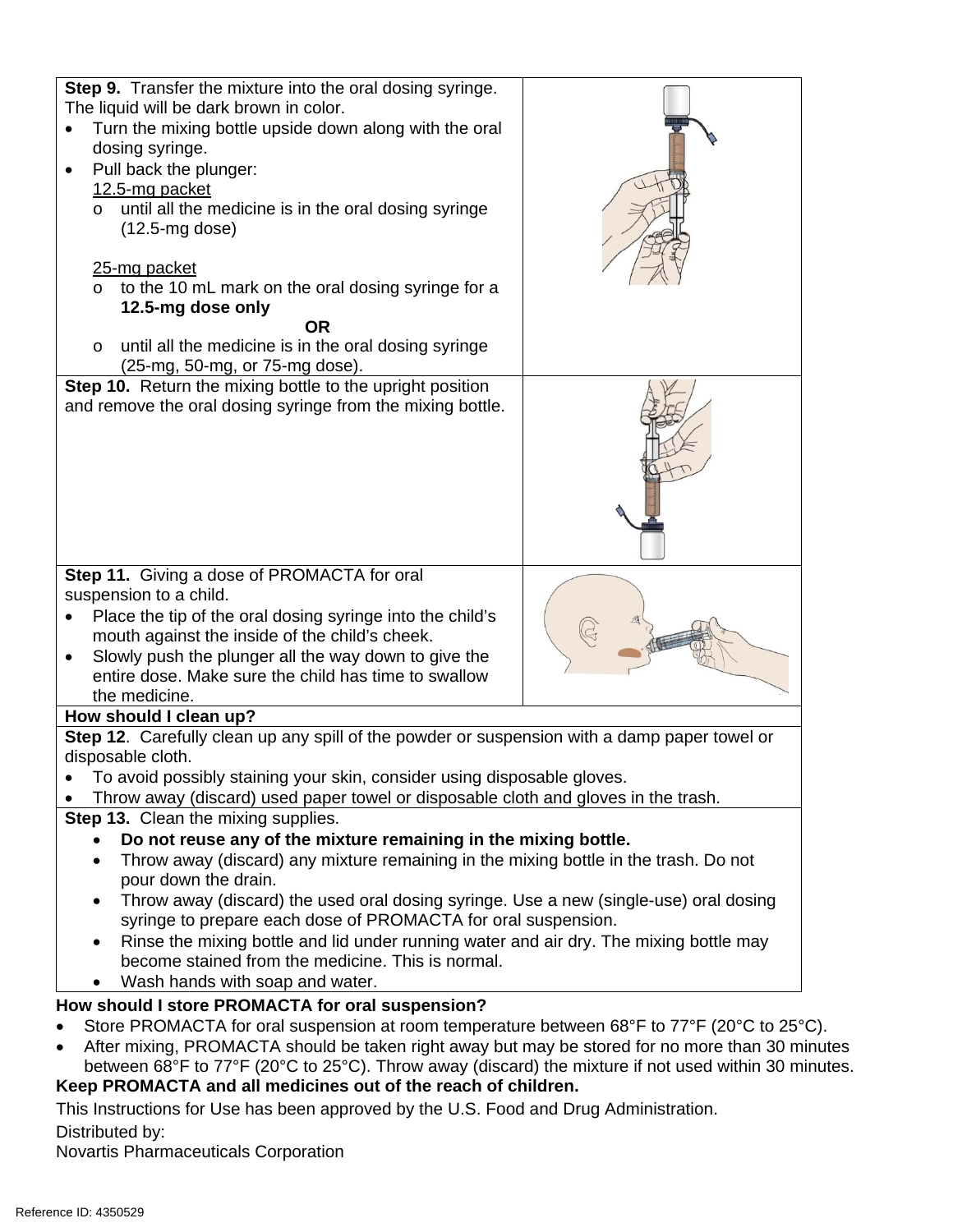| <b>Step 9.</b> Transfer the mixture into the oral dosing syringe.<br>The liquid will be dark brown in color.                                           |  |  |
|--------------------------------------------------------------------------------------------------------------------------------------------------------|--|--|
| Turn the mixing bottle upside down along with the oral                                                                                                 |  |  |
| dosing syringe.                                                                                                                                        |  |  |
| Pull back the plunger:<br>$\bullet$                                                                                                                    |  |  |
| 12.5-mg packet                                                                                                                                         |  |  |
| o until all the medicine is in the oral dosing syringe                                                                                                 |  |  |
| $(12.5 \text{-mg dose})$                                                                                                                               |  |  |
|                                                                                                                                                        |  |  |
| 25-mg packet<br>to the 10 mL mark on the oral dosing syringe for a                                                                                     |  |  |
| 12.5-mg dose only                                                                                                                                      |  |  |
| <b>OR</b>                                                                                                                                              |  |  |
| until all the medicine is in the oral dosing syringe<br>$\circ$                                                                                        |  |  |
| (25-mg, 50-mg, or 75-mg dose).                                                                                                                         |  |  |
| Step 10. Return the mixing bottle to the upright position                                                                                              |  |  |
| and remove the oral dosing syringe from the mixing bottle.                                                                                             |  |  |
|                                                                                                                                                        |  |  |
|                                                                                                                                                        |  |  |
|                                                                                                                                                        |  |  |
|                                                                                                                                                        |  |  |
|                                                                                                                                                        |  |  |
|                                                                                                                                                        |  |  |
| Step 11. Giving a dose of PROMACTA for oral                                                                                                            |  |  |
| suspension to a child.                                                                                                                                 |  |  |
| Place the tip of the oral dosing syringe into the child's                                                                                              |  |  |
| mouth against the inside of the child's cheek.                                                                                                         |  |  |
| Slowly push the plunger all the way down to give the<br>$\bullet$                                                                                      |  |  |
| entire dose. Make sure the child has time to swallow                                                                                                   |  |  |
| the medicine.<br>How should I clean up?                                                                                                                |  |  |
| Step 12. Carefully clean up any spill of the powder or suspension with a damp paper towel or                                                           |  |  |
| disposable cloth.                                                                                                                                      |  |  |
| To avoid possibly staining your skin, consider using disposable gloves.                                                                                |  |  |
| Throw away (discard) used paper towel or disposable cloth and gloves in the trash.                                                                     |  |  |
| Step 13. Clean the mixing supplies.                                                                                                                    |  |  |
| Do not reuse any of the mixture remaining in the mixing bottle.                                                                                        |  |  |
| Throw away (discard) any mixture remaining in the mixing bottle in the trash. Do not<br>$\bullet$                                                      |  |  |
| pour down the drain.                                                                                                                                   |  |  |
| Throw away (discard) the used oral dosing syringe. Use a new (single-use) oral dosing<br>syringe to prepare each dose of PROMACTA for oral suspension. |  |  |
| Rinse the mixing bottle and lid under running water and air dry. The mixing bottle may                                                                 |  |  |
| become stained from the medicine. This is normal.                                                                                                      |  |  |
| Wash hands with soap and water.                                                                                                                        |  |  |
| How should I store PROMACTA for oral suspension?                                                                                                       |  |  |
| Store PROMACTA for oral suspension at room temperature between 68°F to 77°F (20°C to 25°C).                                                            |  |  |
| After mixing, PROMACTA should be taken right away but may be stored for no more than 30 minutes<br>$\bullet$                                           |  |  |
| between 68°F to 77°F (20°C to 25°C). Throw away (discard) the mixture if not used within 30 minutes.                                                   |  |  |
| Keep PROMACTA and all medicines out of the reach of children.                                                                                          |  |  |
| This Instructions for Use has been approved by the U.S. Food and Drug Administration.                                                                  |  |  |

Distributed by:

Novartis Pharmaceuticals Corporation